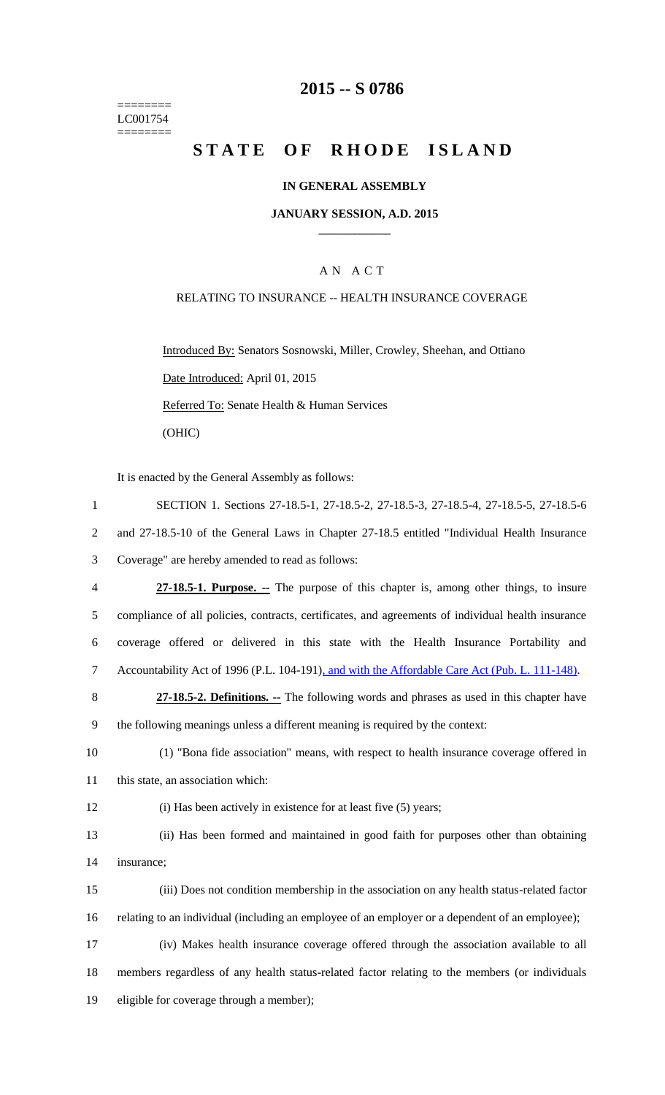======== LC001754  $=$ 

# **2015 -- S 0786**

# STATE OF RHODE ISLAND

#### **IN GENERAL ASSEMBLY**

#### **JANUARY SESSION, A.D. 2015 \_\_\_\_\_\_\_\_\_\_\_\_**

### A N A C T

#### RELATING TO INSURANCE -- HEALTH INSURANCE COVERAGE

Introduced By: Senators Sosnowski, Miller, Crowley, Sheehan, and Ottiano Date Introduced: April 01, 2015 Referred To: Senate Health & Human Services (OHIC)

It is enacted by the General Assembly as follows:

| $\mathbf{1}$   | SECTION 1. Sections 27-18.5-1, 27-18.5-2, 27-18.5-3, 27-18.5-4, 27-18.5-5, 27-18.5-6               |
|----------------|----------------------------------------------------------------------------------------------------|
| $\overline{2}$ | and 27-18.5-10 of the General Laws in Chapter 27-18.5 entitled "Individual Health Insurance"       |
| 3              | Coverage" are hereby amended to read as follows:                                                   |
| $\overline{4}$ | 27-18.5-1. Purpose. -- The purpose of this chapter is, among other things, to insure               |
| 5              | compliance of all policies, contracts, certificates, and agreements of individual health insurance |
| 6              | coverage offered or delivered in this state with the Health Insurance Portability and              |
| $\overline{7}$ | Accountability Act of 1996 (P.L. 104-191), and with the Affordable Care Act (Pub. L. 111-148).     |
| 8              | 27-18.5-2. Definitions. -- The following words and phrases as used in this chapter have            |
| 9              | the following meanings unless a different meaning is required by the context:                      |
| 10             | (1) "Bona fide association" means, with respect to health insurance coverage offered in            |
| 11             | this state, an association which:                                                                  |
| 12             | (i) Has been actively in existence for at least five (5) years;                                    |
| 13             | (ii) Has been formed and maintained in good faith for purposes other than obtaining                |
| 14             | insurance;                                                                                         |
| 15             | (iii) Does not condition membership in the association on any health status-related factor         |
| 16             | relating to an individual (including an employee of an employer or a dependent of an employee);    |
| 17             | (iv) Makes health insurance coverage offered through the association available to all              |
| 18             | members regardless of any health status-related factor relating to the members (or individuals     |
| 19             | eligible for coverage through a member);                                                           |
|                |                                                                                                    |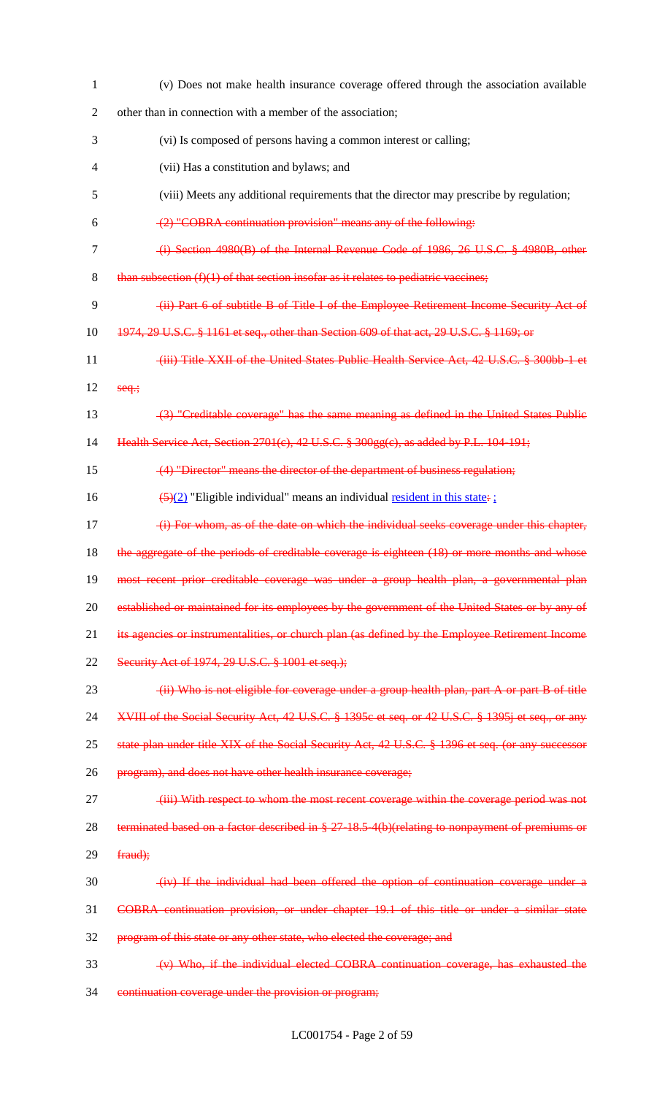| $\mathbf{1}$   | (v) Does not make health insurance coverage offered through the association available             |
|----------------|---------------------------------------------------------------------------------------------------|
| $\overline{2}$ | other than in connection with a member of the association;                                        |
| 3              | (vi) Is composed of persons having a common interest or calling;                                  |
| 4              | (vii) Has a constitution and bylaws; and                                                          |
| 5              | (viii) Meets any additional requirements that the director may prescribe by regulation;           |
| 6              | (2) "COBRA continuation provision" means any of the following:                                    |
| $\tau$         | (i) Section 4980(B) of the Internal Revenue Code of 1986, 26 U.S.C. § 4980B, other                |
| 8              | than subsection $(f)(1)$ of that section insofar as it relates to pediatric vaccines;             |
| 9              | (ii) Part 6 of subtitle B of Title I of the Employee Retirement Income Security Act of            |
| 10             | 1974, 29 U.S.C. § 1161 et seq., other than Section 609 of that act, 29 U.S.C. § 1169; or          |
| 11             | (iii) Title XXII of the United States Public Health Service Act, 42 U.S.C. § 300bb 1 et           |
| 12             | $seq$ ;                                                                                           |
| 13             | (3) "Creditable coverage" has the same meaning as defined in the United States Public             |
| 14             | Health Service Act, Section 2701(c), 42 U.S.C. § 300gg(c), as added by P.L. 104-191;              |
| 15             | (4) "Director" means the director of the department of business regulation;                       |
| 16             | $\frac{5(2)}{2}$ "Eligible individual" means an individual <u>resident in this state</u> :        |
| 17             | (i) For whom, as of the date on which the individual seeks coverage under this chapter,           |
| 18             | the aggregate of the periods of creditable coverage is eighteen (18) or more months and whose     |
| 19             | most recent prior creditable coverage was under a group health plan, a governmental plan          |
| 20             | established or maintained for its employees by the government of the United States or by any of   |
| 21             | its agencies or instrumentalities, or church plan (as defined by the Employee Retirement Income   |
| 22             | Security Act of 1974, 29 U.S.C. § 1001 et seq.);                                                  |
| 23             | (ii) Who is not eligible for coverage under a group health plan, part A or part B of title        |
| 24             | XVIII of the Social Security Act, 42 U.S.C. § 1395c et seq. or 42 U.S.C. § 1395j et seq., or any  |
| 25             | state plan under title XIX of the Social Security Act, 42 U.S.C. § 1396 et seq. (or any successor |
| 26             | program), and does not have other health insurance coverage;                                      |
| 27             | (iii) With respect to whom the most recent coverage within the coverage period was not            |
| 28             | terminated based on a factor described in § 27-18.5-4(b)(relating to nonpayment of premiums or    |
| 29             | fraud);                                                                                           |
| 30             | (iv) If the individual had been offered the option of continuation coverage under a               |
| 31             | COBRA continuation provision, or under chapter 19.1 of this title or under a similar state        |
| 32             | program of this state or any other state, who elected the coverage; and                           |
| 33             | (v) Who, if the individual elected COBRA continuation coverage, has exhausted the                 |
| 34             | continuation coverage under the provision or program;                                             |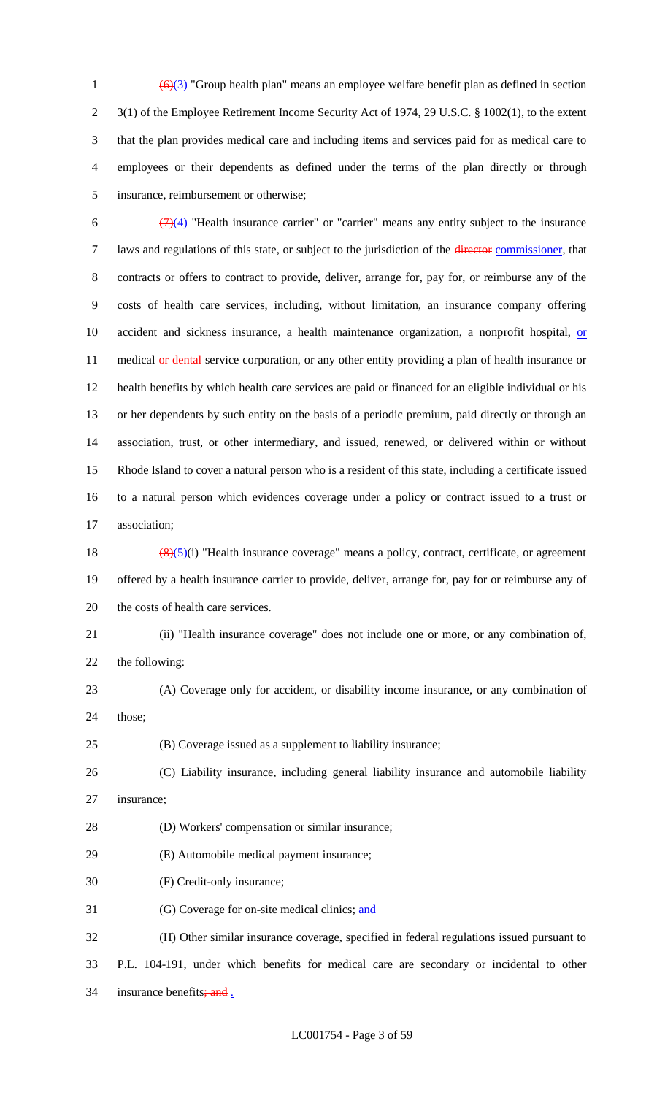$\left(\frac{6}{3}\right)$  "Group health plan" means an employee welfare benefit plan as defined in section 3(1) of the Employee Retirement Income Security Act of 1974, 29 U.S.C. § 1002(1), to the extent that the plan provides medical care and including items and services paid for as medical care to employees or their dependents as defined under the terms of the plan directly or through insurance, reimbursement or otherwise;

 $\frac{(7)(4)}{(7)(4)}$  "Health insurance carrier" or "carrier" means any entity subject to the insurance 7 laws and regulations of this state, or subject to the jurisdiction of the director commissioner, that contracts or offers to contract to provide, deliver, arrange for, pay for, or reimburse any of the costs of health care services, including, without limitation, an insurance company offering 10 accident and sickness insurance, a health maintenance organization, a nonprofit hospital, or 11 medical or dental service corporation, or any other entity providing a plan of health insurance or health benefits by which health care services are paid or financed for an eligible individual or his or her dependents by such entity on the basis of a periodic premium, paid directly or through an association, trust, or other intermediary, and issued, renewed, or delivered within or without Rhode Island to cover a natural person who is a resident of this state, including a certificate issued to a natural person which evidences coverage under a policy or contract issued to a trust or association;

18  $\left(\frac{(8)(5)}{1}\right)$  "Health insurance coverage" means a policy, contract, certificate, or agreement offered by a health insurance carrier to provide, deliver, arrange for, pay for or reimburse any of the costs of health care services.

### (ii) "Health insurance coverage" does not include one or more, or any combination of,

the following:

 (A) Coverage only for accident, or disability income insurance, or any combination of those;

(B) Coverage issued as a supplement to liability insurance;

 (C) Liability insurance, including general liability insurance and automobile liability insurance;

(D) Workers' compensation or similar insurance;

(E) Automobile medical payment insurance;

(F) Credit-only insurance;

(G) Coverage for on-site medical clinics; and

 (H) Other similar insurance coverage, specified in federal regulations issued pursuant to P.L. 104-191, under which benefits for medical care are secondary or incidental to other 34 insurance benefits;  $\frac{and}{.}$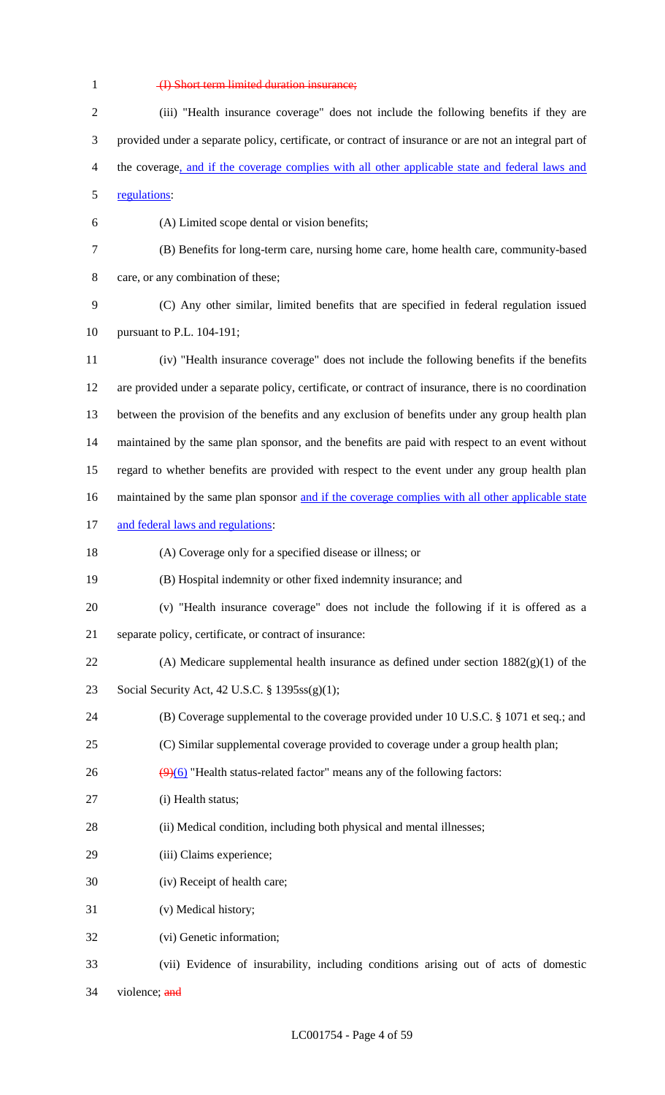# (I) Short term limited duration insurance;

| $\overline{2}$ | (iii) "Health insurance coverage" does not include the following benefits if they are                  |
|----------------|--------------------------------------------------------------------------------------------------------|
| 3              | provided under a separate policy, certificate, or contract of insurance or are not an integral part of |
| 4              | the coverage, and if the coverage complies with all other applicable state and federal laws and        |
| 5              | regulations:                                                                                           |
| 6              | (A) Limited scope dental or vision benefits;                                                           |
| 7              | (B) Benefits for long-term care, nursing home care, home health care, community-based                  |
| 8              | care, or any combination of these;                                                                     |
| 9              | (C) Any other similar, limited benefits that are specified in federal regulation issued                |
| 10             | pursuant to P.L. 104-191;                                                                              |
| 11             | (iv) "Health insurance coverage" does not include the following benefits if the benefits               |
| 12             | are provided under a separate policy, certificate, or contract of insurance, there is no coordination  |
| 13             | between the provision of the benefits and any exclusion of benefits under any group health plan        |
| 14             | maintained by the same plan sponsor, and the benefits are paid with respect to an event without        |
| 15             | regard to whether benefits are provided with respect to the event under any group health plan          |
| 16             | maintained by the same plan sponsor and if the coverage complies with all other applicable state       |
| 17             | and federal laws and regulations:                                                                      |
| 18             | (A) Coverage only for a specified disease or illness; or                                               |
| 19             | (B) Hospital indemnity or other fixed indemnity insurance; and                                         |
| 20             | (v) "Health insurance coverage" does not include the following if it is offered as a                   |
| 21             | separate policy, certificate, or contract of insurance:                                                |
| 22             | (A) Medicare supplemental health insurance as defined under section $1882(g)(1)$ of the                |
| 23             | Social Security Act, 42 U.S.C. § 1395ss(g)(1);                                                         |
| 24             | (B) Coverage supplemental to the coverage provided under 10 U.S.C. $\S$ 1071 et seq.; and              |
| 25             | (C) Similar supplemental coverage provided to coverage under a group health plan;                      |
| 26             | $\left(\frac{9}{6}\right)$ "Health status-related factor" means any of the following factors:          |
| 27             | (i) Health status;                                                                                     |
| 28             | (ii) Medical condition, including both physical and mental illnesses;                                  |
| 29             | (iii) Claims experience;                                                                               |
| 30             | (iv) Receipt of health care;                                                                           |
| 31             | (v) Medical history;                                                                                   |
| 32             | (vi) Genetic information;                                                                              |
| 33             | (vii) Evidence of insurability, including conditions arising out of acts of domestic                   |

violence; and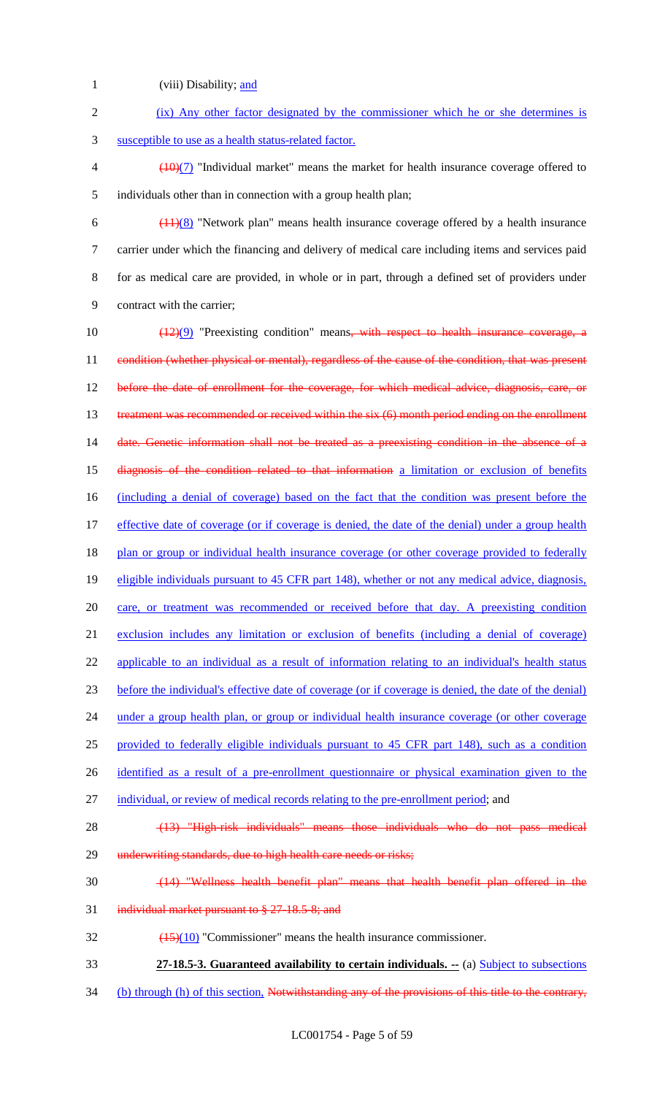- 1 (viii) Disability; and 2 (ix) Any other factor designated by the commissioner which he or she determines is 3 susceptible to use as a health status-related factor.  $\left(\frac{10}{7}\right)$  "Individual market" means the market for health insurance coverage offered to 5 individuals other than in connection with a group health plan; 6  $\left(\frac{(11)(8)}{8}\right)$  "Network plan" means health insurance coverage offered by a health insurance 7 carrier under which the financing and delivery of medical care including items and services paid 8 for as medical care are provided, in whole or in part, through a defined set of providers under 9 contract with the carrier; 10  $\left(\frac{(12)(9)}{2}\right)$  "Preexisting condition" means, with respect to health insurance coverage, a 11 condition (whether physical or mental), regardless of the cause of the condition, that was present 12 before the date of enrollment for the coverage, for which medical advice, diagnosis, care, or 13 treatment was recommended or received within the six (6) month period ending on the enrollment 14 date. Genetic information shall not be treated as a preexisting condition in the absence of a 15 diagnosis of the condition related to that information a limitation or exclusion of benefits 16 (including a denial of coverage) based on the fact that the condition was present before the 17 effective date of coverage (or if coverage is denied, the date of the denial) under a group health 18 plan or group or individual health insurance coverage (or other coverage provided to federally 19 eligible individuals pursuant to 45 CFR part 148), whether or not any medical advice, diagnosis, 20 care, or treatment was recommended or received before that day. A preexisting condition 21 exclusion includes any limitation or exclusion of benefits (including a denial of coverage) 22 applicable to an individual as a result of information relating to an individual's health status 23 before the individual's effective date of coverage (or if coverage is denied, the date of the denial) 24 under a group health plan, or group or individual health insurance coverage (or other coverage 25 provided to federally eligible individuals pursuant to 45 CFR part 148), such as a condition 26 identified as a result of a pre-enrollment questionnaire or physical examination given to the 27 individual, or review of medical records relating to the pre-enrollment period; and 28 (13) "High-risk individuals" means those individuals who do not pass medical 29 underwriting standards, due to high health care needs or risks; 30 (14) "Wellness health benefit plan" means that health benefit plan offered in the 31 individual market pursuant to § 27-18.5-8; and  $\frac{(15)(10)}{20}$  "Commissioner" means the health insurance commissioner. 33 **27-18.5-3. Guaranteed availability to certain individuals. --** (a) Subject to subsections
- 34 (b) through (h) of this section, Notwithstanding any of the provisions of this title to the contrary,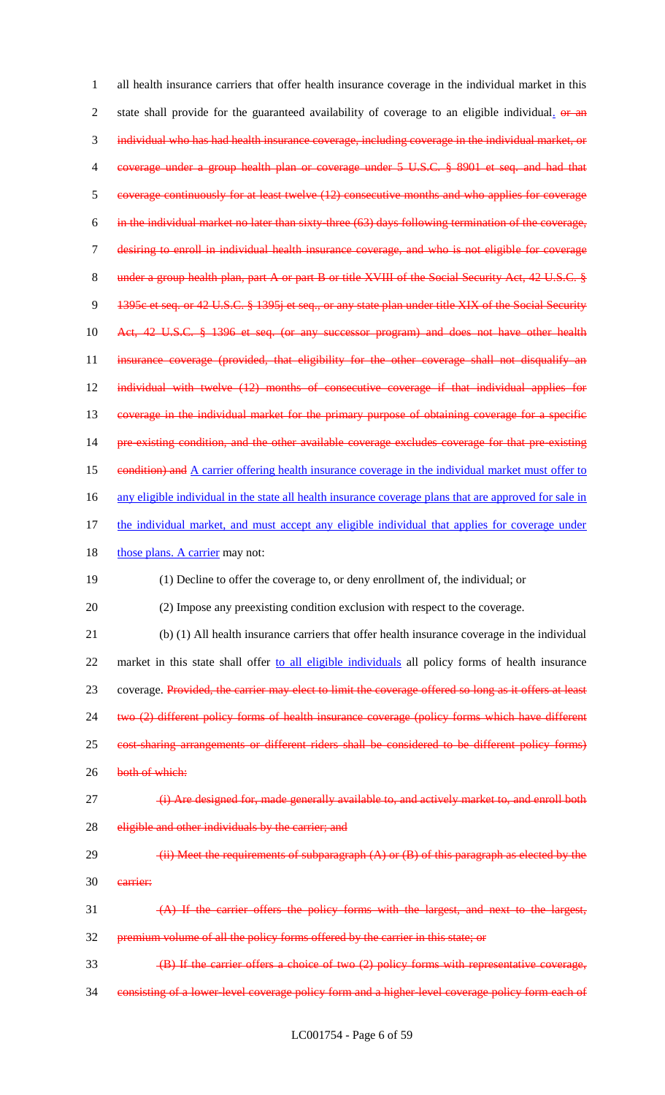1 all health insurance carriers that offer health insurance coverage in the individual market in this 2 state shall provide for the guaranteed availability of coverage to an eligible individual. or an 3 individual who has had health insurance coverage, including coverage in the individual market, or 4 coverage under a group health plan or coverage under 5 U.S.C. § 8901 et seq. and had that 5 coverage continuously for at least twelve (12) consecutive months and who applies for coverage 6 in the individual market no later than sixty-three (63) days following termination of the coverage, 7 desiring to enroll in individual health insurance coverage, and who is not eligible for coverage 8 under a group health plan, part A or part B or title XVIII of the Social Security Act, 42 U.S.C. § 9 1395c et seq. or 42 U.S.C. § 1395j et seq., or any state plan under title XIX of the Social Security 10 Act, 42 U.S.C. § 1396 et seq. (or any successor program) and does not have other health 11 insurance coverage (provided, that eligibility for the other coverage shall not disqualify an 12 individual with twelve (12) months of consecutive coverage if that individual applies for 13 coverage in the individual market for the primary purpose of obtaining coverage for a specific 14 pre-existing condition, and the other available coverage excludes coverage for that pre-existing 15 condition) and A carrier offering health insurance coverage in the individual market must offer to 16 any eligible individual in the state all health insurance coverage plans that are approved for sale in 17 the individual market, and must accept any eligible individual that applies for coverage under 18 those plans. A carrier may not: 19 (1) Decline to offer the coverage to, or deny enrollment of, the individual; or 20 (2) Impose any preexisting condition exclusion with respect to the coverage. 21 (b) (1) All health insurance carriers that offer health insurance coverage in the individual 22 market in this state shall offer to all eligible individuals all policy forms of health insurance 23 coverage. Provided, the carrier may elect to limit the coverage offered so long as it offers at least 24 two (2) different policy forms of health insurance coverage (policy forms which have different 25 cost-sharing arrangements or different riders shall be considered to be different policy forms) 26 both of which: 27 (i) Are designed for, made generally available to, and actively market to, and enroll both 28 eligible and other individuals by the carrier; and 29  $(iii)$  Meet the requirements of subparagraph  $(A)$  or  $(B)$  of this paragraph as elected by the 30 carrier: 31 (A) If the carrier offers the policy forms with the largest, and next to the largest, 32 premium volume of all the policy forms offered by the carrier in this state; or 33 (B) If the carrier offers a choice of two (2) policy forms with representative coverage, 34 consisting of a lower-level coverage policy form and a higher-level coverage policy form each of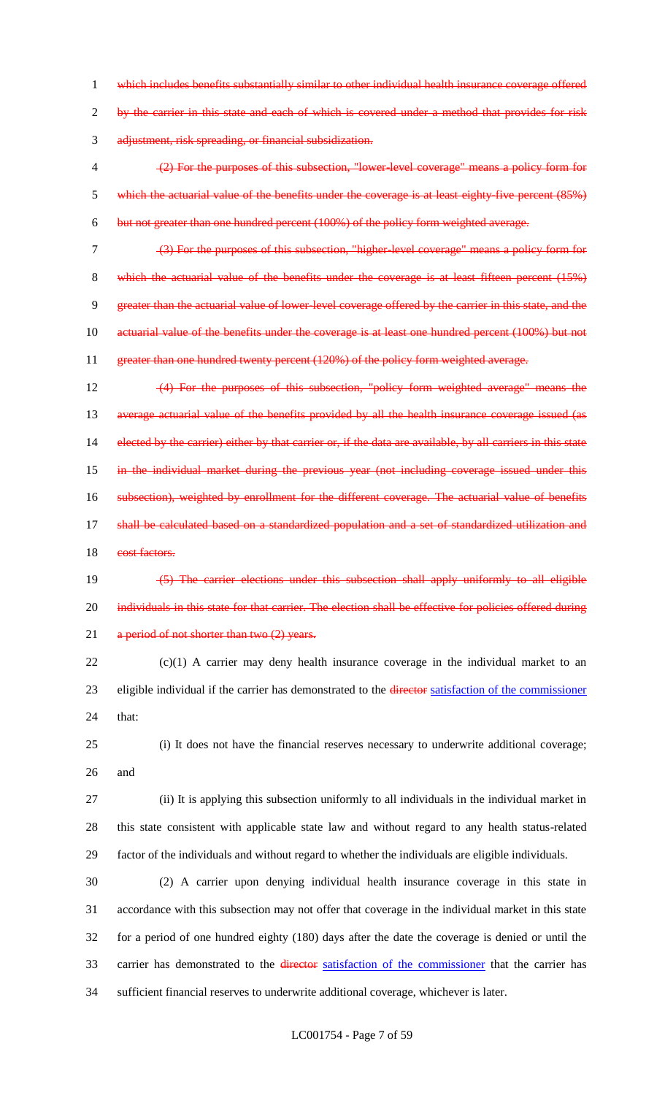1 which includes benefits substantially similar to other individual health insurance coverage offered 2 by the carrier in this state and each of which is covered under a method that provides for risk 3 adjustment, risk spreading, or financial subsidization.

4 (2) For the purposes of this subsection, "lower-level coverage" means a policy form for 5 which the actuarial value of the benefits under the coverage is at least eighty-five percent (85%) 6 but not greater than one hundred percent (100%) of the policy form weighted average.

7 (3) For the purposes of this subsection, "higher-level coverage" means a policy form for 8 which the actuarial value of the benefits under the coverage is at least fifteen percent (15%) 9 greater than the actuarial value of lower-level coverage offered by the carrier in this state, and the 10 actuarial value of the benefits under the coverage is at least one hundred percent (100%) but not 11 greater than one hundred twenty percent (120%) of the policy form weighted average.

12 (4) For the purposes of this subsection, "policy form weighted average" means the 13 average actuarial value of the benefits provided by all the health insurance coverage issued (as 14 elected by the carrier) either by that carrier or, if the data are available, by all carriers in this state 15 in the individual market during the previous year (not including coverage issued under this 16 subsection), weighted by enrollment for the different coverage. The actuarial value of benefits 17 shall be calculated based on a standardized population and a set of standardized utilization and 18 cost factors.

19 (5) The carrier elections under this subsection shall apply uniformly to all eligible 20 individuals in this state for that carrier. The election shall be effective for policies offered during 21 a period of not shorter than two (2) years.

22 (c)(1) A carrier may deny health insurance coverage in the individual market to an 23 eligible individual if the carrier has demonstrated to the director satisfaction of the commissioner 24 that:

25 (i) It does not have the financial reserves necessary to underwrite additional coverage; 26 and

27 (ii) It is applying this subsection uniformly to all individuals in the individual market in 28 this state consistent with applicable state law and without regard to any health status-related 29 factor of the individuals and without regard to whether the individuals are eligible individuals.

 (2) A carrier upon denying individual health insurance coverage in this state in accordance with this subsection may not offer that coverage in the individual market in this state for a period of one hundred eighty (180) days after the date the coverage is denied or until the 33 carrier has demonstrated to the director satisfaction of the commissioner that the carrier has sufficient financial reserves to underwrite additional coverage, whichever is later.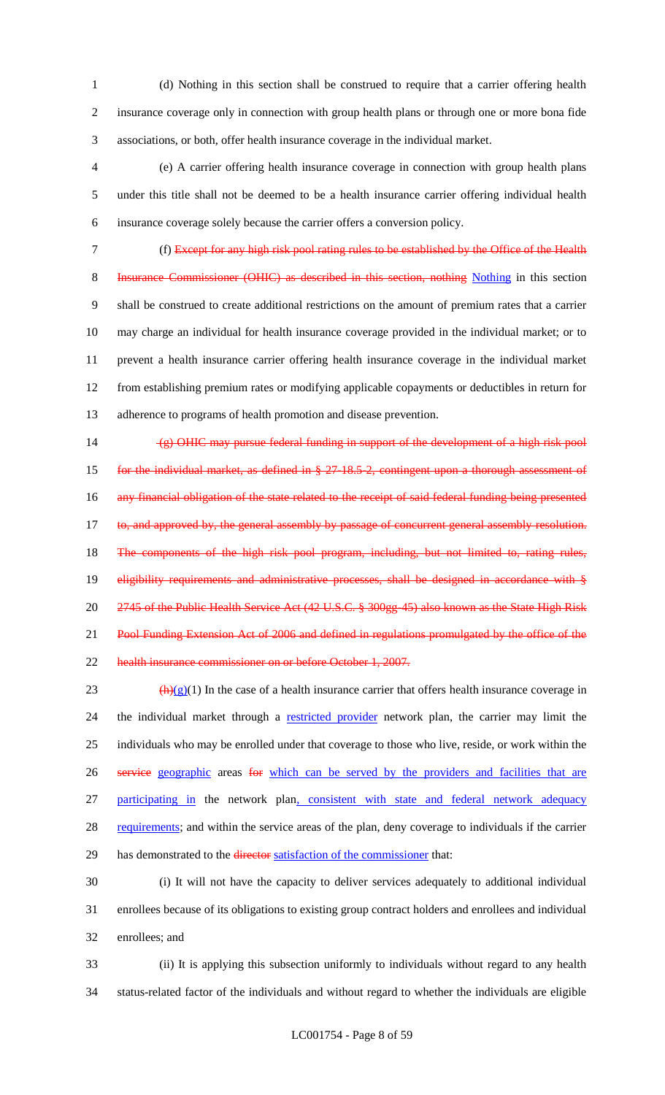(d) Nothing in this section shall be construed to require that a carrier offering health insurance coverage only in connection with group health plans or through one or more bona fide associations, or both, offer health insurance coverage in the individual market.

 (e) A carrier offering health insurance coverage in connection with group health plans under this title shall not be deemed to be a health insurance carrier offering individual health insurance coverage solely because the carrier offers a conversion policy.

 (f) Except for any high risk pool rating rules to be established by the Office of the Health 8 Insurance Commissioner (OHIC) as described in this section, nothing Nothing in this section shall be construed to create additional restrictions on the amount of premium rates that a carrier may charge an individual for health insurance coverage provided in the individual market; or to prevent a health insurance carrier offering health insurance coverage in the individual market from establishing premium rates or modifying applicable copayments or deductibles in return for adherence to programs of health promotion and disease prevention.

 (g) OHIC may pursue federal funding in support of the development of a high risk pool 15 for the individual market, as defined in § 27-18.5-2, contingent upon a thorough assessment of 16 any financial obligation of the state related to the receipt of said federal funding being presented 17 to, and approved by, the general assembly by passage of concurrent general assembly resolution. 18 The components of the high risk pool program, including, but not limited to, rating rules, 19 eligibility requirements and administrative processes, shall be designed in accordance with § 2745 of the Public Health Service Act (42 U.S.C. § 300gg-45) also known as the State High Risk 21 Pool Funding Extension Act of 2006 and defined in regulations promulgated by the office of the health insurance commissioner on or before October 1, 2007.

23  $\left(\frac{h}{g}(1)\right)$  In the case of a health insurance carrier that offers health insurance coverage in 24 the individual market through a restricted provider network plan, the carrier may limit the individuals who may be enrolled under that coverage to those who live, reside, or work within the 26 service geographic areas for which can be served by the providers and facilities that are participating in the network plan, consistent with state and federal network adequacy 28 requirements; and within the service areas of the plan, deny coverage to individuals if the carrier 29 has demonstrated to the director satisfaction of the commissioner that:

 (i) It will not have the capacity to deliver services adequately to additional individual enrollees because of its obligations to existing group contract holders and enrollees and individual enrollees; and

 (ii) It is applying this subsection uniformly to individuals without regard to any health status-related factor of the individuals and without regard to whether the individuals are eligible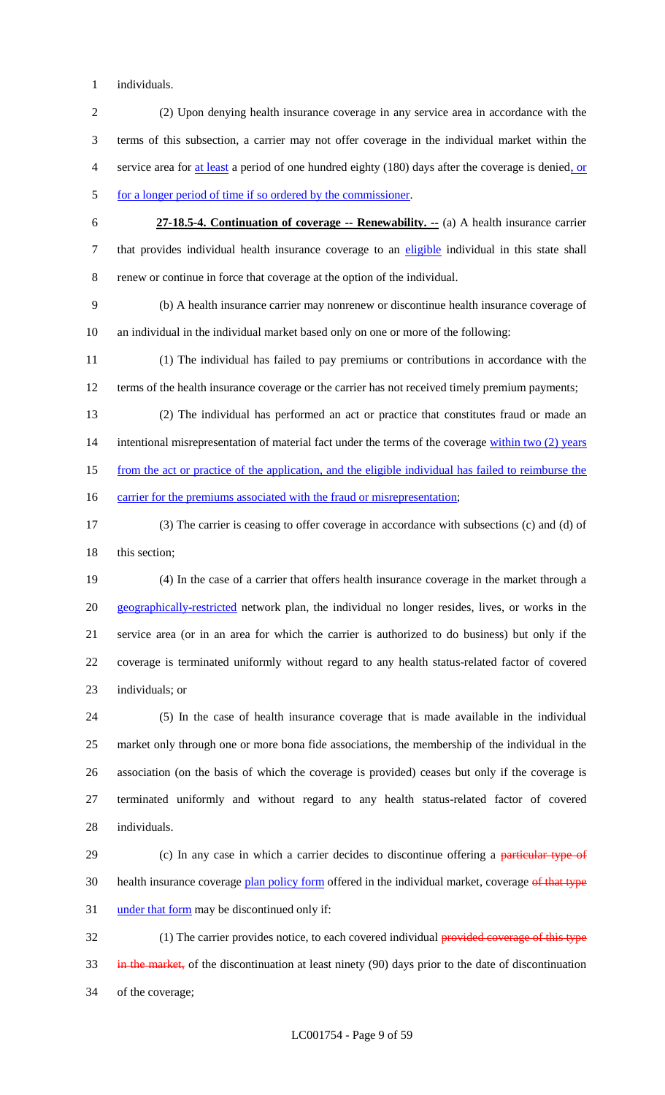individuals.

- (2) Upon denying health insurance coverage in any service area in accordance with the terms of this subsection, a carrier may not offer coverage in the individual market within the service area for at least a period of one hundred eighty (180) days after the coverage is denied, or 5 for a longer period of time if so ordered by the commissioner.
- **27-18.5-4. Continuation of coverage -- Renewability. --** (a) A health insurance carrier 7 that provides individual health insurance coverage to an eligible individual in this state shall renew or continue in force that coverage at the option of the individual.

 (b) A health insurance carrier may nonrenew or discontinue health insurance coverage of an individual in the individual market based only on one or more of the following:

 (1) The individual has failed to pay premiums or contributions in accordance with the 12 terms of the health insurance coverage or the carrier has not received timely premium payments;

 (2) The individual has performed an act or practice that constitutes fraud or made an 14 intentional misrepresentation of material fact under the terms of the coverage within two (2) years from the act or practice of the application, and the eligible individual has failed to reimburse the

16 carrier for the premiums associated with the fraud or misrepresentation;

 (3) The carrier is ceasing to offer coverage in accordance with subsections (c) and (d) of 18 this section;

 (4) In the case of a carrier that offers health insurance coverage in the market through a 20 geographically-restricted network plan, the individual no longer resides, lives, or works in the service area (or in an area for which the carrier is authorized to do business) but only if the coverage is terminated uniformly without regard to any health status-related factor of covered individuals; or

 (5) In the case of health insurance coverage that is made available in the individual market only through one or more bona fide associations, the membership of the individual in the association (on the basis of which the coverage is provided) ceases but only if the coverage is terminated uniformly and without regard to any health status-related factor of covered individuals.

29 (c) In any case in which a carrier decides to discontinue offering a particular type of 30 health insurance coverage plan policy form offered in the individual market, coverage of that type under that form may be discontinued only if:

32 (1) The carrier provides notice, to each covered individual provided coverage of this type 33 in the market, of the discontinuation at least ninety (90) days prior to the date of discontinuation of the coverage;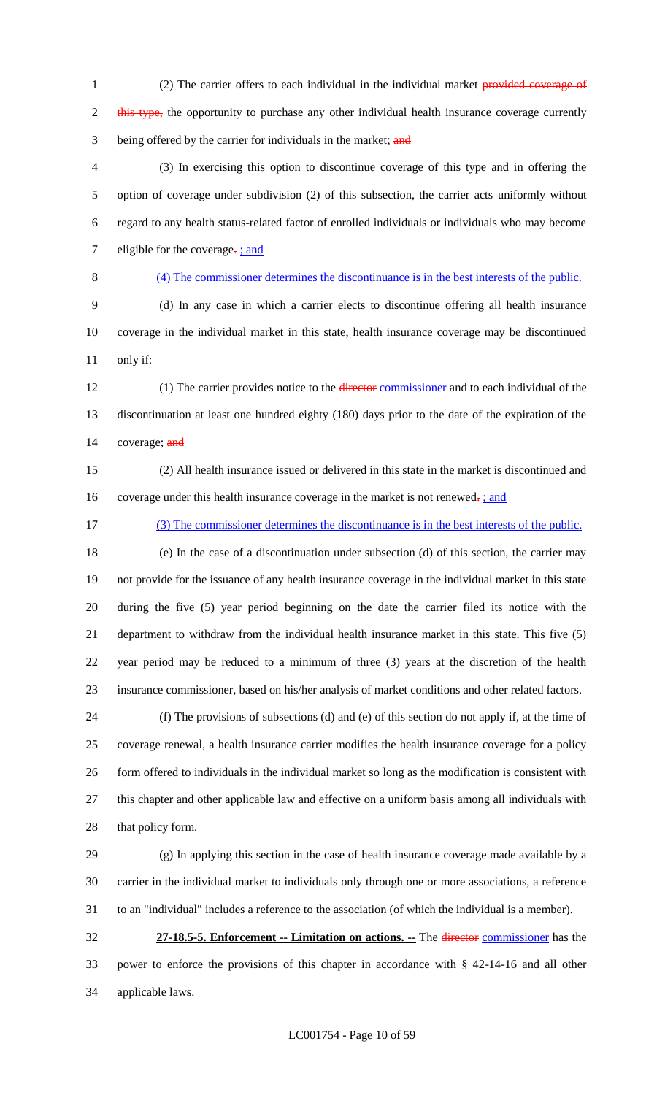1 (2) The carrier offers to each individual in the individual market provided coverage of 2 this type, the opportunity to purchase any other individual health insurance coverage currently 3 being offered by the carrier for individuals in the market; and

 (3) In exercising this option to discontinue coverage of this type and in offering the option of coverage under subdivision (2) of this subsection, the carrier acts uniformly without regard to any health status-related factor of enrolled individuals or individuals who may become 7 eligible for the coverage- $\frac{1}{2}$  and

#### (4) The commissioner determines the discontinuance is in the best interests of the public.

 (d) In any case in which a carrier elects to discontinue offering all health insurance coverage in the individual market in this state, health insurance coverage may be discontinued only if:

12 (1) The carrier provides notice to the director commissioner and to each individual of the discontinuation at least one hundred eighty (180) days prior to the date of the expiration of the 14 coverage; and

 (2) All health insurance issued or delivered in this state in the market is discontinued and 16 coverage under this health insurance coverage in the market is not renewed. *;* and

(3) The commissioner determines the discontinuance is in the best interests of the public.

 (e) In the case of a discontinuation under subsection (d) of this section, the carrier may not provide for the issuance of any health insurance coverage in the individual market in this state during the five (5) year period beginning on the date the carrier filed its notice with the department to withdraw from the individual health insurance market in this state. This five (5) year period may be reduced to a minimum of three (3) years at the discretion of the health insurance commissioner, based on his/her analysis of market conditions and other related factors.

 (f) The provisions of subsections (d) and (e) of this section do not apply if, at the time of coverage renewal, a health insurance carrier modifies the health insurance coverage for a policy form offered to individuals in the individual market so long as the modification is consistent with this chapter and other applicable law and effective on a uniform basis among all individuals with that policy form.

 (g) In applying this section in the case of health insurance coverage made available by a carrier in the individual market to individuals only through one or more associations, a reference to an "individual" includes a reference to the association (of which the individual is a member).

 **27-18.5-5. Enforcement -- Limitation on actions. --** The director commissioner has the power to enforce the provisions of this chapter in accordance with § 42-14-16 and all other applicable laws.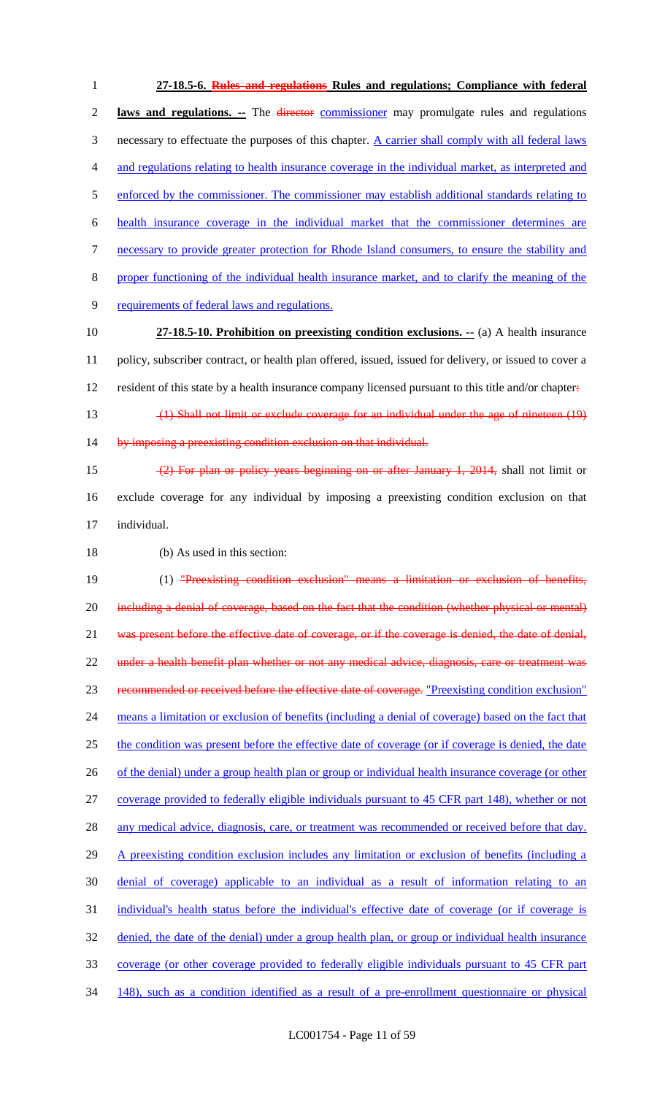**27-18.5-6. Rules and regulations Rules and regulations; Compliance with federal laws and regulations. --** The director commissioner may promulgate rules and regulations 3 necessary to effectuate the purposes of this chapter. A carrier shall comply with all federal laws and regulations relating to health insurance coverage in the individual market, as interpreted and 5 enforced by the commissioner. The commissioner may establish additional standards relating to health insurance coverage in the individual market that the commissioner determines are necessary to provide greater protection for Rhode Island consumers, to ensure the stability and proper functioning of the individual health insurance market, and to clarify the meaning of the requirements of federal laws and regulations. **27-18.5-10. Prohibition on preexisting condition exclusions. --** (a) A health insurance policy, subscriber contract, or health plan offered, issued, issued for delivery, or issued to cover a 12 resident of this state by a health insurance company licensed pursuant to this title and/or chapter. (1) Shall not limit or exclude coverage for an individual under the age of nineteen (19) 14 by imposing a preexisting condition exclusion on that individual. (2) For plan or policy years beginning on or after January 1, 2014, shall not limit or exclude coverage for any individual by imposing a preexisting condition exclusion on that individual. (b) As used in this section: 19 (1) "Preexisting condition exclusion" means a limitation or exclusion of benefits, 20 including a denial of coverage, based on the fact that the condition (whether physical or mental) 21 was present before the effective date of coverage, or if the coverage is denied, the date of denial, under a health benefit plan whether or not any medical advice, diagnosis, care or treatment was recommended or received before the effective date of coverage. "Preexisting condition exclusion" means a limitation or exclusion of benefits (including a denial of coverage) based on the fact that the condition was present before the effective date of coverage (or if coverage is denied, the date 26 of the denial) under a group health plan or group or individual health insurance coverage (or other coverage provided to federally eligible individuals pursuant to 45 CFR part 148), whether or not 28 any medical advice, diagnosis, care, or treatment was recommended or received before that day. 29 A preexisting condition exclusion includes any limitation or exclusion of benefits (including a denial of coverage) applicable to an individual as a result of information relating to an individual's health status before the individual's effective date of coverage (or if coverage is denied, the date of the denial) under a group health plan, or group or individual health insurance coverage (or other coverage provided to federally eligible individuals pursuant to 45 CFR part 148), such as a condition identified as a result of a pre-enrollment questionnaire or physical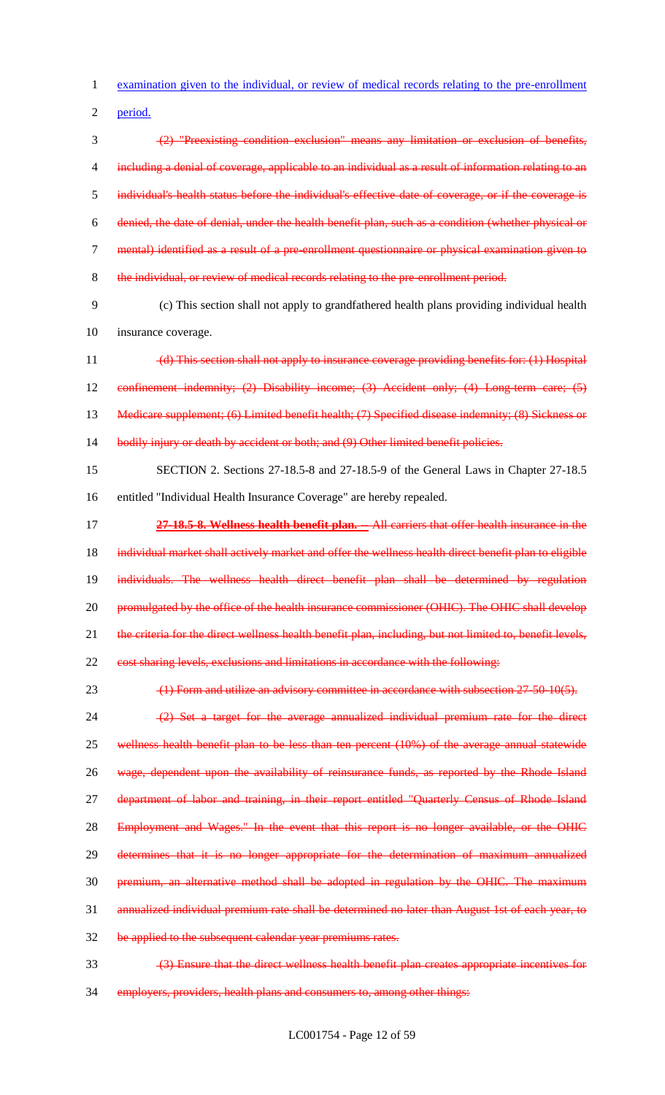examination given to the individual, or review of medical records relating to the pre-enrollment

period.

 (2) "Preexisting condition exclusion" means any limitation or exclusion of benefits, 4 including a denial of coverage, applicable to an individual as a result of information relating to an individual's health status before the individual's effective date of coverage, or if the coverage is denied, the date of denial, under the health benefit plan, such as a condition (whether physical or mental) identified as a result of a pre-enrollment questionnaire or physical examination given to the individual, or review of medical records relating to the pre-enrollment period.

 (c) This section shall not apply to grandfathered health plans providing individual health insurance coverage.

 (d) This section shall not apply to insurance coverage providing benefits for: (1) Hospital 12 confinement indemnity; (2) Disability income; (3) Accident only; (4) Long-term care; (5) 13 Medicare supplement; (6) Limited benefit health; (7) Specified disease indemnity; (8) Sickness or bodily injury or death by accident or both; and (9) Other limited benefit policies.

 SECTION 2. Sections 27-18.5-8 and 27-18.5-9 of the General Laws in Chapter 27-18.5 entitled "Individual Health Insurance Coverage" are hereby repealed.

 **27-18.5-8. Wellness health benefit plan. --** All carriers that offer health insurance in the 18 individual market shall actively market and offer the wellness health direct benefit plan to eligible individuals. The wellness health direct benefit plan shall be determined by regulation 20 promulgated by the office of the health insurance commissioner (OHIC). The OHIC shall develop 21 the criteria for the direct wellness health benefit plan, including, but not limited to, benefit levels, cost sharing levels, exclusions and limitations in accordance with the following:

23 (1) Form and utilize an advisory committee in accordance with subsection 27-50-10(5).

24 (2) Set a target for the average annualized individual premium rate for the direct wellness health benefit plan to be less than ten percent (10%) of the average annual statewide 26 wage, dependent upon the availability of reinsurance funds, as reported by the Rhode Island 27 department of labor and training, in their report entitled "Quarterly Census of Rhode Island 28 Employment and Wages." In the event that this report is no longer available, or the OHIC determines that it is no longer appropriate for the determination of maximum annualized premium, an alternative method shall be adopted in regulation by the OHIC. The maximum annualized individual premium rate shall be determined no later than August 1st of each year, to be applied to the subsequent calendar year premiums rates.

(3) Ensure that the direct wellness health benefit plan creates appropriate incentives for

employers, providers, health plans and consumers to, among other things: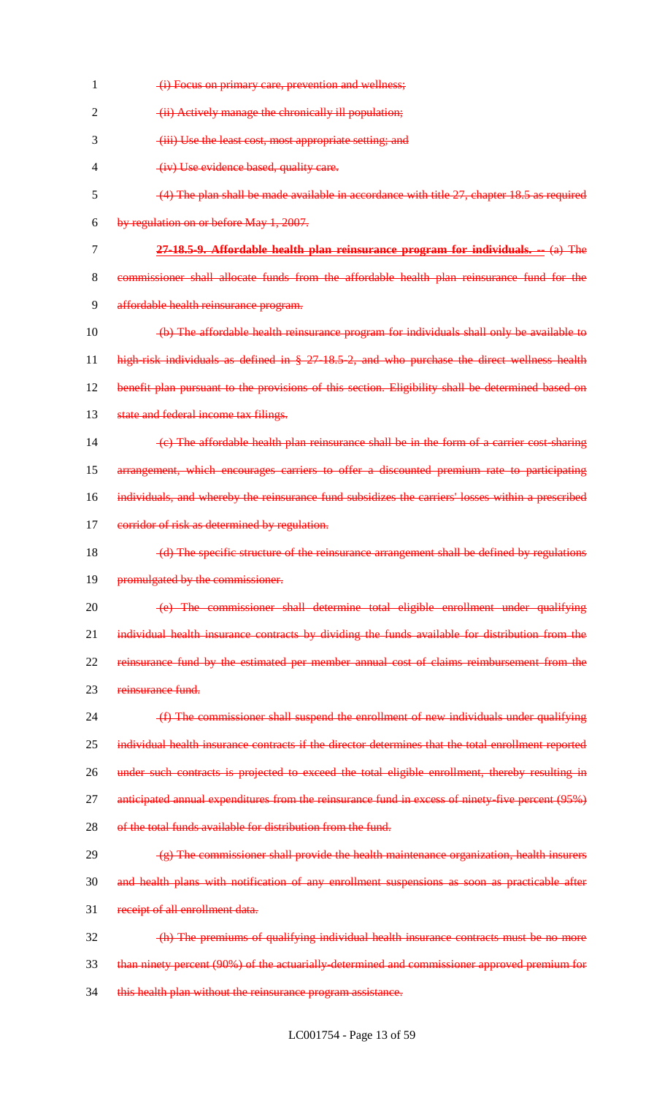| 1  | (i) Focus on primary care, prevention and wellness;                                                 |
|----|-----------------------------------------------------------------------------------------------------|
| 2  | (ii) Actively manage the chronically ill population;                                                |
| 3  | (iii) Use the least cost, most appropriate setting; and                                             |
| 4  | (iv) Use evidence based, quality care.                                                              |
| 5  | $(4)$ The plan shall be made available in accordance with title 27, chapter 18.5 as required        |
| 6  | by regulation on or before May 1, 2007.                                                             |
| 7  | $27-18.5-9$ . Affordable health plan reinsurance program for individuals. $-$ (a) The               |
| 8  | commissioner shall allocate funds from the affordable health plan reinsurance fund for the          |
| 9  | affordable health reinsurance program.                                                              |
| 10 | (b) The affordable health reinsurance program for individuals shall only be available to            |
| 11 | high-risk individuals as defined in § 27-18.5-2, and who purchase the direct wellness health        |
| 12 | benefit plan pursuant to the provisions of this section. Eligibility shall be determined based on   |
| 13 | state and federal income tax filings.                                                               |
| 14 | (e) The affordable health plan reinsurance shall be in the form of a carrier cost sharing           |
| 15 | arrangement, which encourages carriers to offer a discounted premium rate to participating          |
| 16 | individuals, and whereby the reinsurance fund subsidizes the carriers' losses within a prescribed   |
| 17 | corridor of risk as determined by regulation.                                                       |
| 18 | (d) The specific structure of the reinsurance arrangement shall be defined by regulations           |
| 19 | promulgated by the commissioner.                                                                    |
| 20 | (e) The commissioner shall determine total eligible enrollment under qualifying                     |
| 21 | individual health insurance contracts by dividing the funds available for distribution from the     |
| 22 | reinsurance fund by the estimated per member annual cost of claims reimbursement from the           |
| 23 | reinsurance fund.                                                                                   |
| 24 | (f) The commissioner shall suspend the enrollment of new individuals under qualifying               |
| 25 | individual health insurance contracts if the director determines that the total enrollment reported |
| 26 | under such contracts is projected to exceed the total eligible enrollment, thereby resulting in     |
| 27 | anticipated annual expenditures from the reinsurance fund in excess of ninety five percent (95%)    |
| 28 | of the total funds available for distribution from the fund.                                        |
| 29 | $(g)$ The commissioner shall provide the health maintenance organization, health insurers           |
| 30 | and health plans with notification of any enrollment suspensions as soon as practicable after       |
| 31 | receipt of all enrollment data.                                                                     |
| 32 | (h) The premiums of qualifying individual health insurance contracts must be no more                |
| 33 | than ninety percent (90%) of the actuarially determined and commissioner approved premium for       |
| 34 | this health plan without the reinsurance program assistance.                                        |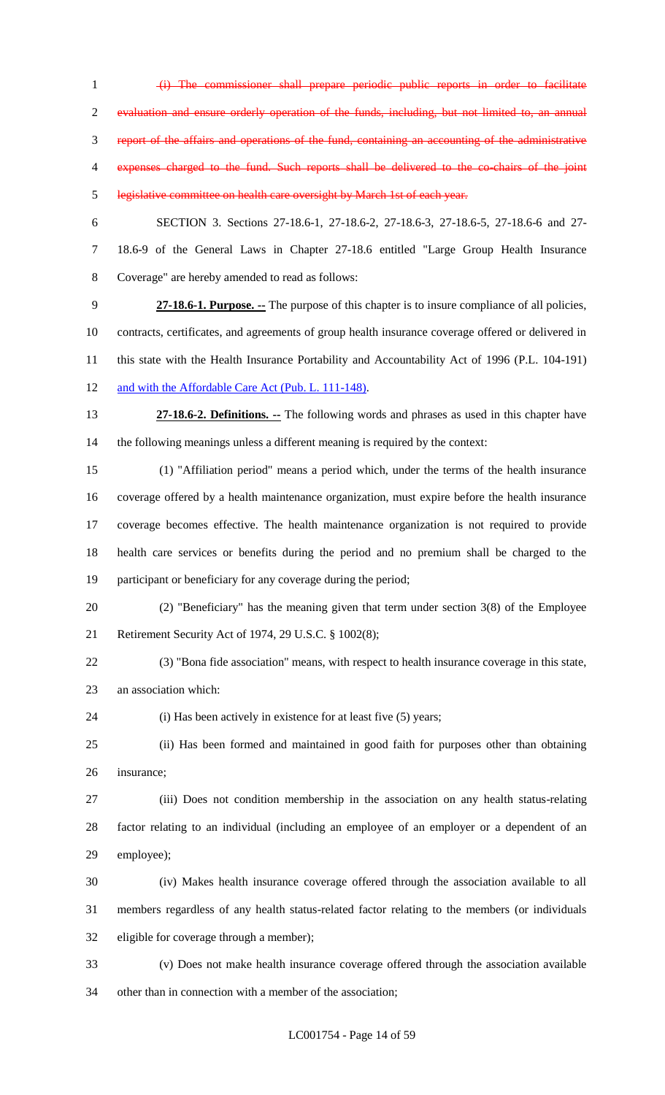(i) The commissioner shall prepare periodic public reports in order to facilitate evaluation and ensure orderly operation of the funds, including, but not limited to, an annual report of the affairs and operations of the fund, containing an accounting of the administrative expenses charged to the fund. Such reports shall be delivered to the co-chairs of the joint legislative committee on health care oversight by March 1st of each year. SECTION 3. Sections 27-18.6-1, 27-18.6-2, 27-18.6-3, 27-18.6-5, 27-18.6-6 and 27- 18.6-9 of the General Laws in Chapter 27-18.6 entitled "Large Group Health Insurance Coverage" are hereby amended to read as follows: **27-18.6-1. Purpose. --** The purpose of this chapter is to insure compliance of all policies, contracts, certificates, and agreements of group health insurance coverage offered or delivered in this state with the Health Insurance Portability and Accountability Act of 1996 (P.L. 104-191) 12 and with the Affordable Care Act (Pub. L. 111-148). **27-18.6-2. Definitions. --** The following words and phrases as used in this chapter have the following meanings unless a different meaning is required by the context: (1) "Affiliation period" means a period which, under the terms of the health insurance

 coverage offered by a health maintenance organization, must expire before the health insurance coverage becomes effective. The health maintenance organization is not required to provide health care services or benefits during the period and no premium shall be charged to the participant or beneficiary for any coverage during the period;

- (2) "Beneficiary" has the meaning given that term under section 3(8) of the Employee Retirement Security Act of 1974, 29 U.S.C. § 1002(8);
- (3) "Bona fide association" means, with respect to health insurance coverage in this state, an association which:
- 24 (i) Has been actively in existence for at least five (5) years;

 (ii) Has been formed and maintained in good faith for purposes other than obtaining insurance;

 (iii) Does not condition membership in the association on any health status-relating factor relating to an individual (including an employee of an employer or a dependent of an employee);

 (iv) Makes health insurance coverage offered through the association available to all members regardless of any health status-related factor relating to the members (or individuals eligible for coverage through a member);

 (v) Does not make health insurance coverage offered through the association available other than in connection with a member of the association;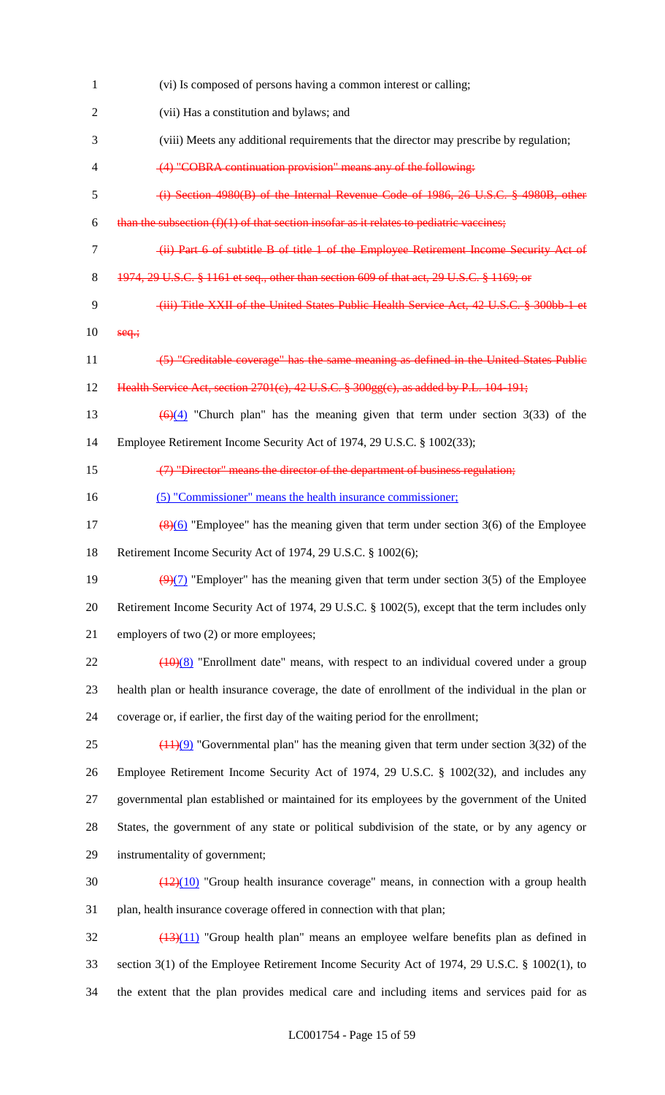| $\mathbf{1}$   | (vi) Is composed of persons having a common interest or calling;                                         |
|----------------|----------------------------------------------------------------------------------------------------------|
| $\overline{2}$ | (vii) Has a constitution and bylaws; and                                                                 |
| 3              | (viii) Meets any additional requirements that the director may prescribe by regulation;                  |
| 4              | (4) "COBRA continuation provision" means any of the following:                                           |
| 5              | (i) Section 4980(B) of the Internal Revenue Code of 1986, 26 U.S.C. § 4980B, other                       |
| 6              | than the subsection $(f)(1)$ of that section insofar as it relates to pediatric vaccines;                |
| $\tau$         | (ii) Part 6 of subtitle B of title 1 of the Employee Retirement Income Security Act of                   |
| 8              | 1974, 29 U.S.C. § 1161 et seq., other than section 609 of that act, 29 U.S.C. § 1169; or                 |
| 9              | (iii) Title XXII of the United States Public Health Service Act, 42 U.S.C. § 300bb-1 et                  |
| 10             | $seq$ ;                                                                                                  |
| 11             | (5) "Creditable coverage" has the same meaning as defined in the United States Public                    |
| 12             | Health Service Act, section 2701(c), 42 U.S.C. § 300gg(c), as added by P.L. 104-191;                     |
| 13             | $\left(\frac{6}{24}\right)$ "Church plan" has the meaning given that term under section 3(33) of the     |
| 14             | Employee Retirement Income Security Act of 1974, 29 U.S.C. § 1002(33);                                   |
| 15             | (7) "Director" means the director of the department of business regulation;                              |
| 16             | (5) "Commissioner" means the health insurance commissioner;                                              |
| 17             | $\frac{8(6)}{2(6)}$ "Employee" has the meaning given that term under section 3(6) of the Employee        |
| 18             | Retirement Income Security Act of 1974, 29 U.S.C. § 1002(6);                                             |
| 19             | $\left(\frac{9}{7}\right)$ "Employer" has the meaning given that term under section 3(5) of the Employee |
| 20             | Retirement Income Security Act of 1974, 29 U.S.C. § 1002(5), except that the term includes only          |
| 21             | employers of two (2) or more employees;                                                                  |
| 22             | $(10)(8)$ "Enrollment date" means, with respect to an individual covered under a group                   |
| 23             | health plan or health insurance coverage, the date of enrollment of the individual in the plan or        |
| 24             | coverage or, if earlier, the first day of the waiting period for the enrollment;                         |
| 25             | $(1.1)(9)$ "Governmental plan" has the meaning given that term under section 3(32) of the                |
| 26             | Employee Retirement Income Security Act of 1974, 29 U.S.C. § 1002(32), and includes any                  |
| 27             | governmental plan established or maintained for its employees by the government of the United            |
| 28             | States, the government of any state or political subdivision of the state, or by any agency or           |
| 29             | instrumentality of government;                                                                           |
| 30             | $\frac{(12)(10)}{(12)(10)}$ "Group health insurance coverage" means, in connection with a group health   |
| 31             | plan, health insurance coverage offered in connection with that plan;                                    |
| 32             | $\left(\frac{13}{11}\right)$ "Group health plan" means an employee welfare benefits plan as defined in   |
| 33             | section 3(1) of the Employee Retirement Income Security Act of 1974, 29 U.S.C. § 1002(1), to             |
| 34             | the extent that the plan provides medical care and including items and services paid for as              |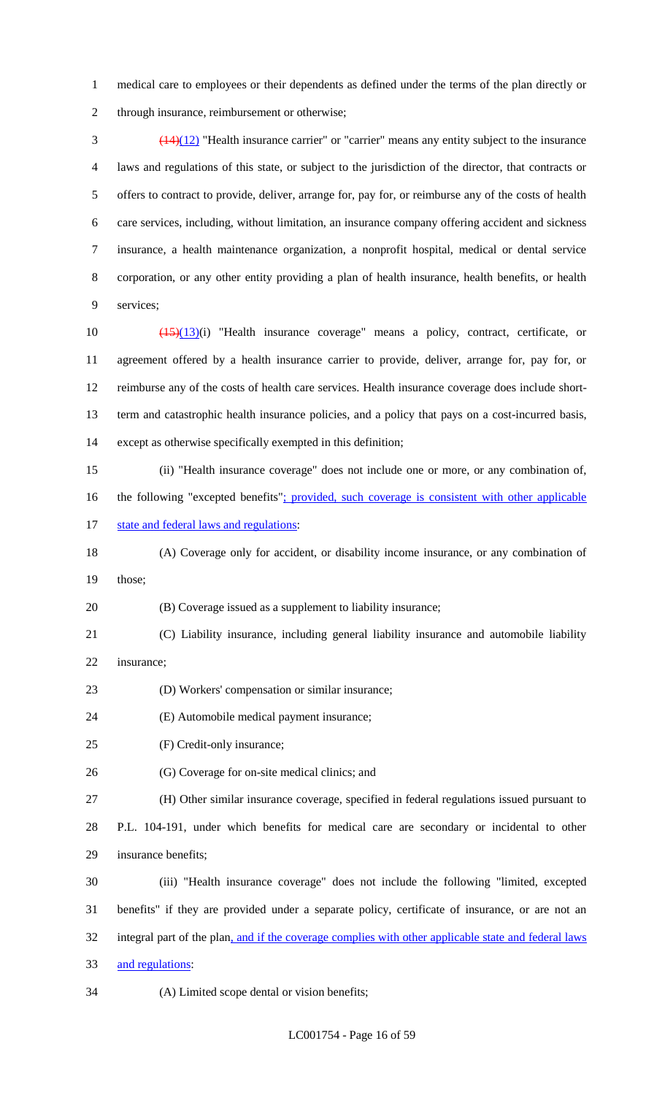medical care to employees or their dependents as defined under the terms of the plan directly or through insurance, reimbursement or otherwise;

 $\frac{(14)(12)}{14}$  "Health insurance carrier" or "carrier" means any entity subject to the insurance laws and regulations of this state, or subject to the jurisdiction of the director, that contracts or offers to contract to provide, deliver, arrange for, pay for, or reimburse any of the costs of health care services, including, without limitation, an insurance company offering accident and sickness insurance, a health maintenance organization, a nonprofit hospital, medical or dental service corporation, or any other entity providing a plan of health insurance, health benefits, or health services;

 (15)(13)(i) "Health insurance coverage" means a policy, contract, certificate, or agreement offered by a health insurance carrier to provide, deliver, arrange for, pay for, or reimburse any of the costs of health care services. Health insurance coverage does include short- term and catastrophic health insurance policies, and a policy that pays on a cost-incurred basis, except as otherwise specifically exempted in this definition;

 (ii) "Health insurance coverage" does not include one or more, or any combination of, 16 the following "excepted benefits": provided, such coverage is consistent with other applicable 17 state and federal laws and regulations:

 (A) Coverage only for accident, or disability income insurance, or any combination of those;

(B) Coverage issued as a supplement to liability insurance;

- (C) Liability insurance, including general liability insurance and automobile liability insurance;
- (D) Workers' compensation or similar insurance;
- (E) Automobile medical payment insurance;
- (F) Credit-only insurance;
- (G) Coverage for on-site medical clinics; and

(H) Other similar insurance coverage, specified in federal regulations issued pursuant to

 P.L. 104-191, under which benefits for medical care are secondary or incidental to other insurance benefits;

 (iii) "Health insurance coverage" does not include the following "limited, excepted benefits" if they are provided under a separate policy, certificate of insurance, or are not an 32 integral part of the plan, and if the coverage complies with other applicable state and federal laws and regulations:

(A) Limited scope dental or vision benefits;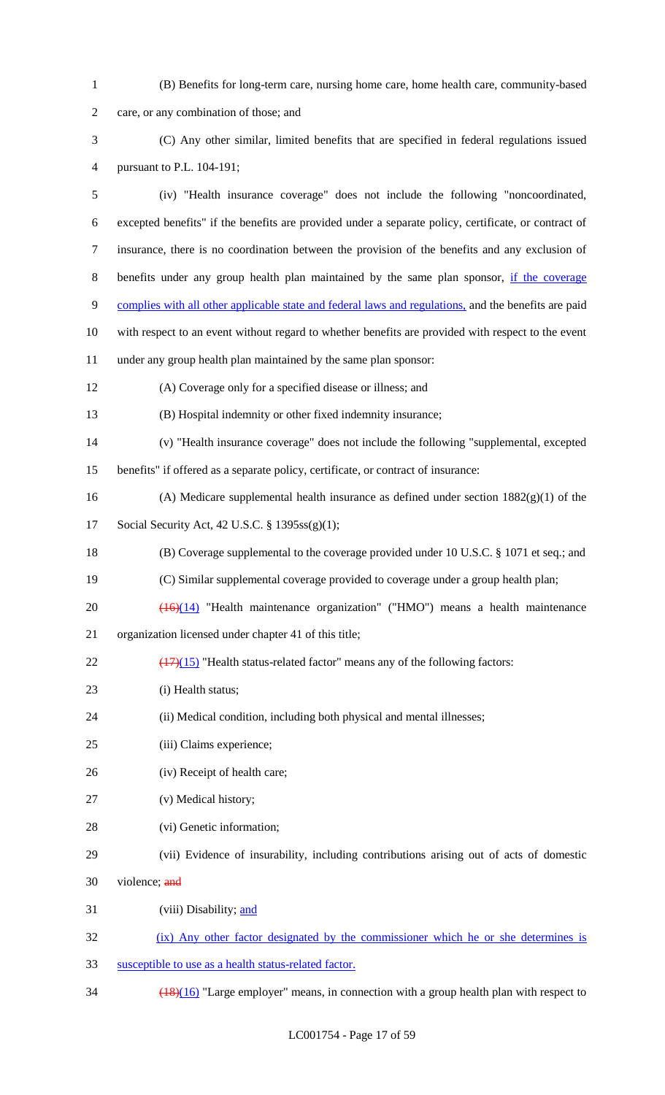| $\mathbf{1}$   | (B) Benefits for long-term care, nursing home care, home health care, community-based                |
|----------------|------------------------------------------------------------------------------------------------------|
| $\mathfrak{2}$ | care, or any combination of those; and                                                               |
| 3              | (C) Any other similar, limited benefits that are specified in federal regulations issued             |
| 4              | pursuant to P.L. 104-191;                                                                            |
| $\mathfrak s$  | (iv) "Health insurance coverage" does not include the following "noncoordinated,                     |
| 6              | excepted benefits" if the benefits are provided under a separate policy, certificate, or contract of |
| $\overline{7}$ | insurance, there is no coordination between the provision of the benefits and any exclusion of       |
| $8\,$          | benefits under any group health plan maintained by the same plan sponsor, if the coverage            |
| $\mathbf{9}$   | complies with all other applicable state and federal laws and regulations, and the benefits are paid |
| 10             | with respect to an event without regard to whether benefits are provided with respect to the event   |
| 11             | under any group health plan maintained by the same plan sponsor:                                     |
| 12             | (A) Coverage only for a specified disease or illness; and                                            |
| 13             | (B) Hospital indemnity or other fixed indemnity insurance;                                           |
| 14             | (v) "Health insurance coverage" does not include the following "supplemental, excepted               |
| 15             | benefits" if offered as a separate policy, certificate, or contract of insurance:                    |
| 16             | (A) Medicare supplemental health insurance as defined under section $1882(g)(1)$ of the              |
| 17             | Social Security Act, 42 U.S.C. § 1395ss(g)(1);                                                       |
| 18             | (B) Coverage supplemental to the coverage provided under 10 U.S.C. $\S$ 1071 et seq.; and            |
| 19             | (C) Similar supplemental coverage provided to coverage under a group health plan;                    |
| 20             | $\overline{(16)(14)}$ "Health maintenance organization" ("HMO") means a health maintenance           |
| 21             | organization licensed under chapter 41 of this title;                                                |
| 22             | $(17)(15)$ "Health status-related factor" means any of the following factors:                        |
| 23             | (i) Health status;                                                                                   |
| 24             | (ii) Medical condition, including both physical and mental illnesses;                                |
| 25             | (iii) Claims experience;                                                                             |
| 26             | (iv) Receipt of health care;                                                                         |
| 27             | (v) Medical history;                                                                                 |
| 28             | (vi) Genetic information;                                                                            |
| 29             | (vii) Evidence of insurability, including contributions arising out of acts of domestic              |
| 30             | violence; and                                                                                        |
| 31             | (viii) Disability; and                                                                               |
| 32             | (ix) Any other factor designated by the commissioner which he or she determines is                   |
| 33             | susceptible to use as a health status-related factor.                                                |
| 34             | $\frac{(18)(16)}{2}$ "Large employer" means, in connection with a group health plan with respect to  |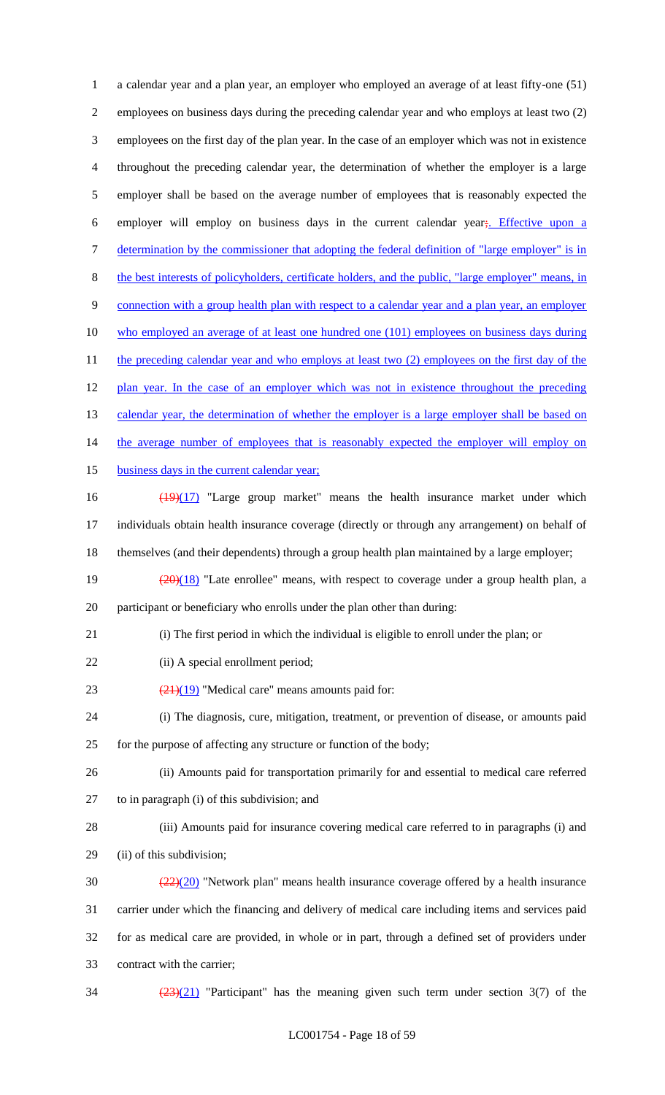a calendar year and a plan year, an employer who employed an average of at least fifty-one (51) employees on business days during the preceding calendar year and who employs at least two (2) employees on the first day of the plan year. In the case of an employer which was not in existence throughout the preceding calendar year, the determination of whether the employer is a large employer shall be based on the average number of employees that is reasonably expected the 6 employer will employ on business days in the current calendar year; Effective upon a 7 determination by the commissioner that adopting the federal definition of "large employer" is in the best interests of policyholders, certificate holders, and the public, "large employer" means, in 9 connection with a group health plan with respect to a calendar year and a plan year, an employer who employed an average of at least one hundred one (101) employees on business days during 11 the preceding calendar year and who employs at least two (2) employees on the first day of the 12 plan year. In the case of an employer which was not in existence throughout the preceding 13 calendar year, the determination of whether the employer is a large employer shall be based on 14 the average number of employees that is reasonably expected the employer will employ on 15 business days in the current calendar year; 16 (19)(17) "Large group market" means the health insurance market under which individuals obtain health insurance coverage (directly or through any arrangement) on behalf of themselves (and their dependents) through a group health plan maintained by a large employer;  $\frac{(20)(18)}{20}$  "Late enrollee" means, with respect to coverage under a group health plan, a participant or beneficiary who enrolls under the plan other than during: (i) The first period in which the individual is eligible to enroll under the plan; or 22 (ii) A special enrollment period;  $(21)(19)$  "Medical care" means amounts paid for: (i) The diagnosis, cure, mitigation, treatment, or prevention of disease, or amounts paid for the purpose of affecting any structure or function of the body; (ii) Amounts paid for transportation primarily for and essential to medical care referred to in paragraph (i) of this subdivision; and (iii) Amounts paid for insurance covering medical care referred to in paragraphs (i) and (ii) of this subdivision;  $\frac{(22)(20)}{20}$  "Network plan" means health insurance coverage offered by a health insurance carrier under which the financing and delivery of medical care including items and services paid for as medical care are provided, in whole or in part, through a defined set of providers under contract with the carrier;  $\frac{(23)(21)}{2}$  "Participant" has the meaning given such term under section 3(7) of the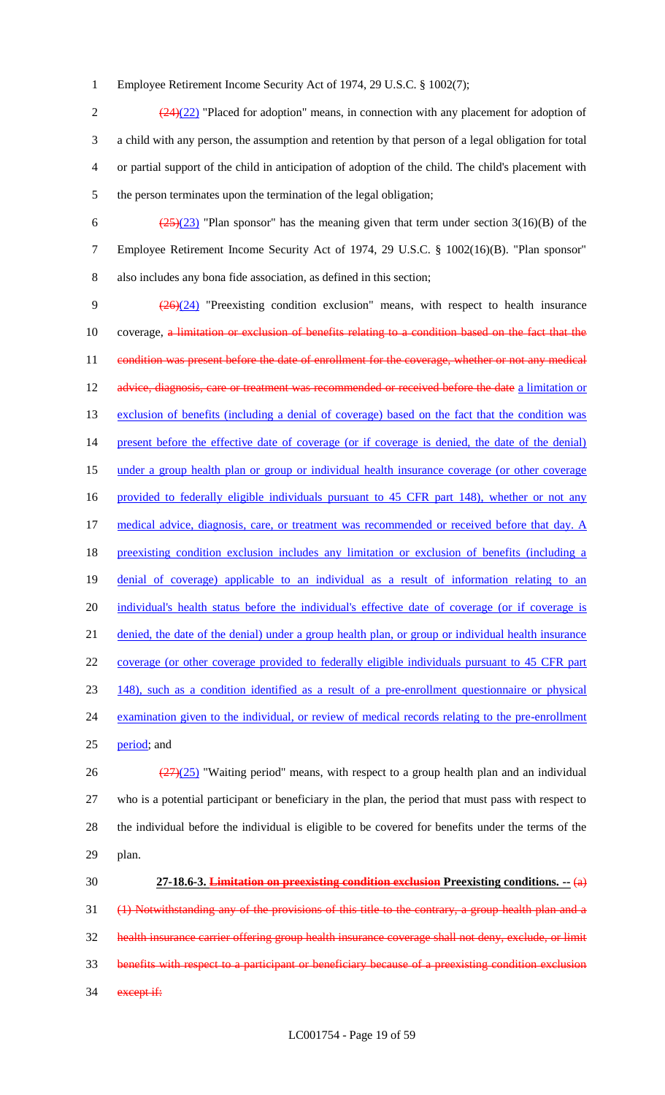1 Employee Retirement Income Security Act of 1974, 29 U.S.C. § 1002(7);

 $\frac{(24)(22)}{24}$  "Placed for adoption" means, in connection with any placement for adoption of a child with any person, the assumption and retention by that person of a legal obligation for total or partial support of the child in anticipation of adoption of the child. The child's placement with the person terminates upon the termination of the legal obligation;

6  $\frac{(25)(23)}{25}$  "Plan sponsor" has the meaning given that term under section 3(16)(B) of the 7 Employee Retirement Income Security Act of 1974, 29 U.S.C. § 1002(16)(B). "Plan sponsor" 8 also includes any bona fide association, as defined in this section;

9 (26)(24) "Preexisting condition exclusion" means, with respect to health insurance 10 coverage, a limitation or exclusion of benefits relating to a condition based on the fact that the 11 condition was present before the date of enrollment for the coverage, whether or not any medical 12 advice, diagnosis, care or treatment was recommended or received before the date a limitation or 13 exclusion of benefits (including a denial of coverage) based on the fact that the condition was 14 present before the effective date of coverage (or if coverage is denied, the date of the denial) 15 under a group health plan or group or individual health insurance coverage (or other coverage 16 provided to federally eligible individuals pursuant to 45 CFR part 148), whether or not any 17 medical advice, diagnosis, care, or treatment was recommended or received before that day. A 18 preexisting condition exclusion includes any limitation or exclusion of benefits (including a 19 denial of coverage) applicable to an individual as a result of information relating to an 20 individual's health status before the individual's effective date of coverage (or if coverage is 21 denied, the date of the denial) under a group health plan, or group or individual health insurance 22 coverage (or other coverage provided to federally eligible individuals pursuant to 45 CFR part 23 148), such as a condition identified as a result of a pre-enrollment questionnaire or physical 24 examination given to the individual, or review of medical records relating to the pre-enrollment 25 period; and 26  $\frac{(27)(25)}{27}$  "Waiting period" means, with respect to a group health plan and an individual

27 who is a potential participant or beneficiary in the plan, the period that must pass with respect to 28 the individual before the individual is eligible to be covered for benefits under the terms of the 29 plan.

 **27-18.6-3. Limitation on preexisting condition exclusion Preexisting conditions. --** (a) (1) Notwithstanding any of the provisions of this title to the contrary, a group health plan and a health insurance carrier offering group health insurance coverage shall not deny, exclude, or limit benefits with respect to a participant or beneficiary because of a preexisting condition exclusion 34 except if: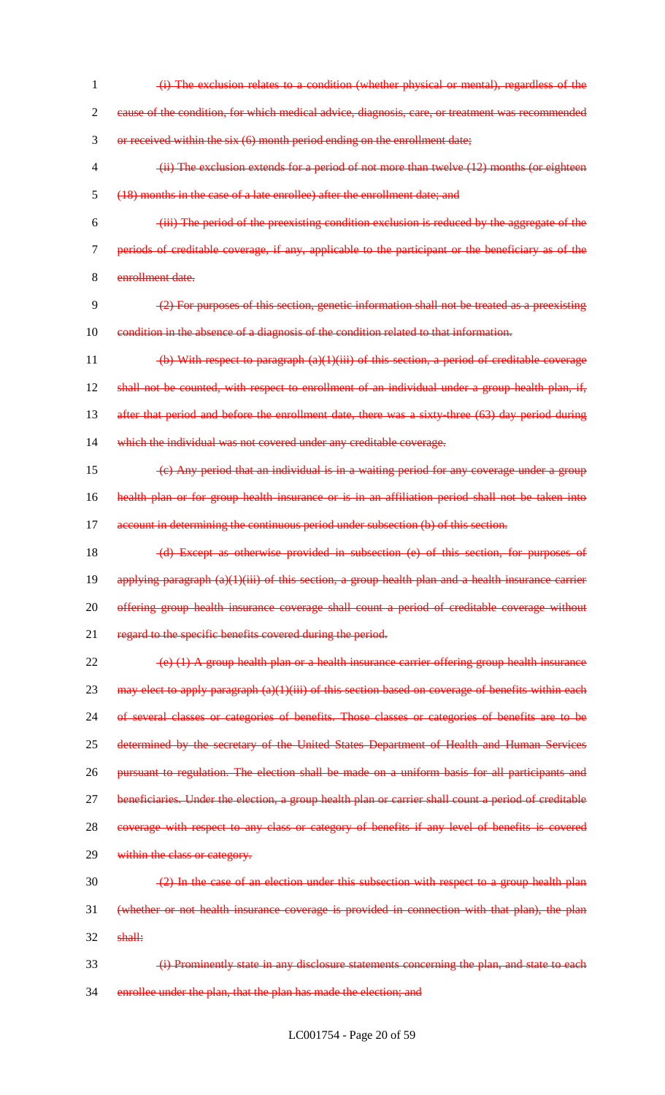1 (i) The exclusion relates to a condition (whether physical or mental), regardless of the 2 cause of the condition, for which medical advice, diagnosis, care, or treatment was recommended 3 or received within the six (6) month period ending on the enrollment date; 4 (ii) The exclusion extends for a period of not more than twelve (12) months (or eighteen 5 (18) months in the case of a late enrollee) after the enrollment date; and 6 (iii) The period of the preexisting condition exclusion is reduced by the aggregate of the 7 periods of creditable coverage, if any, applicable to the participant or the beneficiary as of the 8 enrollment date.  $9 \left( \frac{2}{2} \right)$  For purposes of this section, genetic information shall not be treated as a preexisting 10 condition in the absence of a diagnosis of the condition related to that information. 11 (b) With respect to paragraph (a)(1)(iii) of this section, a period of creditable coverage 12 shall not be counted, with respect to enrollment of an individual under a group health plan, if, 13 after that period and before the enrollment date, there was a sixty-three (63) day period during 14 which the individual was not covered under any creditable coverage.  $15 \left( c \right)$  Any period that an individual is in a waiting period for any coverage under a group 16 health plan or for group health insurance or is in an affiliation period shall not be taken into 17 account in determining the continuous period under subsection (b) of this section. 18 (d) Except as otherwise provided in subsection (e) of this section, for purposes of 19 applying paragraph (a)(1)(iii) of this section, a group health plan and a health insurance carrier 20 offering group health insurance coverage shall count a period of creditable coverage without 21 regard to the specific benefits covered during the period. 22 (e) (1) A group health plan or a health insurance carrier offering group health insurance 23 may elect to apply paragraph  $(a)(1)(iii)$  of this section based on coverage of benefits within each 24 of several classes or categories of benefits. Those classes or categories of benefits are to be 25 determined by the secretary of the United States Department of Health and Human Services 26 pursuant to regulation. The election shall be made on a uniform basis for all participants and 27 beneficiaries. Under the election, a group health plan or carrier shall count a period of creditable 28 coverage with respect to any class or category of benefits if any level of benefits is covered 29 within the class or category.  $\frac{2}{2}$  In the case of an election under this subsection with respect to a group health plan 31 (whether or not health insurance coverage is provided in connection with that plan), the plan  $32$  shall: 33 (i) Prominently state in any disclosure statements concerning the plan, and state to each 34 enrollee under the plan, that the plan has made the election; and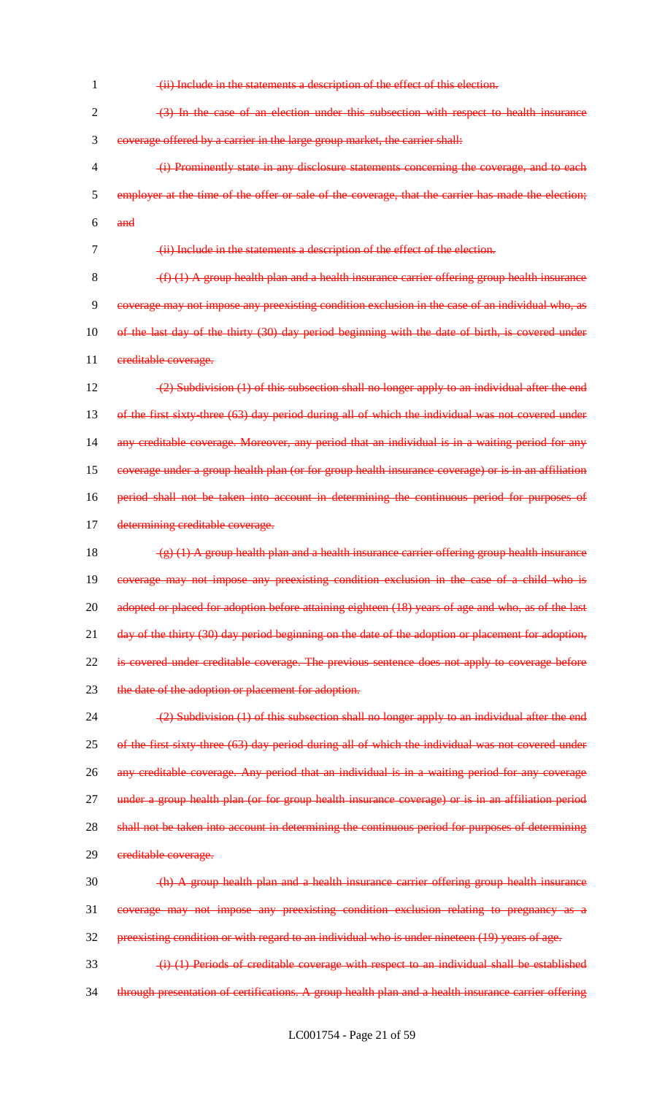- 1 (ii) Include in the statements a description of the effect of this election.  $2 \left(3\right)$  In the case of an election under this subsection with respect to health insurance 3 coverage offered by a carrier in the large group market, the carrier shall: 4 (i) Prominently state in any disclosure statements concerning the coverage, and to each 5 employer at the time of the offer or sale of the coverage, that the carrier has made the election;
- 6 and

7 (ii) Include in the statements a description of the effect of the election.

 $8 \left( f \right) (1)$  A group health plan and a health insurance carrier offering group health insurance 9 coverage may not impose any preexisting condition exclusion in the case of an individual who, as 10 of the last day of the thirty (30) day period beginning with the date of birth, is covered under 11 creditable coverage.

12 (2) Subdivision (1) of this subsection shall no longer apply to an individual after the end 13 of the first sixty-three (63) day period during all of which the individual was not covered under 14 any creditable coverage. Moreover, any period that an individual is in a waiting period for any 15 coverage under a group health plan (or for group health insurance coverage) or is in an affiliation 16 period shall not be taken into account in determining the continuous period for purposes of 17 determining creditable coverage.

18  $(g)(1)$  A group health plan and a health insurance carrier offering group health insurance 19 coverage may not impose any preexisting condition exclusion in the case of a child who is 20 adopted or placed for adoption before attaining eighteen (18) years of age and who, as of the last 21 day of the thirty (30) day period beginning on the date of the adoption or placement for adoption, 22 is covered under creditable coverage. The previous sentence does not apply to coverage before 23 the date of the adoption or placement for adoption.

24 (2) Subdivision (1) of this subsection shall no longer apply to an individual after the end 25 of the first sixty-three (63) day period during all of which the individual was not covered under 26 any creditable coverage. Any period that an individual is in a waiting period for any coverage 27 under a group health plan (or for group health insurance coverage) or is in an affiliation period 28 shall not be taken into account in determining the continuous period for purposes of determining 29 creditable coverage.

 $\frac{1}{20}$  (h) A group health plan and a health insurance carrier offering group health insurance 31 coverage may not impose any preexisting condition exclusion relating to pregnancy as a 32 preexisting condition or with regard to an individual who is under nineteen (19) years of age.

33 (i) (1) Periods of creditable coverage with respect to an individual shall be established 34 through presentation of certifications. A group health plan and a health insurance carrier offering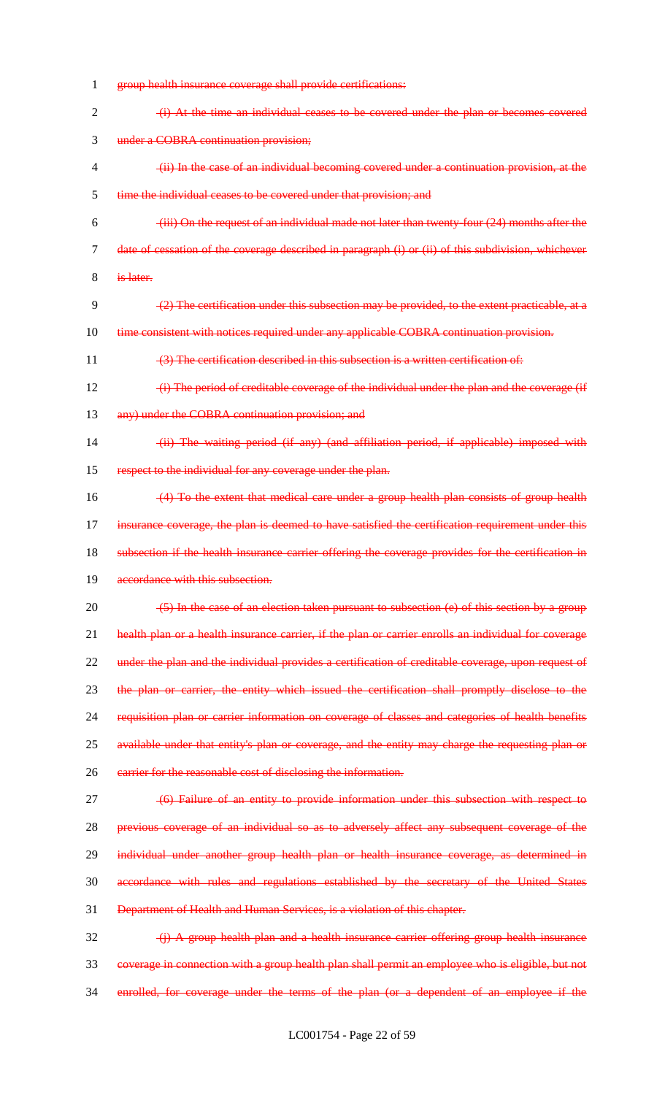- 1 group health insurance coverage shall provide certifications: 2 (i) At the time an individual ceases to be covered under the plan or becomes covered 3 under a COBRA continuation provision; 4 (ii) In the case of an individual becoming covered under a continuation provision, at the 5 time the individual ceases to be covered under that provision; and  $6 \rightarrow$  (iii) On the request of an individual made not later than twenty-four (24) months after the 7 date of cessation of the coverage described in paragraph (i) or (ii) of this subdivision, whichever 8 is later. 9 (2) The certification under this subsection may be provided, to the extent practicable, at a 10 time consistent with notices required under any applicable COBRA continuation provision. 11 (3) The certification described in this subsection is a written certification of: 12 (i) The period of creditable coverage of the individual under the plan and the coverage (if 13 any) under the COBRA continuation provision; and 14 (ii) The waiting period (if any) (and affiliation period, if applicable) imposed with 15 respect to the individual for any coverage under the plan. 16 (4) To the extent that medical care under a group health plan consists of group health 17 insurance coverage, the plan is deemed to have satisfied the certification requirement under this 18 subsection if the health insurance carrier offering the coverage provides for the certification in 19 accordance with this subsection. 20 (5) In the case of an election taken pursuant to subsection (e) of this section by a group 21 health plan or a health insurance carrier, if the plan or carrier enrolls an individual for coverage 22 under the plan and the individual provides a certification of creditable coverage, upon request of 23 the plan or carrier, the entity which issued the certification shall promptly disclose to the 24 requisition plan or carrier information on coverage of classes and categories of health benefits 25 available under that entity's plan or coverage, and the entity may charge the requesting plan or 26 earrier for the reasonable cost of disclosing the information. 27 (6) Failure of an entity to provide information under this subsection with respect to 28 previous coverage of an individual so as to adversely affect any subsequent coverage of the 29 individual under another group health plan or health insurance coverage, as determined in 30 accordance with rules and regulations established by the secretary of the United States 31 Department of Health and Human Services, is a violation of this chapter.  $32$  (i) A group health plan and a health insurance carrier offering group health insurance 33 coverage in connection with a group health plan shall permit an employee who is eligible, but not
- 34 enrolled, for coverage under the terms of the plan (or a dependent of an employee if the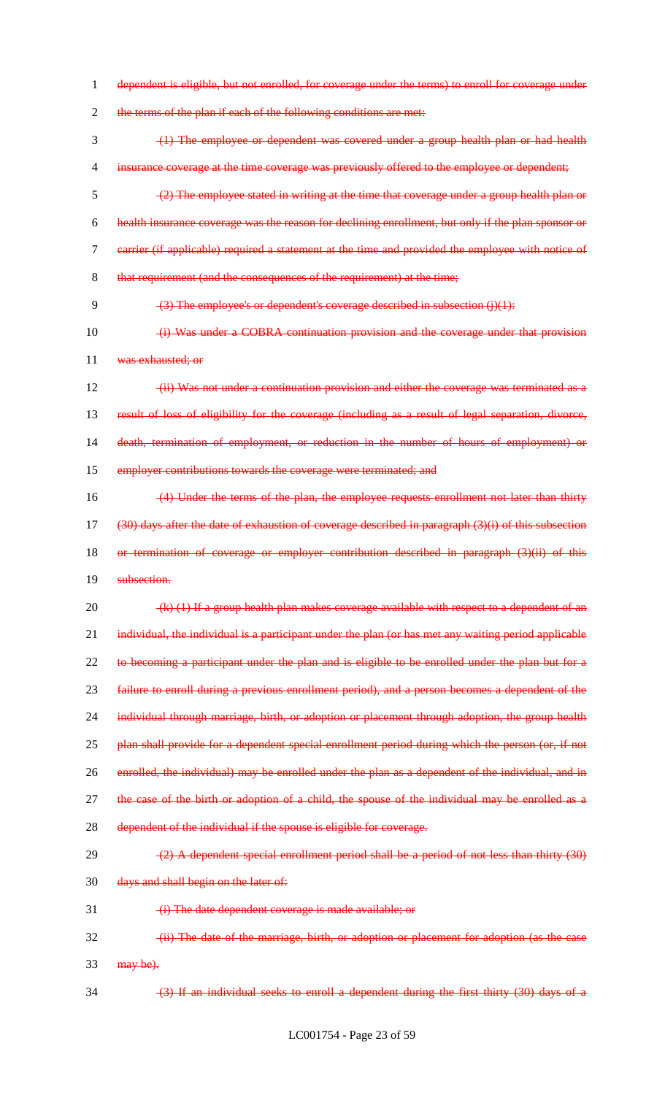1 dependent is eligible, but not enrolled, for coverage under the terms) to enroll for coverage under

2 the terms of the plan if each of the following conditions are met:

 (1) The employee or dependent was covered under a group health plan or had health 4 insurance coverage at the time coverage was previously offered to the employee or dependent; (2) The employee stated in writing at the time that coverage under a group health plan or health insurance coverage was the reason for declining enrollment, but only if the plan sponsor or carrier (if applicable) required a statement at the time and provided the employee with notice of 8 that requirement (and the consequences of the requirement) at the time;

9 (3) The employee's or dependent's coverage described in subsection (j)(1):

10 (i) Was under a COBRA continuation provision and the coverage under that provision 11 was exhausted; or

12 (ii) Was not under a continuation provision and either the coverage was terminated as a 13 result of loss of eligibility for the coverage (including as a result of legal separation, divorce, 14 death, termination of employment, or reduction in the number of hours of employment) or 15 employer contributions towards the coverage were terminated; and

16 (4) Under the terms of the plan, the employee requests enrollment not later than thirty  $17$  (30) days after the date of exhaustion of coverage described in paragraph (3)(i) of this subsection 18 or termination of coverage or employer contribution described in paragraph (3)(ii) of this

19 subsection.

20  $(k)$  (1) If a group health plan makes coverage available with respect to a dependent of an 21 individual, the individual is a participant under the plan (or has met any waiting period applicable 22 to becoming a participant under the plan and is eligible to be enrolled under the plan but for a 23 failure to enroll during a previous enrollment period), and a person becomes a dependent of the 24 individual through marriage, birth, or adoption or placement through adoption, the group health 25 plan shall provide for a dependent special enrollment period during which the person (or, if not 26 enrolled, the individual) may be enrolled under the plan as a dependent of the individual, and in 27 the case of the birth or adoption of a child, the spouse of the individual may be enrolled as a 28 dependent of the individual if the spouse is eligible for coverage.

 $(2)$  (2) A dependent special enrollment period shall be a period of not less than thirty  $(30)$ 

30 days and shall begin on the later of:

31 (i) The date dependent coverage is made available; or

32 (ii) The date of the marriage, birth, or adoption or placement for adoption (as the case  $33$  may be).

34 (3) If an individual seeks to enroll a dependent during the first thirty (30) days of a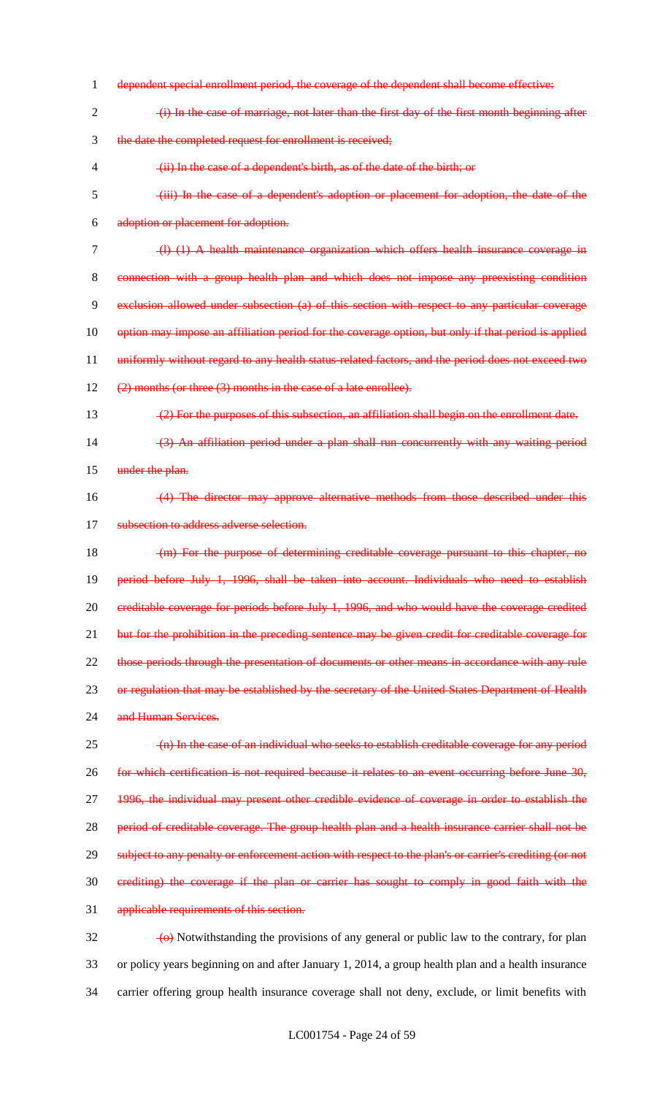dependent special enrollment period, the coverage of the dependent shall become effective: (i) In the case of marriage, not later than the first day of the first month beginning after the date the completed request for enrollment is received; (ii) In the case of a dependent's birth, as of the date of the birth; or (iii) In the case of a dependent's adoption or placement for adoption, the date of the adoption or placement for adoption. (l) (1) A health maintenance organization which offers health insurance coverage in connection with a group health plan and which does not impose any preexisting condition exclusion allowed under subsection (a) of this section with respect to any particular coverage option may impose an affiliation period for the coverage option, but only if that period is applied 11 uniformly without regard to any health status-related factors, and the period does not exceed two 12 (2) months (or three (3) months in the case of a late enrollee). (2) For the purposes of this subsection, an affiliation shall begin on the enrollment date. (3) An affiliation period under a plan shall run concurrently with any waiting period 15 under the plan. (4) The director may approve alternative methods from those described under this 17 subsection to address adverse selection. 18 (m) For the purpose of determining creditable coverage pursuant to this chapter, no period before July 1, 1996, shall be taken into account. Individuals who need to establish creditable coverage for periods before July 1, 1996, and who would have the coverage credited 21 but for the prohibition in the preceding sentence may be given credit for creditable coverage for 22 those periods through the presentation of documents or other means in accordance with any rule 23 or regulation that may be established by the secretary of the United States Department of Health 24 and Human Services. (n) In the case of an individual who seeks to establish creditable coverage for any period for which certification is not required because it relates to an event occurring before June 30, 1996, the individual may present other credible evidence of coverage in order to establish the 28 period of creditable coverage. The group health plan and a health insurance carrier shall not be 29 subject to any penalty or enforcement action with respect to the plan's or carrier's crediting (or not crediting) the coverage if the plan or carrier has sought to comply in good faith with the applicable requirements of this section.  $\frac{1}{2}$  (o) Notwithstanding the provisions of any general or public law to the contrary, for plan

 or policy years beginning on and after January 1, 2014, a group health plan and a health insurance carrier offering group health insurance coverage shall not deny, exclude, or limit benefits with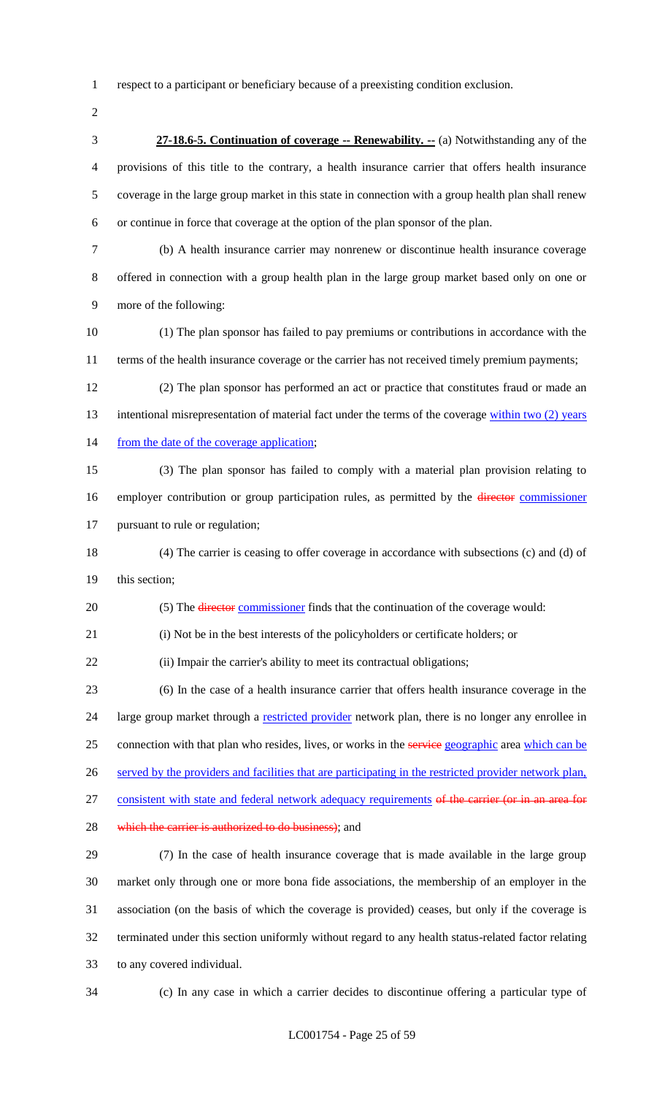respect to a participant or beneficiary because of a preexisting condition exclusion.

 **27-18.6-5. Continuation of coverage -- Renewability. --** (a) Notwithstanding any of the provisions of this title to the contrary, a health insurance carrier that offers health insurance coverage in the large group market in this state in connection with a group health plan shall renew or continue in force that coverage at the option of the plan sponsor of the plan.

 (b) A health insurance carrier may nonrenew or discontinue health insurance coverage offered in connection with a group health plan in the large group market based only on one or more of the following:

 (1) The plan sponsor has failed to pay premiums or contributions in accordance with the terms of the health insurance coverage or the carrier has not received timely premium payments;

 (2) The plan sponsor has performed an act or practice that constitutes fraud or made an 13 intentional misrepresentation of material fact under the terms of the coverage within two (2) years 14 from the date of the coverage application;

 (3) The plan sponsor has failed to comply with a material plan provision relating to 16 employer contribution or group participation rules, as permitted by the *director commissioner* pursuant to rule or regulation;

 (4) The carrier is ceasing to offer coverage in accordance with subsections (c) and (d) of this section;

20 (5) The director commissioner finds that the continuation of the coverage would:

(i) Not be in the best interests of the policyholders or certificate holders; or

22 (ii) Impair the carrier's ability to meet its contractual obligations;

 (6) In the case of a health insurance carrier that offers health insurance coverage in the 24 large group market through a restricted provider network plan, there is no longer any enrollee in 25 connection with that plan who resides, lives, or works in the service geographic area which can be 26 served by the providers and facilities that are participating in the restricted provider network plan, 27 consistent with state and federal network adequacy requirements of the carrier (or in an area for

28 which the carrier is authorized to do business); and

 (7) In the case of health insurance coverage that is made available in the large group market only through one or more bona fide associations, the membership of an employer in the association (on the basis of which the coverage is provided) ceases, but only if the coverage is terminated under this section uniformly without regard to any health status-related factor relating to any covered individual.

(c) In any case in which a carrier decides to discontinue offering a particular type of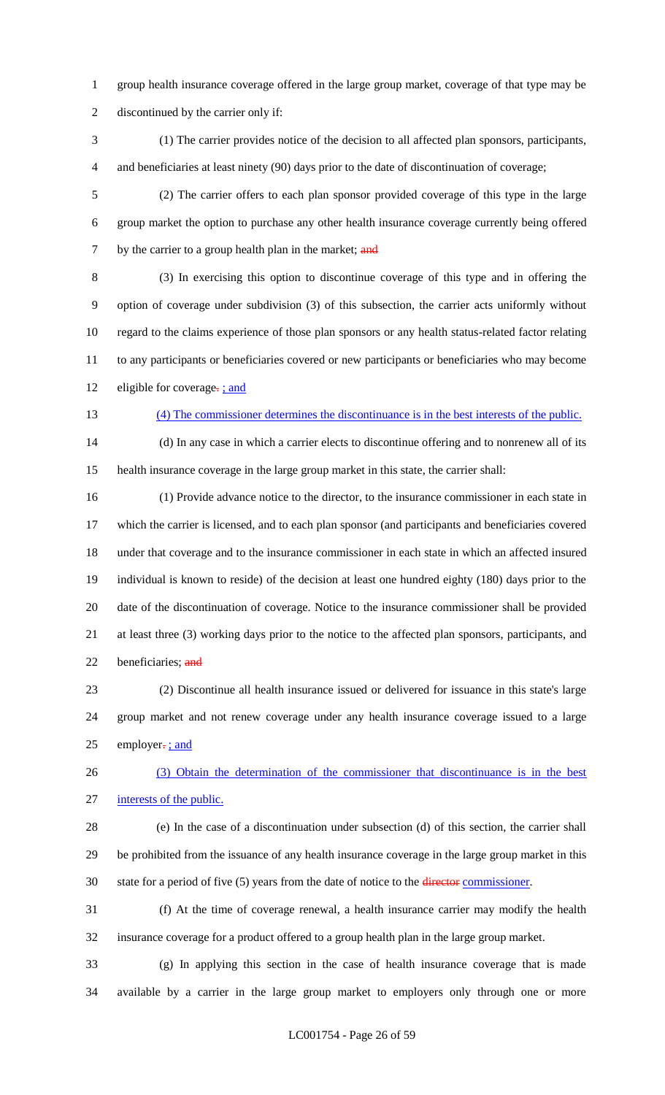- group health insurance coverage offered in the large group market, coverage of that type may be discontinued by the carrier only if:
- (1) The carrier provides notice of the decision to all affected plan sponsors, participants, and beneficiaries at least ninety (90) days prior to the date of discontinuation of coverage;
- (2) The carrier offers to each plan sponsor provided coverage of this type in the large group market the option to purchase any other health insurance coverage currently being offered 7 by the carrier to a group health plan in the market; and
- (3) In exercising this option to discontinue coverage of this type and in offering the option of coverage under subdivision (3) of this subsection, the carrier acts uniformly without regard to the claims experience of those plan sponsors or any health status-related factor relating to any participants or beneficiaries covered or new participants or beneficiaries who may become 12 eligible for coverage-; and
- 

# (4) The commissioner determines the discontinuance is in the best interests of the public.

 (d) In any case in which a carrier elects to discontinue offering and to nonrenew all of its health insurance coverage in the large group market in this state, the carrier shall:

 (1) Provide advance notice to the director, to the insurance commissioner in each state in which the carrier is licensed, and to each plan sponsor (and participants and beneficiaries covered under that coverage and to the insurance commissioner in each state in which an affected insured individual is known to reside) of the decision at least one hundred eighty (180) days prior to the date of the discontinuation of coverage. Notice to the insurance commissioner shall be provided at least three (3) working days prior to the notice to the affected plan sponsors, participants, and 22 beneficiaries; and

 (2) Discontinue all health insurance issued or delivered for issuance in this state's large group market and not renew coverage under any health insurance coverage issued to a large 25 employer $\frac{1}{2}$  ; and

 (3) Obtain the determination of the commissioner that discontinuance is in the best interests of the public.

- (e) In the case of a discontinuation under subsection (d) of this section, the carrier shall be prohibited from the issuance of any health insurance coverage in the large group market in this 30 state for a period of five (5) years from the date of notice to the director commissioner.
- (f) At the time of coverage renewal, a health insurance carrier may modify the health insurance coverage for a product offered to a group health plan in the large group market.

 (g) In applying this section in the case of health insurance coverage that is made available by a carrier in the large group market to employers only through one or more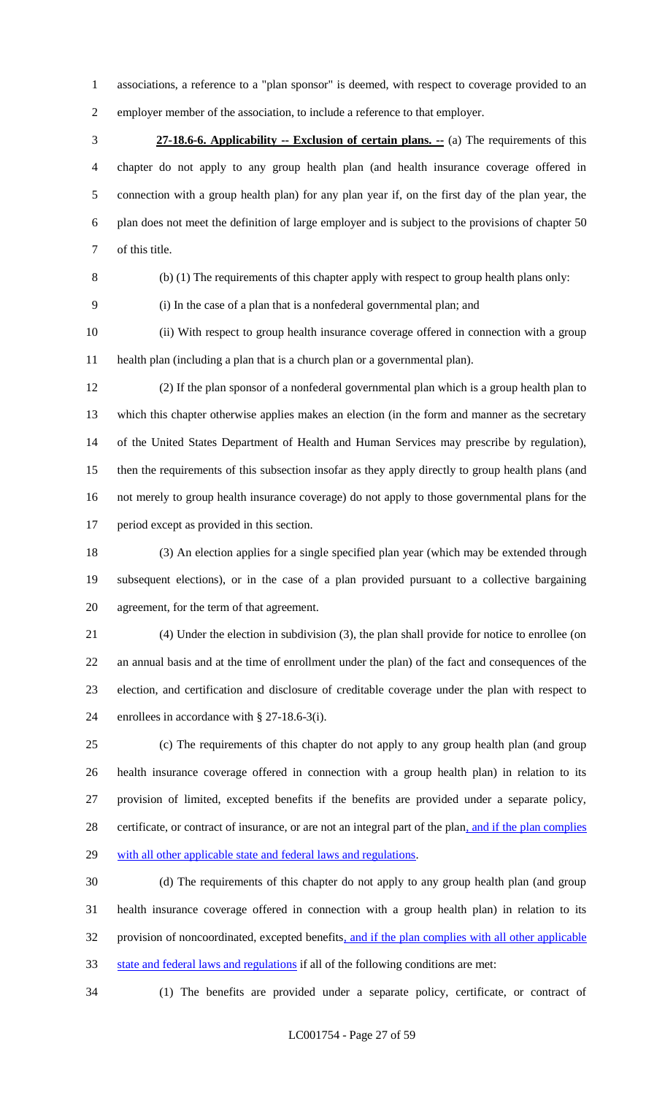associations, a reference to a "plan sponsor" is deemed, with respect to coverage provided to an employer member of the association, to include a reference to that employer.

 **27-18.6-6. Applicability -- Exclusion of certain plans. --** (a) The requirements of this chapter do not apply to any group health plan (and health insurance coverage offered in connection with a group health plan) for any plan year if, on the first day of the plan year, the plan does not meet the definition of large employer and is subject to the provisions of chapter 50 of this title.

(b) (1) The requirements of this chapter apply with respect to group health plans only:

(i) In the case of a plan that is a nonfederal governmental plan; and

 (ii) With respect to group health insurance coverage offered in connection with a group health plan (including a plan that is a church plan or a governmental plan).

 (2) If the plan sponsor of a nonfederal governmental plan which is a group health plan to which this chapter otherwise applies makes an election (in the form and manner as the secretary of the United States Department of Health and Human Services may prescribe by regulation), then the requirements of this subsection insofar as they apply directly to group health plans (and not merely to group health insurance coverage) do not apply to those governmental plans for the period except as provided in this section.

 (3) An election applies for a single specified plan year (which may be extended through subsequent elections), or in the case of a plan provided pursuant to a collective bargaining agreement, for the term of that agreement.

 (4) Under the election in subdivision (3), the plan shall provide for notice to enrollee (on an annual basis and at the time of enrollment under the plan) of the fact and consequences of the election, and certification and disclosure of creditable coverage under the plan with respect to enrollees in accordance with § 27-18.6-3(i).

 (c) The requirements of this chapter do not apply to any group health plan (and group health insurance coverage offered in connection with a group health plan) in relation to its provision of limited, excepted benefits if the benefits are provided under a separate policy, 28 certificate, or contract of insurance, or are not an integral part of the plan, and if the plan complies 29 with all other applicable state and federal laws and regulations.

 (d) The requirements of this chapter do not apply to any group health plan (and group health insurance coverage offered in connection with a group health plan) in relation to its 32 provision of noncoordinated, excepted benefits, and if the plan complies with all other applicable state and federal laws and regulations if all of the following conditions are met:

(1) The benefits are provided under a separate policy, certificate, or contract of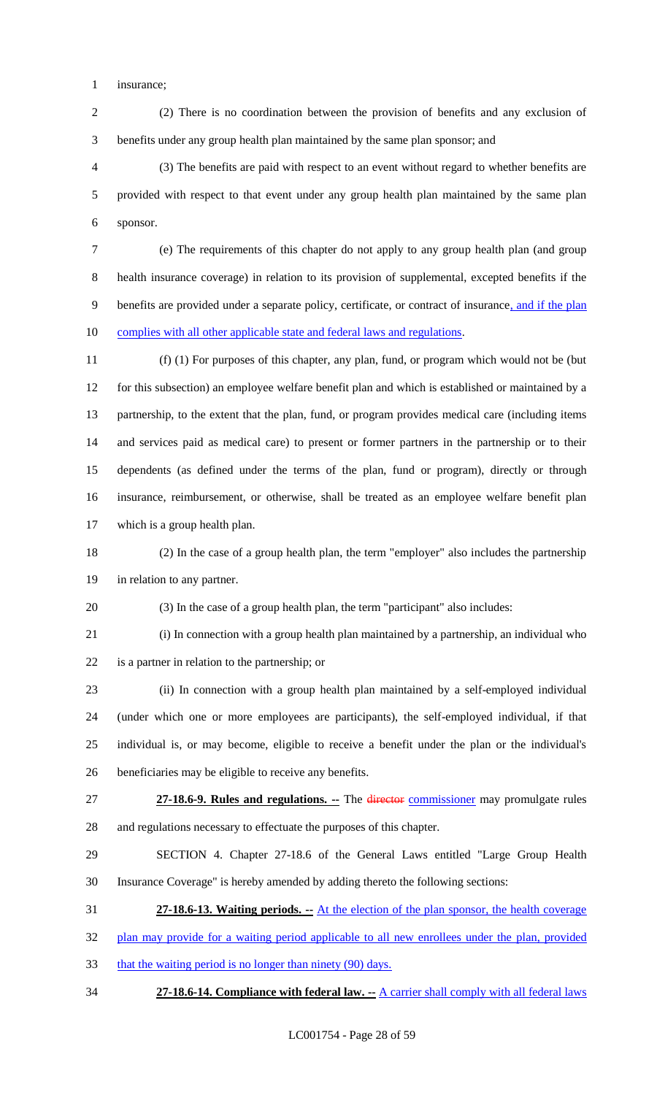insurance;

 (2) There is no coordination between the provision of benefits and any exclusion of benefits under any group health plan maintained by the same plan sponsor; and

 (3) The benefits are paid with respect to an event without regard to whether benefits are provided with respect to that event under any group health plan maintained by the same plan sponsor.

 (e) The requirements of this chapter do not apply to any group health plan (and group health insurance coverage) in relation to its provision of supplemental, excepted benefits if the 9 benefits are provided under a separate policy, certificate, or contract of insurance, and if the plan 10 complies with all other applicable state and federal laws and regulations.

 (f) (1) For purposes of this chapter, any plan, fund, or program which would not be (but for this subsection) an employee welfare benefit plan and which is established or maintained by a partnership, to the extent that the plan, fund, or program provides medical care (including items and services paid as medical care) to present or former partners in the partnership or to their dependents (as defined under the terms of the plan, fund or program), directly or through insurance, reimbursement, or otherwise, shall be treated as an employee welfare benefit plan which is a group health plan.

 (2) In the case of a group health plan, the term "employer" also includes the partnership in relation to any partner.

(3) In the case of a group health plan, the term "participant" also includes:

 (i) In connection with a group health plan maintained by a partnership, an individual who is a partner in relation to the partnership; or

 (ii) In connection with a group health plan maintained by a self-employed individual (under which one or more employees are participants), the self-employed individual, if that individual is, or may become, eligible to receive a benefit under the plan or the individual's beneficiaries may be eligible to receive any benefits.

 **27-18.6-9. Rules and regulations. --** The director commissioner may promulgate rules and regulations necessary to effectuate the purposes of this chapter.

 SECTION 4. Chapter 27-18.6 of the General Laws entitled "Large Group Health Insurance Coverage" is hereby amended by adding thereto the following sections:

**27-18.6-13. Waiting periods. --** At the election of the plan sponsor, the health coverage

32 plan may provide for a waiting period applicable to all new enrollees under the plan, provided

33 that the waiting period is no longer than ninety (90) days.

**27-18.6-14. Compliance with federal law. --** A carrier shall comply with all federal laws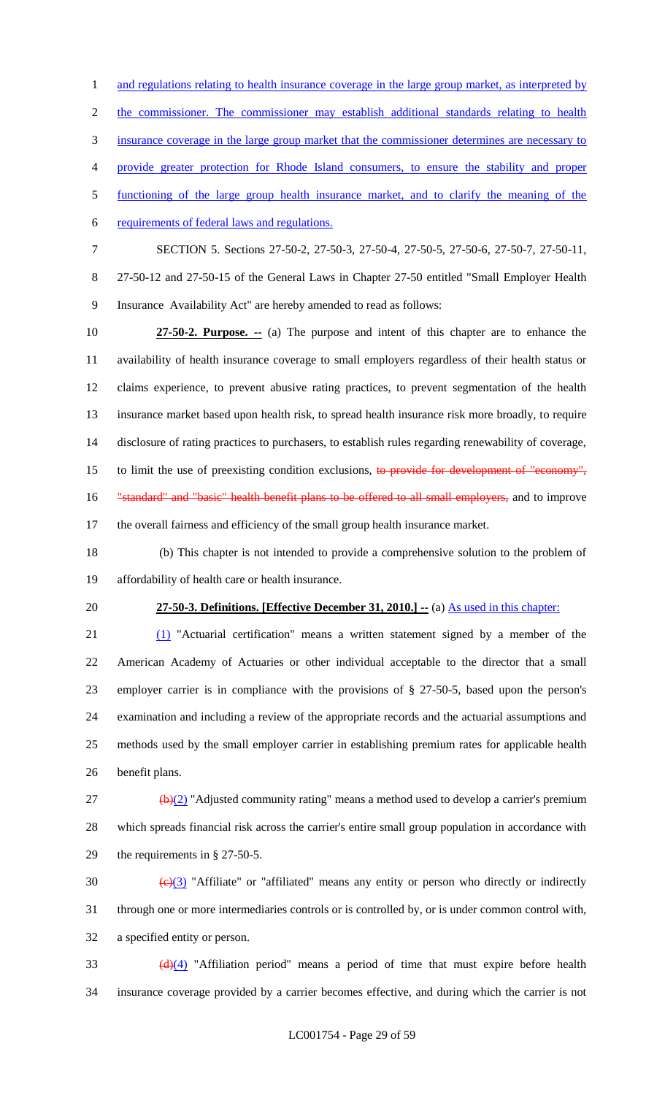1 and regulations relating to health insurance coverage in the large group market, as interpreted by the commissioner. The commissioner may establish additional standards relating to health insurance coverage in the large group market that the commissioner determines are necessary to provide greater protection for Rhode Island consumers, to ensure the stability and proper functioning of the large group health insurance market, and to clarify the meaning of the requirements of federal laws and regulations. SECTION 5. Sections 27-50-2, 27-50-3, 27-50-4, 27-50-5, 27-50-6, 27-50-7, 27-50-11, 27-50-12 and 27-50-15 of the General Laws in Chapter 27-50 entitled "Small Employer Health Insurance Availability Act" are hereby amended to read as follows:

 **27-50-2. Purpose. --** (a) The purpose and intent of this chapter are to enhance the availability of health insurance coverage to small employers regardless of their health status or claims experience, to prevent abusive rating practices, to prevent segmentation of the health insurance market based upon health risk, to spread health insurance risk more broadly, to require disclosure of rating practices to purchasers, to establish rules regarding renewability of coverage, 15 to limit the use of preexisting condition exclusions, to provide for development of "economy", 16 "standard" and "basic" health benefit plans to be offered to all small employers, and to improve the overall fairness and efficiency of the small group health insurance market.

 (b) This chapter is not intended to provide a comprehensive solution to the problem of affordability of health care or health insurance.

#### **27-50-3. Definitions. [Effective December 31, 2010.] --** (a) As used in this chapter:

 (1) "Actuarial certification" means a written statement signed by a member of the American Academy of Actuaries or other individual acceptable to the director that a small employer carrier is in compliance with the provisions of § 27-50-5, based upon the person's examination and including a review of the appropriate records and the actuarial assumptions and methods used by the small employer carrier in establishing premium rates for applicable health benefit plans.

 (b)(2) "Adjusted community rating" means a method used to develop a carrier's premium which spreads financial risk across the carrier's entire small group population in accordance with the requirements in § 27-50-5.

30  $\left(\frac{e}{3}\right)$  "Affiliate" or "affiliated" means any entity or person who directly or indirectly through one or more intermediaries controls or is controlled by, or is under common control with, a specified entity or person.

 $\frac{d}{d\mu}$  "Affiliation period" means a period of time that must expire before health insurance coverage provided by a carrier becomes effective, and during which the carrier is not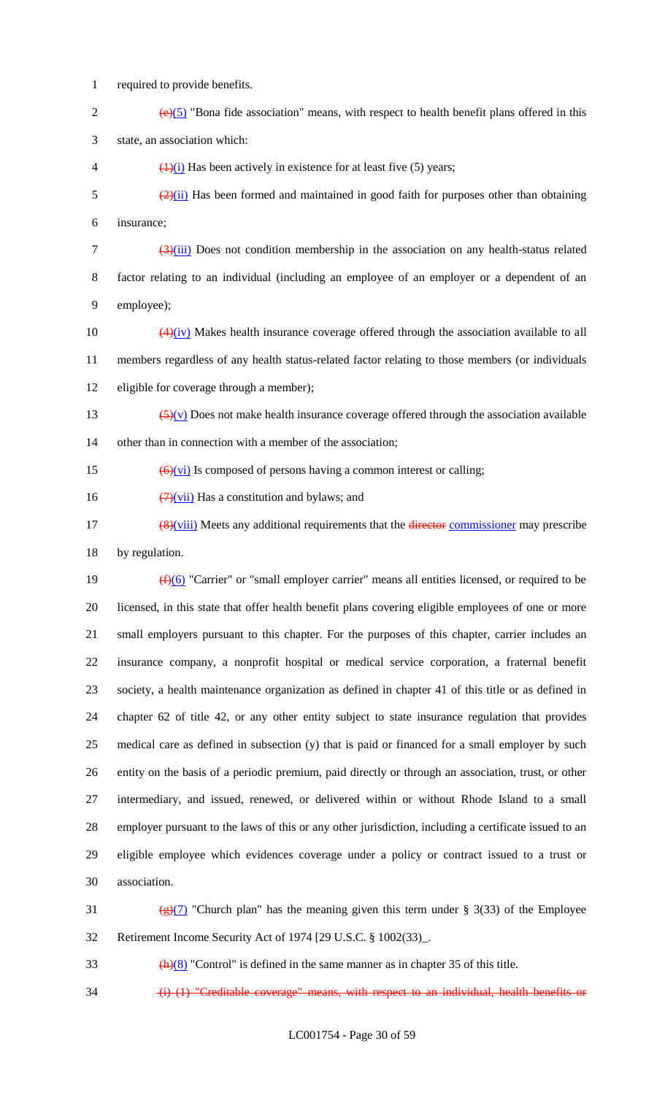1 required to provide benefits.

- 2  $(e)(5)$  "Bona fide association" means, with respect to health benefit plans offered in this 3 state, an association which:
- 4  $\left(\frac{1}{i}\right)$  Has been actively in existence for at least five (5) years;
- $\frac{(2)(ii)}{(2)(ii)}$  Has been formed and maintained in good faith for purposes other than obtaining 6 insurance;

 $\frac{(3)(iii)}{(2)(ii)}$  Does not condition membership in the association on any health-status related 8 factor relating to an individual (including an employee of an employer or a dependent of an 9 employee);

- 10  $\left(4\right)\left(iv\right)$  Makes health insurance coverage offered through the association available to all 11 members regardless of any health status-related factor relating to those members (or individuals 12 eligible for coverage through a member);
- 13  $\left(\frac{5}{y}\right)$  Does not make health insurance coverage offered through the association available 14 other than in connection with a member of the association:
- 15  $\left(\frac{6}{\sqrt{v}}\right)$  Is composed of persons having a common interest or calling;
- 16  $\left(\frac{7}{10}\right)$  Has a constitution and bylaws; and
- $\frac{48}{v\text{iii}}$  Meets any additional requirements that the director commissioner may prescribe 18 by regulation.

 $(f)(6)$  "Carrier" or "small employer carrier" means all entities licensed, or required to be licensed, in this state that offer health benefit plans covering eligible employees of one or more small employers pursuant to this chapter. For the purposes of this chapter, carrier includes an insurance company, a nonprofit hospital or medical service corporation, a fraternal benefit society, a health maintenance organization as defined in chapter 41 of this title or as defined in chapter 62 of title 42, or any other entity subject to state insurance regulation that provides medical care as defined in subsection (y) that is paid or financed for a small employer by such entity on the basis of a periodic premium, paid directly or through an association, trust, or other intermediary, and issued, renewed, or delivered within or without Rhode Island to a small employer pursuant to the laws of this or any other jurisdiction, including a certificate issued to an eligible employee which evidences coverage under a policy or contract issued to a trust or association.

- 31 (g)(7) "Church plan" has the meaning given this term under § 3(33) of the Employee 32 Retirement Income Security Act of 1974 [29 U.S.C. § 1002(33)\_.
- $\frac{h(8)}{2}$  "Control" is defined in the same manner as in chapter 35 of this title.
- 34 (i) (1) "Creditable coverage" means, with respect to an individual, health benefits or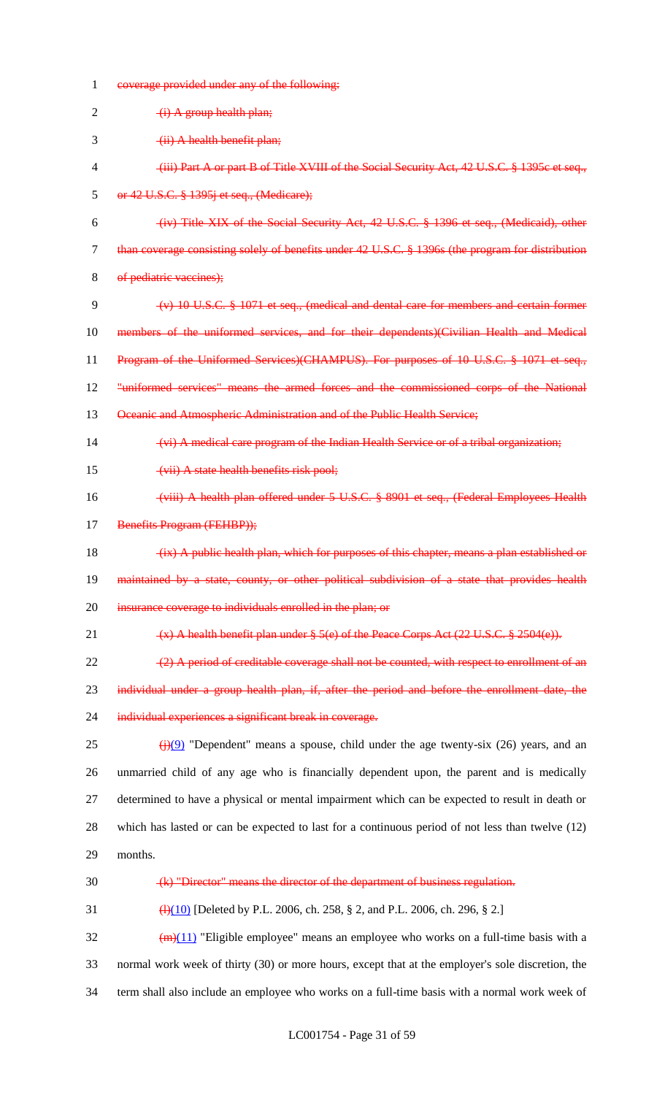| 1      | coverage provided under any of the following:                                                             |
|--------|-----------------------------------------------------------------------------------------------------------|
| 2      | $(i)$ A group health plan;                                                                                |
| 3      | (ii) A health benefit plan;                                                                               |
| 4      | (iii) Part A or part B of Title XVIII of the Social Security Act, 42 U.S.C. § 1395c et seq.,              |
| 5      | or 42 U.S.C. § 1395j et seq., (Medicare);                                                                 |
| 6      | (iv) Title XIX of the Social Security Act, 42 U.S.C. § 1396 et seq., (Medicaid), other                    |
| $\tau$ | than coverage consisting solely of benefits under 42 U.S.C. § 1396s (the program for distribution         |
| 8      | of pediatric vaccines);                                                                                   |
| 9      | $(v)$ 10 U.S.C. $\frac{8}{5}$ 1071 et seq., (medical and dental care for members and certain former       |
| 10     | members of the uniformed services, and for their dependents)(Civilian Health and Medical                  |
| 11     | Program of the Uniformed Services)(CHAMPUS). For purposes of 10 U.S.C. § 1071 et seq.,                    |
| 12     | "uniformed services" means the armed forces and the commissioned corps of the National                    |
| 13     | Oceanic and Atmospheric Administration and of the Public Health Service;                                  |
| 14     | (vi) A medical care program of the Indian Health Service or of a tribal organization;                     |
| 15     | (vii) A state health benefits risk pool;                                                                  |
| 16     | (viii) A health plan offered under 5 U.S.C. § 8901 et seq., (Federal Employees Health                     |
| 17     | Benefits Program (FEHBP));                                                                                |
| 18     | (ix) A public health plan, which for purposes of this chapter, means a plan established or                |
| 19     | maintained by a state, county, or other political subdivision of a state that provides health             |
| 20     | insurance coverage to individuals enrolled in the plan; or                                                |
| 21     | $(x)$ A health benefit plan under § 5(e) of the Peace Corps Act (22 U.S.C. § 2504(e)).                    |
| 22     | $(2)$ A period of creditable coverage shall not be counted, with respect to enrollment of an              |
| 23     | individual under a group health plan, if, after the period and before the enrollment date, the            |
| 24     | individual experiences a significant break in coverage.                                                   |
| 25     | $\frac{f(\cdot)}{f(\cdot)}$ "Dependent" means a spouse, child under the age twenty-six (26) years, and an |
| 26     | unmarried child of any age who is financially dependent upon, the parent and is medically                 |
| 27     | determined to have a physical or mental impairment which can be expected to result in death or            |
| 28     | which has lasted or can be expected to last for a continuous period of not less than twelve $(12)$        |
| 29     | months.                                                                                                   |
| 30     | (k) "Director" means the director of the department of business regulation.                               |
| 31     | $\frac{4(10)}{10}$ [Deleted by P.L. 2006, ch. 258, § 2, and P.L. 2006, ch. 296, § 2.]                     |
| 32     | $\left(\frac{m}{11}\right)$ "Eligible employee" means an employee who works on a full-time basis with a   |
| 33     | normal work week of thirty (30) or more hours, except that at the employer's sole discretion, the         |
| 34     | term shall also include an employee who works on a full-time basis with a normal work week of             |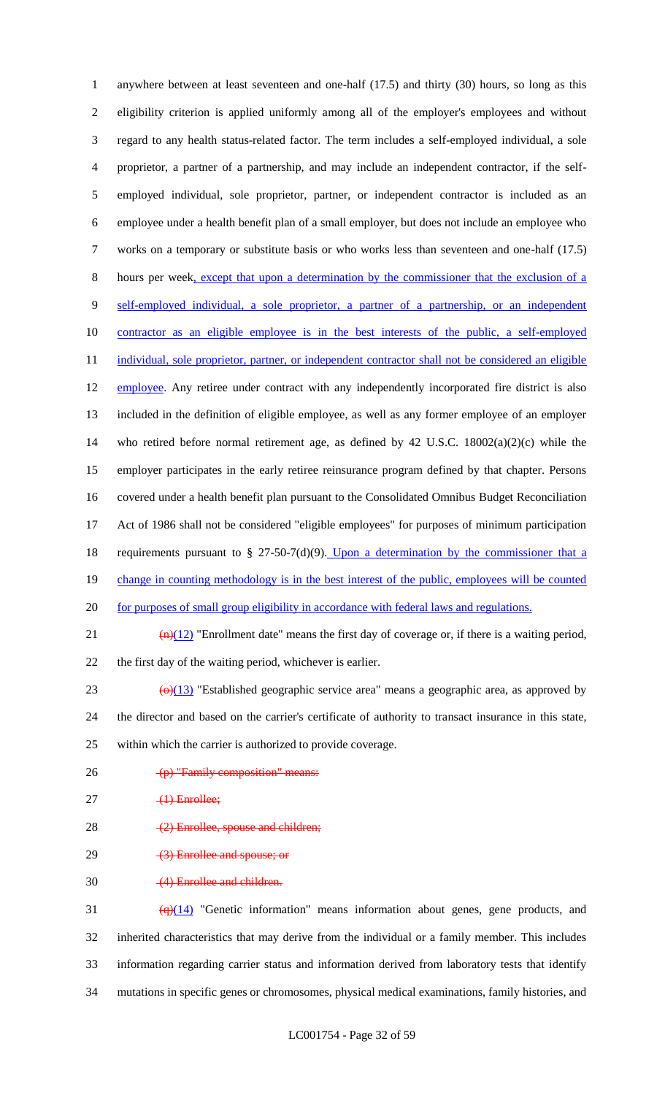anywhere between at least seventeen and one-half (17.5) and thirty (30) hours, so long as this eligibility criterion is applied uniformly among all of the employer's employees and without regard to any health status-related factor. The term includes a self-employed individual, a sole proprietor, a partner of a partnership, and may include an independent contractor, if the self- employed individual, sole proprietor, partner, or independent contractor is included as an employee under a health benefit plan of a small employer, but does not include an employee who works on a temporary or substitute basis or who works less than seventeen and one-half (17.5) hours per week, except that upon a determination by the commissioner that the exclusion of a self-employed individual, a sole proprietor, a partner of a partnership, or an independent contractor as an eligible employee is in the best interests of the public, a self-employed 11 individual, sole proprietor, partner, or independent contractor shall not be considered an eligible 12 employee. Any retiree under contract with any independently incorporated fire district is also included in the definition of eligible employee, as well as any former employee of an employer who retired before normal retirement age, as defined by 42 U.S.C. 18002(a)(2)(c) while the employer participates in the early retiree reinsurance program defined by that chapter. Persons covered under a health benefit plan pursuant to the Consolidated Omnibus Budget Reconciliation Act of 1986 shall not be considered "eligible employees" for purposes of minimum participation 18 requirements pursuant to  $\S$  27-50-7(d)(9). Upon a determination by the commissioner that a 19 change in counting methodology is in the best interest of the public, employees will be counted 20 for purposes of small group eligibility in accordance with federal laws and regulations.  $\frac{(n)(12)}{2}$  "Enrollment date" means the first day of coverage or, if there is a waiting period, the first day of the waiting period, whichever is earlier.  $\left(\Theta\right)(13)$  "Established geographic service area" means a geographic area, as approved by the director and based on the carrier's certificate of authority to transact insurance in this state, within which the carrier is authorized to provide coverage. 26 (p) "Family composition" means:  $27 \t\t (1)$  Enrollee; 28 (2) Enrollee, spouse and children; 29 (3) Enrollee and spouse; or (4) Enrollee and children.

 $\left(\frac{q}{14}\right)$  "Genetic information" means information about genes, gene products, and inherited characteristics that may derive from the individual or a family member. This includes information regarding carrier status and information derived from laboratory tests that identify mutations in specific genes or chromosomes, physical medical examinations, family histories, and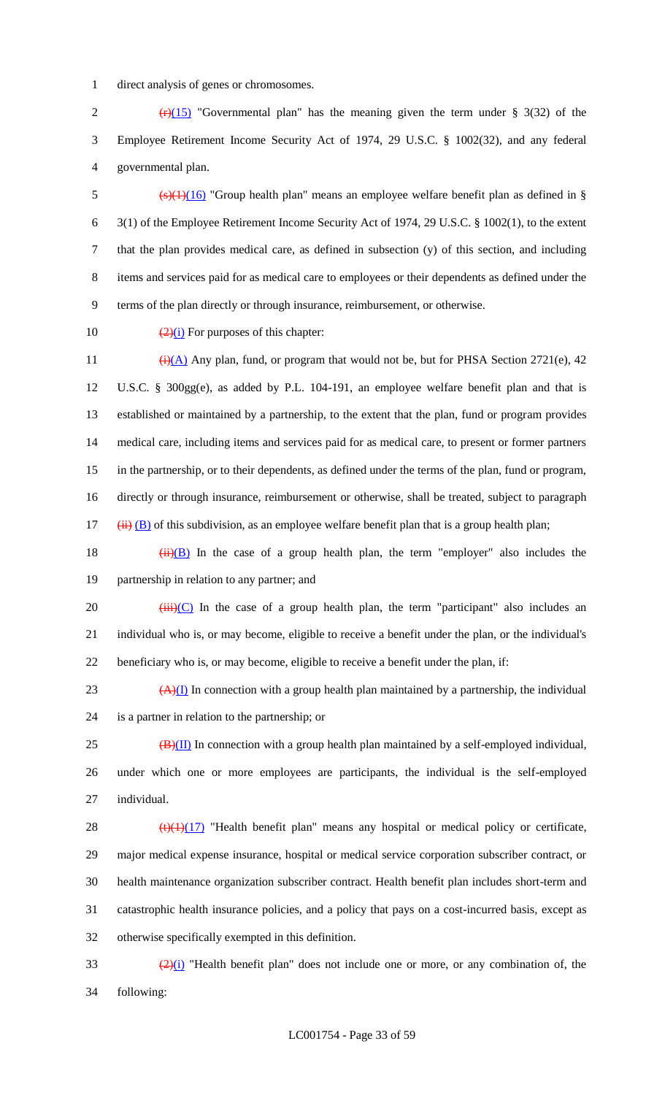direct analysis of genes or chromosomes.

2  $(r)(15)$  "Governmental plan" has the meaning given the term under § 3(32) of the Employee Retirement Income Security Act of 1974, 29 U.S.C. § 1002(32), and any federal governmental plan.

5 (s)(1)(16) "Group health plan" means an employee welfare benefit plan as defined in § 3(1) of the Employee Retirement Income Security Act of 1974, 29 U.S.C. § 1002(1), to the extent that the plan provides medical care, as defined in subsection (y) of this section, and including items and services paid for as medical care to employees or their dependents as defined under the terms of the plan directly or through insurance, reimbursement, or otherwise.

10  $\frac{(2)(i)}{(2+i)}$  For purposes of this chapter:

 $(i)(A)$  Any plan, fund, or program that would not be, but for PHSA Section 2721(e), 42 U.S.C. § 300gg(e), as added by P.L. 104-191, an employee welfare benefit plan and that is established or maintained by a partnership, to the extent that the plan, fund or program provides medical care, including items and services paid for as medical care, to present or former partners in the partnership, or to their dependents, as defined under the terms of the plan, fund or program, directly or through insurance, reimbursement or otherwise, shall be treated, subject to paragraph (ii) (B) of this subdivision, as an employee welfare benefit plan that is a group health plan;

18  $(ii)(B)$  In the case of a group health plan, the term "employer" also includes the partnership in relation to any partner; and

20  $(iii)(C)$  In the case of a group health plan, the term "participant" also includes an individual who is, or may become, eligible to receive a benefit under the plan, or the individual's beneficiary who is, or may become, eligible to receive a benefit under the plan, if:

23  $(A)(I)$  In connection with a group health plan maintained by a partnership, the individual is a partner in relation to the partnership; or

 $25 \left( \frac{B}{H} \right)$  In connection with a group health plan maintained by a self-employed individual, under which one or more employees are participants, the individual is the self-employed individual.

 $\left(\frac{t}{(1)(17)}\right)$  "Health benefit plan" means any hospital or medical policy or certificate, major medical expense insurance, hospital or medical service corporation subscriber contract, or health maintenance organization subscriber contract. Health benefit plan includes short-term and catastrophic health insurance policies, and a policy that pays on a cost-incurred basis, except as otherwise specifically exempted in this definition.

 $\frac{(2)(i)}{i}$  "Health benefit plan" does not include one or more, or any combination of, the following: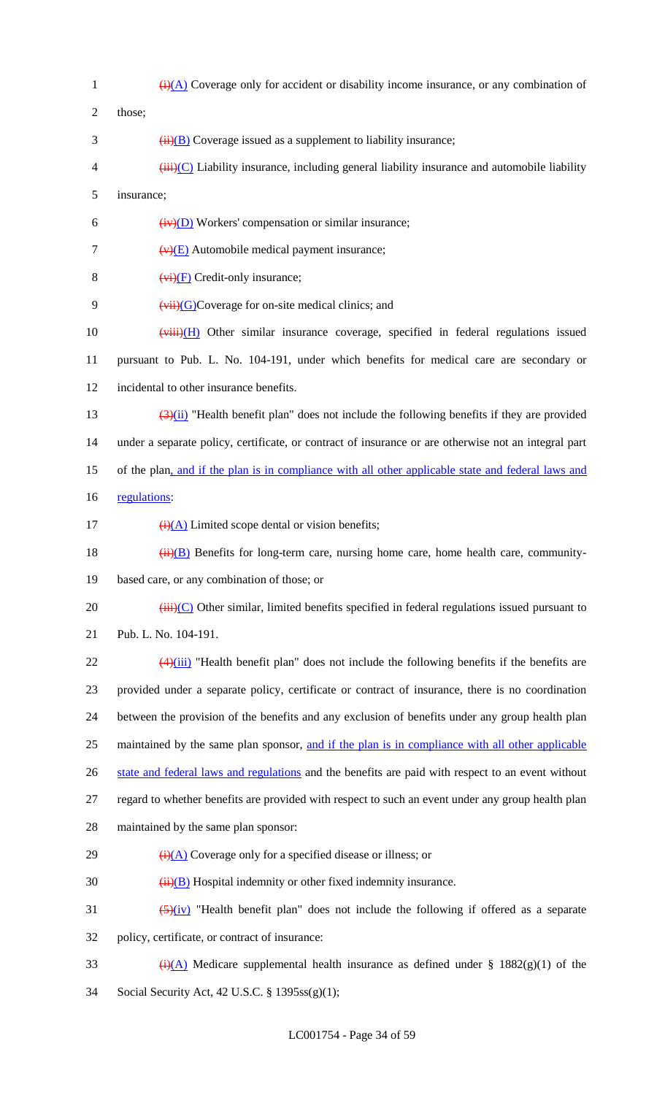$\frac{1}{(i)(A)}$  Coverage only for accident or disability income insurance, or any combination of 2 those;  $\frac{1}{1}$  (ii)(B) Coverage issued as a supplement to liability insurance;  $\frac{4}{1}$  (iii)(C) Liability insurance, including general liability insurance and automobile liability insurance;  $(iv)(D)$  Workers' compensation or similar insurance;  $(v)(E)$  Automobile medical payment insurance;  $(v<sub>i</sub>)(F)$  Credit-only insurance;  $(vii)(G)$ Coverage for on-site medical clinics; and  $(viii)(H)$  Other similar insurance coverage, specified in federal regulations issued pursuant to Pub. L. No. 104-191, under which benefits for medical care are secondary or incidental to other insurance benefits.  $\frac{(3)(ii)}{(2)(i)}$  "Health benefit plan" does not include the following benefits if they are provided under a separate policy, certificate, or contract of insurance or are otherwise not an integral part of the plan, and if the plan is in compliance with all other applicable state and federal laws and 16 regulations:  $\frac{1}{(i)(A)}$  Limited scope dental or vision benefits;  $(i)$  ( $(i)$ ) Benefits for long-term care, nursing home care, home health care, community- based care, or any combination of those; or (iii)(C) Other similar, limited benefits specified in federal regulations issued pursuant to Pub. L. No. 104-191.  $\frac{(4)(iii)}{2}$  "Health benefit plan" does not include the following benefits if the benefits are provided under a separate policy, certificate or contract of insurance, there is no coordination between the provision of the benefits and any exclusion of benefits under any group health plan 25 maintained by the same plan sponsor, and if the plan is in compliance with all other applicable 26 state and federal laws and regulations and the benefits are paid with respect to an event without regard to whether benefits are provided with respect to such an event under any group health plan maintained by the same plan sponsor:  $\frac{1}{(i)(A)}$  Coverage only for a specified disease or illness; or  $30 \qquad \qquad \frac{1}{11} \text{(B)}$  Hospital indemnity or other fixed indemnity insurance.  $\left(5\right)(iv)$  "Health benefit plan" does not include the following if offered as a separate policy, certificate, or contract of insurance: 33 (i)(A) Medicare supplemental health insurance as defined under § 1882(g)(1) of the Social Security Act, 42 U.S.C. § 1395ss(g)(1);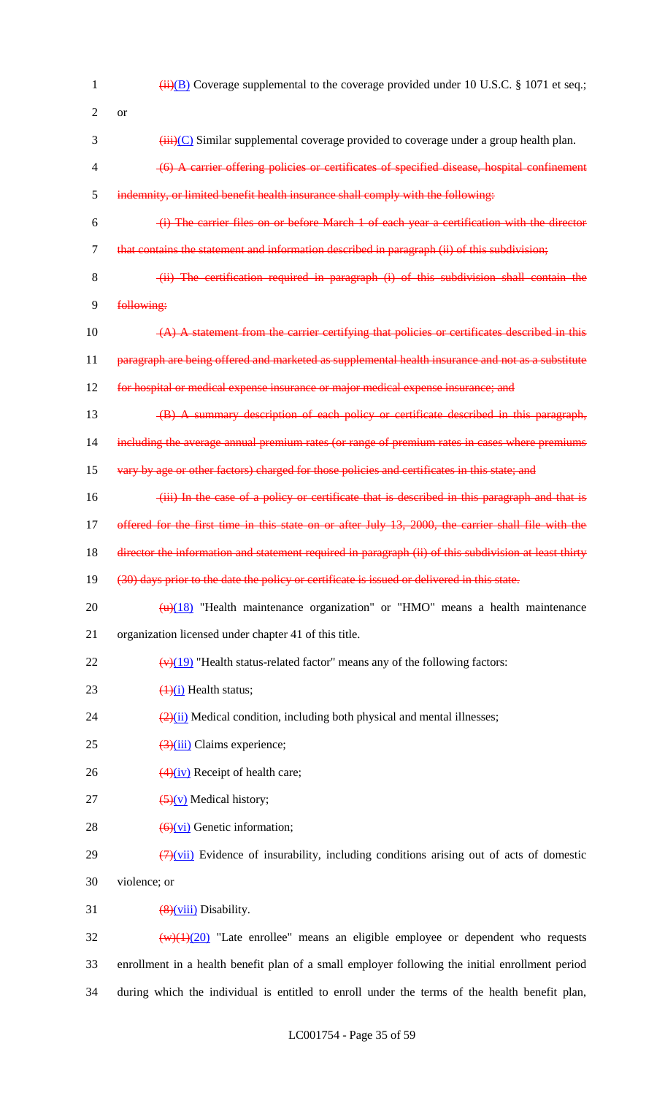| 1              | $\overline{(ii)(B)}$ Coverage supplemental to the coverage provided under 10 U.S.C. § 1071 et seq.;            |
|----------------|----------------------------------------------------------------------------------------------------------------|
| 2              | <b>or</b>                                                                                                      |
| 3              | $\overrightarrow{iii}$ (C) Similar supplemental coverage provided to coverage under a group health plan.       |
| 4              | (6) A carrier offering policies or certificates of specified disease, hospital confinement                     |
| 5              | indemnity, or limited benefit health insurance shall comply with the following:                                |
| 6              | (i) The carrier files on or before March 1 of each year a certification with the director                      |
| $\overline{7}$ | that contains the statement and information described in paragraph (ii) of this subdivision;                   |
| 8              | (ii) The certification required in paragraph (i) of this subdivision shall contain the                         |
| 9              | following:                                                                                                     |
| 10             | $(A)$ A statement from the carrier certifying that policies or certificates described in this                  |
| 11             | paragraph are being offered and marketed as supplemental health insurance and not as a substitute              |
| 12             | for hospital or medical expense insurance or major medical expense insurance; and                              |
| 13             | (B) A summary description of each policy or certificate described in this paragraph,                           |
| 14             | including the average annual premium rates (or range of premium rates in cases where premiums                  |
| 15             | vary by age or other factors) charged for those policies and certificates in this state; and                   |
| 16             | (iii) In the case of a policy or certificate that is described in this paragraph and that is                   |
| 17             | offered for the first time in this state on or after July 13, 2000, the carrier shall file with the            |
| 18             | director the information and statement required in paragraph (ii) of this subdivision at least thirty          |
| 19             | (30) days prior to the date the policy or certificate is issued or delivered in this state.                    |
| 20             | $\frac{H}{H}$ "Health maintenance organization" or "HMO" means a health maintenance                            |
| 21             | organization licensed under chapter 41 of this title.                                                          |
| 22             | $\frac{(\mathbf{v})(19)}{(\mathbf{v})(19)}$ "Health status-related factor" means any of the following factors: |
| 23             | $\frac{1}{1}$ Health status;                                                                                   |
| 24             | $\frac{2}{2}$ (ii) Medical condition, including both physical and mental illnesses;                            |
| 25             | $\frac{3}{(3)(iii)}$ Claims experience;                                                                        |
| 26             | $\frac{4}{1}$ Receipt of health care;                                                                          |
| 27             | $\left(\frac{5}{y}\right)$ Medical history;                                                                    |
| 28             | $\left(\frac{6}{v} \right)$ Genetic information;                                                               |
| 29             | $\left(\frac{7}{2}\right)$ Evidence of insurability, including conditions arising out of acts of domestic      |
| 30             | violence; or                                                                                                   |
| 31             | $\frac{8}{2}$ viii) Disability.                                                                                |
| 32             | $\frac{w(1)(20)}{w(1)(20)}$ "Late enrollee" means an eligible employee or dependent who requests               |
| 33             | enrollment in a health benefit plan of a small employer following the initial enrollment period                |
| 34             | during which the individual is entitled to enroll under the terms of the health benefit plan,                  |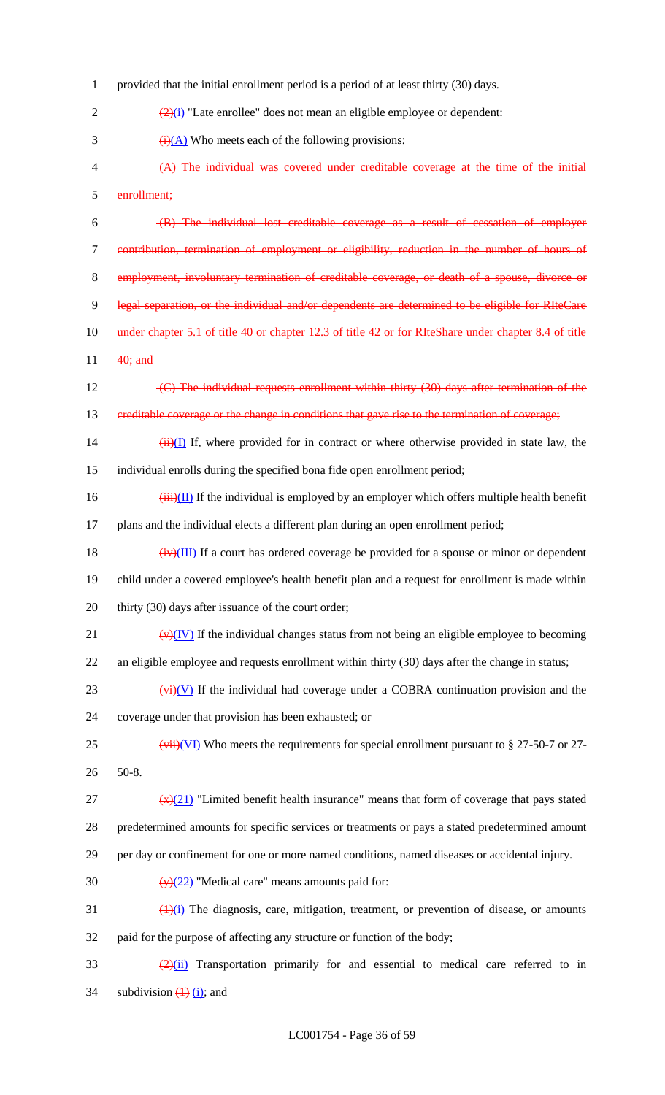provided that the initial enrollment period is a period of at least thirty (30) days.  $\frac{(2)(i)}{2}$  "Late enrollee" does not mean an eligible employee or dependent:  $(i)(A)$  Who meets each of the following provisions: (A) The individual was covered under creditable coverage at the time of the initial enrollment; (B) The individual lost creditable coverage as a result of cessation of employer contribution, termination of employment or eligibility, reduction in the number of hours of 8 employment, involuntary termination of creditable coverage, or death of a spouse, divorce 9 legal separation, or the individual and/or dependents are determined to be eligible for RIteCare 10 under chapter 5.1 of title 40 or chapter 12.3 of title 42 or for RIteShare under chapter 8.4 of title 11 **40**; and 12 (C) The individual requests enrollment within thirty (30) days after termination of the 13 creditable coverage or the change in conditions that gave rise to the termination of coverage;  $(iii)(I)$  If, where provided for in contract or where otherwise provided in state law, the individual enrolls during the specified bona fide open enrollment period;  $(iii)(II)$  If the individual is employed by an employer which offers multiple health benefit plans and the individual elects a different plan during an open enrollment period;  $(iv)(III)$  If a court has ordered coverage be provided for a spouse or minor or dependent child under a covered employee's health benefit plan and a request for enrollment is made within 20 thirty (30) days after issuance of the court order;  $(v)(IV)$  If the individual changes status from not being an eligible employee to becoming an eligible employee and requests enrollment within thirty (30) days after the change in status;  $(v<sub>i</sub>)$  (V) If the individual had coverage under a COBRA continuation provision and the coverage under that provision has been exhausted; or 25 (vii)(VI) Who meets the requirements for special enrollment pursuant to § 27-50-7 or 27-26 50-8.  $\frac{f(x)}{21}$  "Limited benefit health insurance" means that form of coverage that pays stated predetermined amounts for specific services or treatments or pays a stated predetermined amount per day or confinement for one or more named conditions, named diseases or accidental injury.  $\left(\frac{y}{22}\right)$  "Medical care" means amounts paid for:  $\frac{(1)(i)}{i}$  The diagnosis, care, mitigation, treatment, or prevention of disease, or amounts paid for the purpose of affecting any structure or function of the body;  $\frac{(2)(ii)}{(2)(ii)}$  Transportation primarily for and essential to medical care referred to in 34 subdivision  $\overline{(1)}$   $\overline{(i)}$ ; and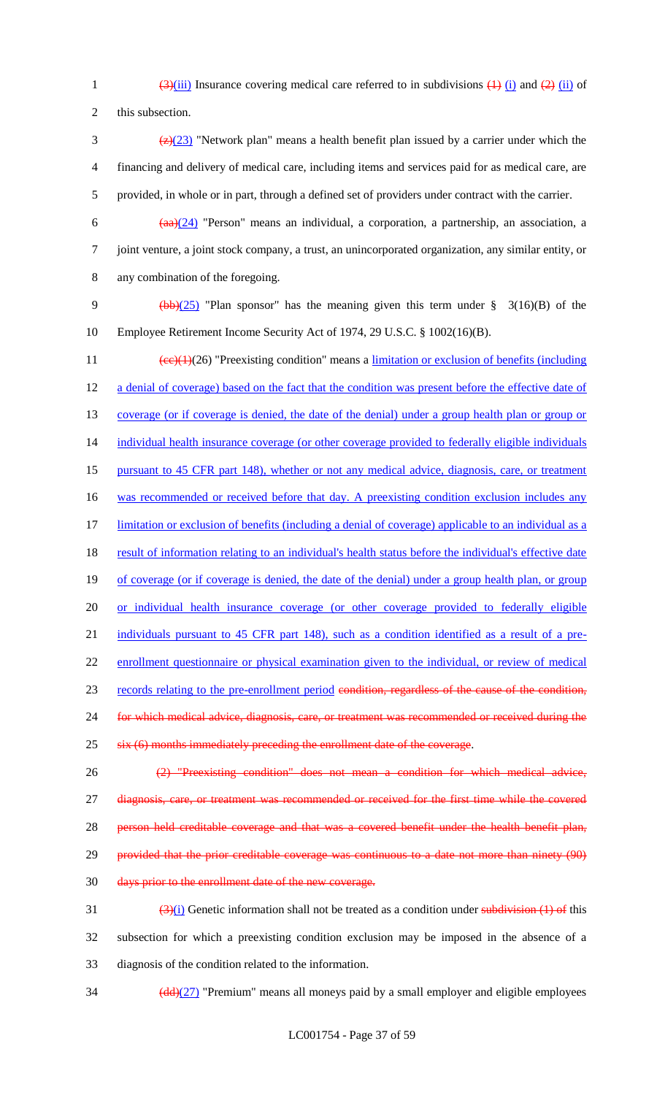1  $\frac{3}{\sinh(\frac{3}{\sinh(\frac{1}{\cosh(\frac{1}{\cosh(\frac{1}{\cosh(\frac{1}{\cosh(\frac{1}{\cosh(\frac{1}{\cosh(\frac{1}{\cosh(\frac{1}{\cosh(\frac{1}{\cosh(\frac{1}{\cosh(\frac{1}{\cosh(\frac{1}{\cosh(\frac{1}{\cosh(\frac{1}{\cosh(\frac{1}{\cosh(\frac{1}{\cosh(\frac{1}{\cosh(\frac{1}{\cosh(\frac{1}{\cosh(\frac{1}{\cosh(\frac{1}{\cosh(\frac{1}{\cosh(\frac{1}{\cosh(\frac{1}{\cosh(\frac{1}{\cosh(\frac$ 

2 this subsection.

- 3  $\frac{72}{23}$  "Network plan" means a health benefit plan issued by a carrier under which the 4 financing and delivery of medical care, including items and services paid for as medical care, are 5 provided, in whole or in part, through a defined set of providers under contract with the carrier.
	-
- 6  $(aa)(24)$  "Person" means an individual, a corporation, a partnership, an association, a 7 joint venture, a joint stock company, a trust, an unincorporated organization, any similar entity, or 8 any combination of the foregoing.
- 9 (bb)( $25$ ) "Plan sponsor" has the meaning given this term under § 3(16)(B) of the 10 Employee Retirement Income Security Act of 1974, 29 U.S.C. § 1002(16)(B).
- 11  $\text{(ce)}(1)(26)$  "Preexisting condition" means a <u>limitation or exclusion of benefits (including</u> 12 a denial of coverage) based on the fact that the condition was present before the effective date of 13 coverage (or if coverage is denied, the date of the denial) under a group health plan or group or 14 individual health insurance coverage (or other coverage provided to federally eligible individuals 15 pursuant to 45 CFR part 148), whether or not any medical advice, diagnosis, care, or treatment 16 was recommended or received before that day. A preexisting condition exclusion includes any 17 limitation or exclusion of benefits (including a denial of coverage) applicable to an individual as a 18 result of information relating to an individual's health status before the individual's effective date 19 of coverage (or if coverage is denied, the date of the denial) under a group health plan, or group 20 or individual health insurance coverage (or other coverage provided to federally eligible 21 individuals pursuant to 45 CFR part 148), such as a condition identified as a result of a pre-22 enrollment questionnaire or physical examination given to the individual, or review of medical 23 records relating to the pre-enrollment period condition, regardless of the cause of the condition, 24 for which medical advice, diagnosis, care, or treatment was recommended or received during the 25 six (6) months immediately preceding the enrollment date of the coverage. 26 (2) "Preexisting condition" does not mean a condition for which medical advice, 27 diagnosis, care, or treatment was recommended or received for the first time while the covered
- 28 person held creditable coverage and that was a covered benefit under the health benefit plan,
- 29 provided that the prior creditable coverage was continuous to a date not more than ninety (90)
- 30 days prior to the enrollment date of the new coverage.
- $\frac{(3)(i)}{i}$  Genetic information shall not be treated as a condition under subdivision (1) of this 32 subsection for which a preexisting condition exclusion may be imposed in the absence of a 33 diagnosis of the condition related to the information.
- $\frac{(\text{dd}) (27)}{(\text{dd}) (27)}$  "Premium" means all moneys paid by a small employer and eligible employees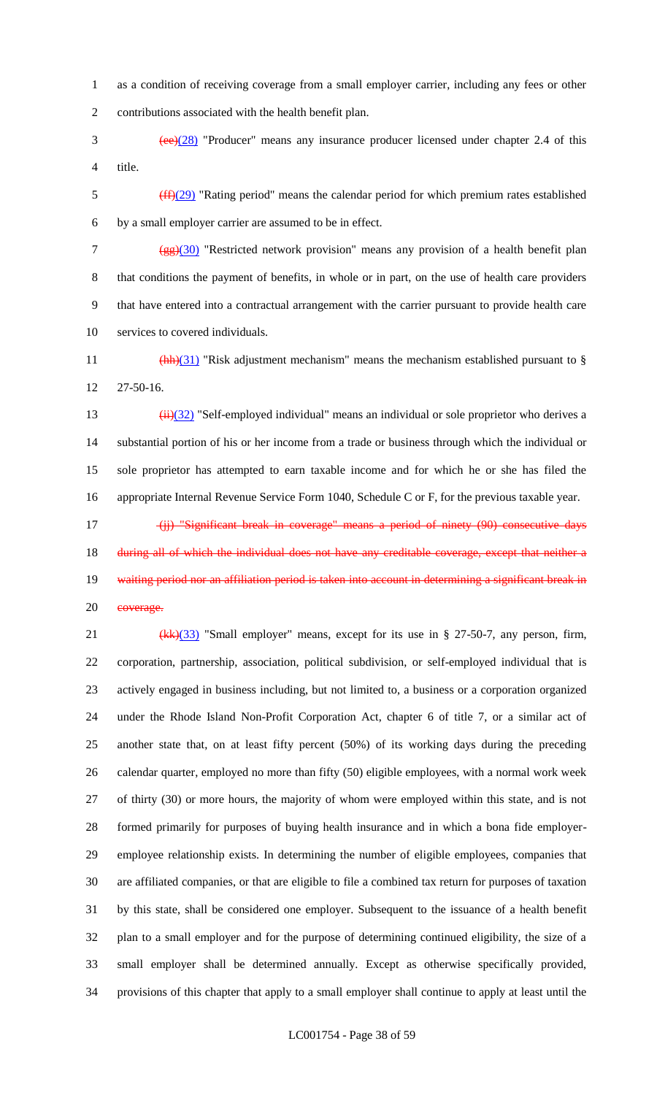as a condition of receiving coverage from a small employer carrier, including any fees or other contributions associated with the health benefit plan.

 (ee)(28) "Producer" means any insurance producer licensed under chapter 2.4 of this title.

 $\frac{(ff)(29)}{16}$  "Rating period" means the calendar period for which premium rates established by a small employer carrier are assumed to be in effect.

7 (gg)(30) "Restricted network provision" means any provision of a health benefit plan that conditions the payment of benefits, in whole or in part, on the use of health care providers that have entered into a contractual arrangement with the carrier pursuant to provide health care services to covered individuals.

11  $\frac{(\text{hh})(31)}{(\text{hh})(31)}$  "Risk adjustment mechanism" means the mechanism established pursuant to § 27-50-16.

 $(iii)(32)$  "Self-employed individual" means an individual or sole proprietor who derives a substantial portion of his or her income from a trade or business through which the individual or sole proprietor has attempted to earn taxable income and for which he or she has filed the appropriate Internal Revenue Service Form 1040, Schedule C or F, for the previous taxable year.

17 (ii) "Significant break in coverage" means a period of ninety (90) consecutive days 18 during all of which the individual does not have any creditable coverage, except that neither a 19 waiting period nor an affiliation period is taken into account in determining a significant break in 20 eoverage.

21 (kk)(33) "Small employer" means, except for its use in § 27-50-7, any person, firm, corporation, partnership, association, political subdivision, or self-employed individual that is actively engaged in business including, but not limited to, a business or a corporation organized under the Rhode Island Non-Profit Corporation Act, chapter 6 of title 7, or a similar act of another state that, on at least fifty percent (50%) of its working days during the preceding calendar quarter, employed no more than fifty (50) eligible employees, with a normal work week of thirty (30) or more hours, the majority of whom were employed within this state, and is not formed primarily for purposes of buying health insurance and in which a bona fide employer- employee relationship exists. In determining the number of eligible employees, companies that are affiliated companies, or that are eligible to file a combined tax return for purposes of taxation by this state, shall be considered one employer. Subsequent to the issuance of a health benefit plan to a small employer and for the purpose of determining continued eligibility, the size of a small employer shall be determined annually. Except as otherwise specifically provided, provisions of this chapter that apply to a small employer shall continue to apply at least until the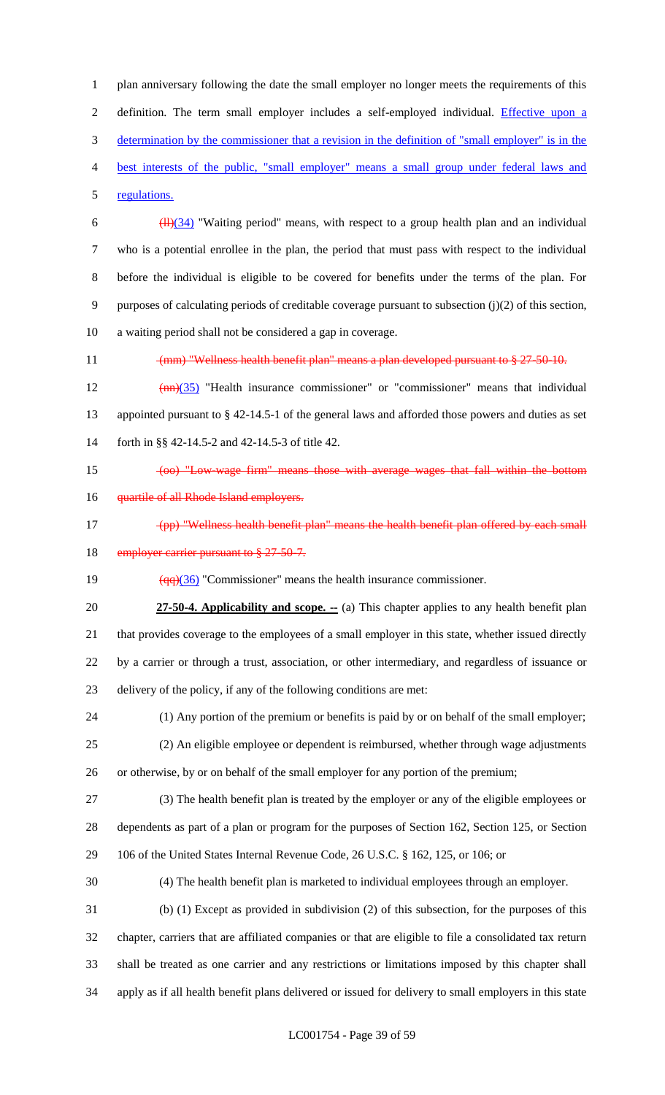plan anniversary following the date the small employer no longer meets the requirements of this 2 definition. The term small employer includes a self-employed individual. Effective upon a determination by the commissioner that a revision in the definition of "small employer" is in the best interests of the public, "small employer" means a small group under federal laws and regulations.

 $\frac{(11)(34)}{11}$  "Waiting period" means, with respect to a group health plan and an individual who is a potential enrollee in the plan, the period that must pass with respect to the individual before the individual is eligible to be covered for benefits under the terms of the plan. For purposes of calculating periods of creditable coverage pursuant to subsection (j)(2) of this section, a waiting period shall not be considered a gap in coverage.

11 (mm) "Wellness health benefit plan" means a plan developed pursuant to § 27-50-10.

12  $(mn)(35)$  "Health insurance commissioner" or "commissioner" means that individual appointed pursuant to § 42-14.5-1 of the general laws and afforded those powers and duties as set forth in §§ 42-14.5-2 and 42-14.5-3 of title 42.

15 (oo) "Low-wage firm" means those with average wages that fall within the bottom

- **quartile of all Rhode Island employers.**
- (pp) "Wellness health benefit plan" means the health benefit plan offered by each small 18 employer carrier pursuant to § 27-50-7.

19  $\left(\frac{qq}{36}\right)$  "Commissioner" means the health insurance commissioner.

**27-50-4. Applicability and scope.** -- (a) This chapter applies to any health benefit plan that provides coverage to the employees of a small employer in this state, whether issued directly by a carrier or through a trust, association, or other intermediary, and regardless of issuance or delivery of the policy, if any of the following conditions are met:

 (1) Any portion of the premium or benefits is paid by or on behalf of the small employer; (2) An eligible employee or dependent is reimbursed, whether through wage adjustments or otherwise, by or on behalf of the small employer for any portion of the premium;

 (3) The health benefit plan is treated by the employer or any of the eligible employees or dependents as part of a plan or program for the purposes of Section 162, Section 125, or Section 106 of the United States Internal Revenue Code, 26 U.S.C. § 162, 125, or 106; or

(4) The health benefit plan is marketed to individual employees through an employer.

 (b) (1) Except as provided in subdivision (2) of this subsection, for the purposes of this chapter, carriers that are affiliated companies or that are eligible to file a consolidated tax return shall be treated as one carrier and any restrictions or limitations imposed by this chapter shall apply as if all health benefit plans delivered or issued for delivery to small employers in this state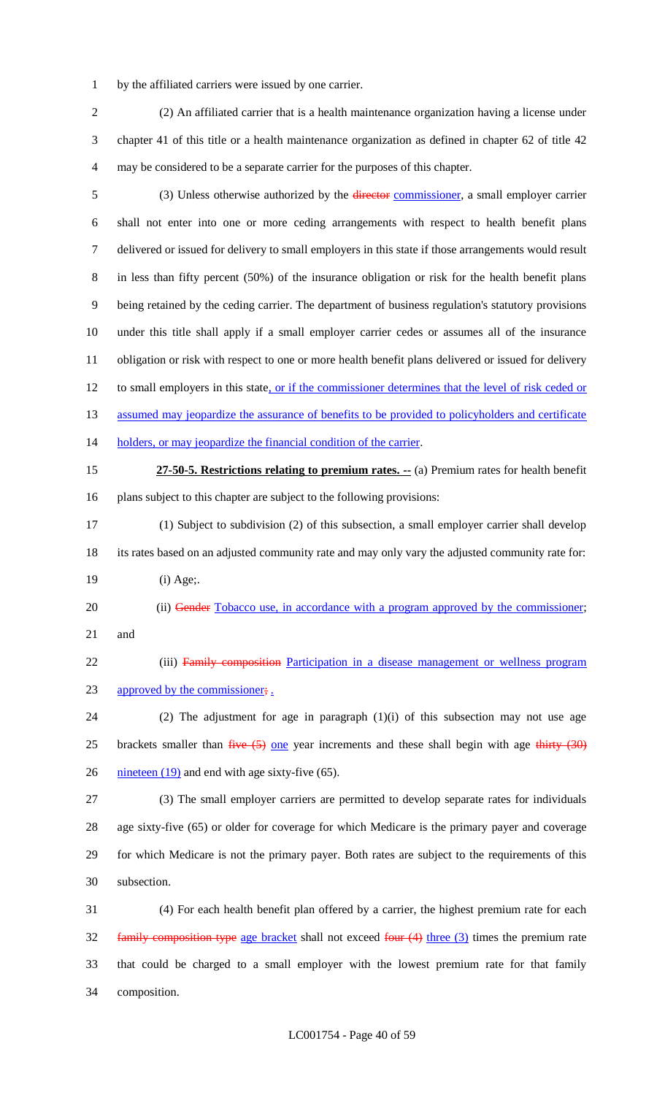by the affiliated carriers were issued by one carrier.

 (2) An affiliated carrier that is a health maintenance organization having a license under chapter 41 of this title or a health maintenance organization as defined in chapter 62 of title 42 may be considered to be a separate carrier for the purposes of this chapter.

5 (3) Unless otherwise authorized by the director commissioner, a small employer carrier shall not enter into one or more ceding arrangements with respect to health benefit plans delivered or issued for delivery to small employers in this state if those arrangements would result in less than fifty percent (50%) of the insurance obligation or risk for the health benefit plans being retained by the ceding carrier. The department of business regulation's statutory provisions under this title shall apply if a small employer carrier cedes or assumes all of the insurance obligation or risk with respect to one or more health benefit plans delivered or issued for delivery 12 to small employers in this state, or if the commissioner determines that the level of risk ceded or 13 assumed may jeopardize the assurance of benefits to be provided to policyholders and certificate 14 holders, or may jeopardize the financial condition of the carrier. **27-50-5. Restrictions relating to premium rates. --** (a) Premium rates for health benefit plans subject to this chapter are subject to the following provisions: (1) Subject to subdivision (2) of this subsection, a small employer carrier shall develop its rates based on an adjusted community rate and may only vary the adjusted community rate for: (i) Age;. 20 (ii) Gender Tobacco use, in accordance with a program approved by the commissioner; and 22 (iii) Family composition Participation in a disease management or wellness program 23 approved by the commissioner; (2) The adjustment for age in paragraph (1)(i) of this subsection may not use age 25 brackets smaller than  $f^2$  one year increments and these shall begin with age thirty  $(30)$  $\frac{\text{mineteen } (19)}{\text{and end with age sixty-five } (65)}$ . (3) The small employer carriers are permitted to develop separate rates for individuals age sixty-five (65) or older for coverage for which Medicare is the primary payer and coverage for which Medicare is not the primary payer. Both rates are subject to the requirements of this subsection. (4) For each health benefit plan offered by a carrier, the highest premium rate for each

32 family composition type age bracket shall not exceed four (4) three (3) times the premium rate that could be charged to a small employer with the lowest premium rate for that family composition.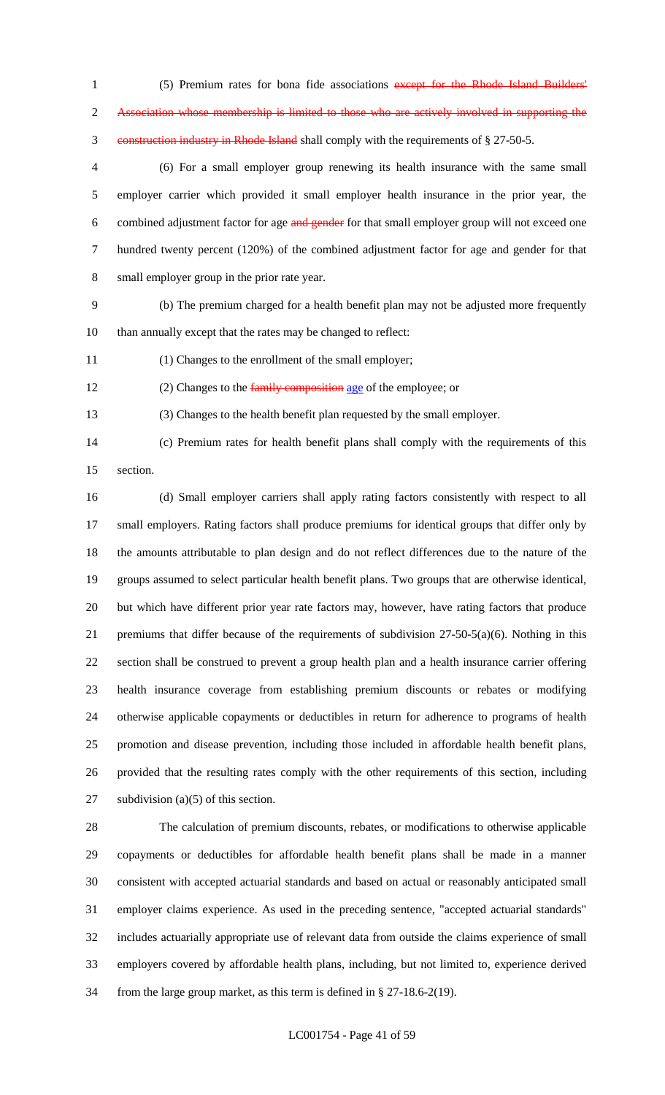1 (5) Premium rates for bona fide associations except for the Rhode Island Builders' Association whose membership is limited to those who are actively involved in supporting the construction industry in Rhode Island shall comply with the requirements of § 27-50-5.

 (6) For a small employer group renewing its health insurance with the same small employer carrier which provided it small employer health insurance in the prior year, the 6 combined adjustment factor for age and gender for that small employer group will not exceed one hundred twenty percent (120%) of the combined adjustment factor for age and gender for that small employer group in the prior rate year.

 (b) The premium charged for a health benefit plan may not be adjusted more frequently than annually except that the rates may be changed to reflect:

(1) Changes to the enrollment of the small employer;

12 (2) Changes to the family composition age of the employee; or

(3) Changes to the health benefit plan requested by the small employer.

 (c) Premium rates for health benefit plans shall comply with the requirements of this section.

 (d) Small employer carriers shall apply rating factors consistently with respect to all small employers. Rating factors shall produce premiums for identical groups that differ only by the amounts attributable to plan design and do not reflect differences due to the nature of the groups assumed to select particular health benefit plans. Two groups that are otherwise identical, but which have different prior year rate factors may, however, have rating factors that produce premiums that differ because of the requirements of subdivision 27-50-5(a)(6). Nothing in this section shall be construed to prevent a group health plan and a health insurance carrier offering health insurance coverage from establishing premium discounts or rebates or modifying otherwise applicable copayments or deductibles in return for adherence to programs of health promotion and disease prevention, including those included in affordable health benefit plans, provided that the resulting rates comply with the other requirements of this section, including 27 subdivision (a)(5) of this section.

 The calculation of premium discounts, rebates, or modifications to otherwise applicable copayments or deductibles for affordable health benefit plans shall be made in a manner consistent with accepted actuarial standards and based on actual or reasonably anticipated small employer claims experience. As used in the preceding sentence, "accepted actuarial standards" includes actuarially appropriate use of relevant data from outside the claims experience of small employers covered by affordable health plans, including, but not limited to, experience derived from the large group market, as this term is defined in § 27-18.6-2(19).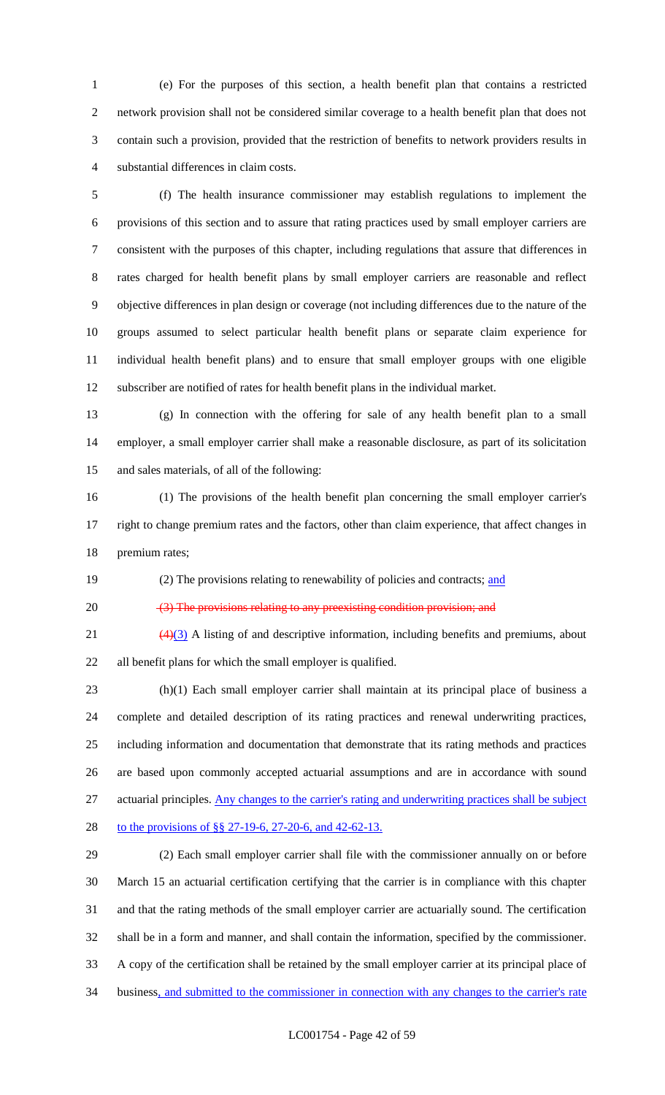(e) For the purposes of this section, a health benefit plan that contains a restricted network provision shall not be considered similar coverage to a health benefit plan that does not contain such a provision, provided that the restriction of benefits to network providers results in substantial differences in claim costs.

 (f) The health insurance commissioner may establish regulations to implement the provisions of this section and to assure that rating practices used by small employer carriers are consistent with the purposes of this chapter, including regulations that assure that differences in rates charged for health benefit plans by small employer carriers are reasonable and reflect objective differences in plan design or coverage (not including differences due to the nature of the groups assumed to select particular health benefit plans or separate claim experience for individual health benefit plans) and to ensure that small employer groups with one eligible subscriber are notified of rates for health benefit plans in the individual market.

 (g) In connection with the offering for sale of any health benefit plan to a small employer, a small employer carrier shall make a reasonable disclosure, as part of its solicitation and sales materials, of all of the following:

 (1) The provisions of the health benefit plan concerning the small employer carrier's right to change premium rates and the factors, other than claim experience, that affect changes in premium rates;

19 (2) The provisions relating to renewability of policies and contracts; and

20 (3) The provisions relating to any preexisting condition provision; and

 $\left(\frac{4}{3}\right)$  A listing of and descriptive information, including benefits and premiums, about all benefit plans for which the small employer is qualified.

 (h)(1) Each small employer carrier shall maintain at its principal place of business a complete and detailed description of its rating practices and renewal underwriting practices, including information and documentation that demonstrate that its rating methods and practices are based upon commonly accepted actuarial assumptions and are in accordance with sound actuarial principles. Any changes to the carrier's rating and underwriting practices shall be subject 28 to the provisions of §§ 27-19-6, 27-20-6, and 42-62-13.

 (2) Each small employer carrier shall file with the commissioner annually on or before March 15 an actuarial certification certifying that the carrier is in compliance with this chapter and that the rating methods of the small employer carrier are actuarially sound. The certification shall be in a form and manner, and shall contain the information, specified by the commissioner. A copy of the certification shall be retained by the small employer carrier at its principal place of 34 business, and submitted to the commissioner in connection with any changes to the carrier's rate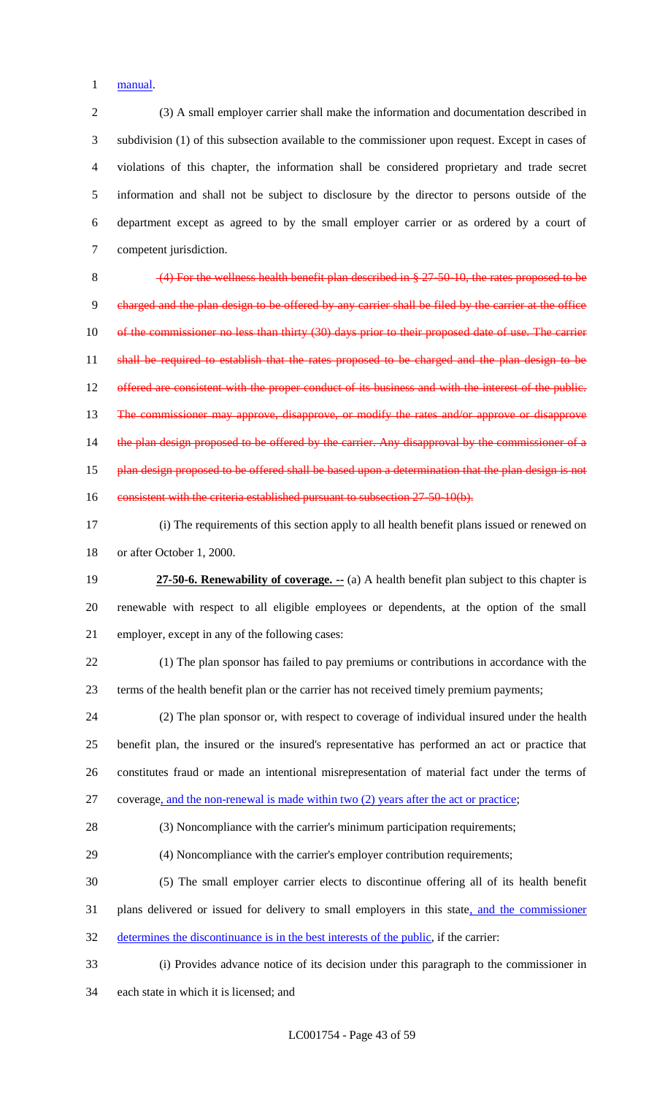manual.

 (3) A small employer carrier shall make the information and documentation described in subdivision (1) of this subsection available to the commissioner upon request. Except in cases of violations of this chapter, the information shall be considered proprietary and trade secret information and shall not be subject to disclosure by the director to persons outside of the department except as agreed to by the small employer carrier or as ordered by a court of competent jurisdiction.

 (4) For the wellness health benefit plan described in § 27-50-10, the rates proposed to be charged and the plan design to be offered by any carrier shall be filed by the carrier at the office 10 of the commissioner no less than thirty (30) days prior to their proposed date of use. The carrier 11 shall be required to establish that the rates proposed to be charged and the plan design to be 12 offered are consistent with the proper conduct of its business and with the interest of the public. The commissioner may approve, disapprove, or modify the rates and/or approve or disapprove 14 the plan design proposed to be offered by the carrier. Any disapproval by the commissioner of a 15 plan design proposed to be offered shall be based upon a determination that the plan design is not 16 consistent with the criteria established pursuant to subsection 27-50-10(b).

 (i) The requirements of this section apply to all health benefit plans issued or renewed on or after October 1, 2000.

 **27-50-6. Renewability of coverage. --** (a) A health benefit plan subject to this chapter is renewable with respect to all eligible employees or dependents, at the option of the small employer, except in any of the following cases:

 (1) The plan sponsor has failed to pay premiums or contributions in accordance with the terms of the health benefit plan or the carrier has not received timely premium payments;

 (2) The plan sponsor or, with respect to coverage of individual insured under the health benefit plan, the insured or the insured's representative has performed an act or practice that constitutes fraud or made an intentional misrepresentation of material fact under the terms of coverage, and the non-renewal is made within two (2) years after the act or practice;

(3) Noncompliance with the carrier's minimum participation requirements;

(4) Noncompliance with the carrier's employer contribution requirements;

 (5) The small employer carrier elects to discontinue offering all of its health benefit 31 plans delivered or issued for delivery to small employers in this state, and the commissioner

determines the discontinuance is in the best interests of the public, if the carrier:

- (i) Provides advance notice of its decision under this paragraph to the commissioner in
- each state in which it is licensed; and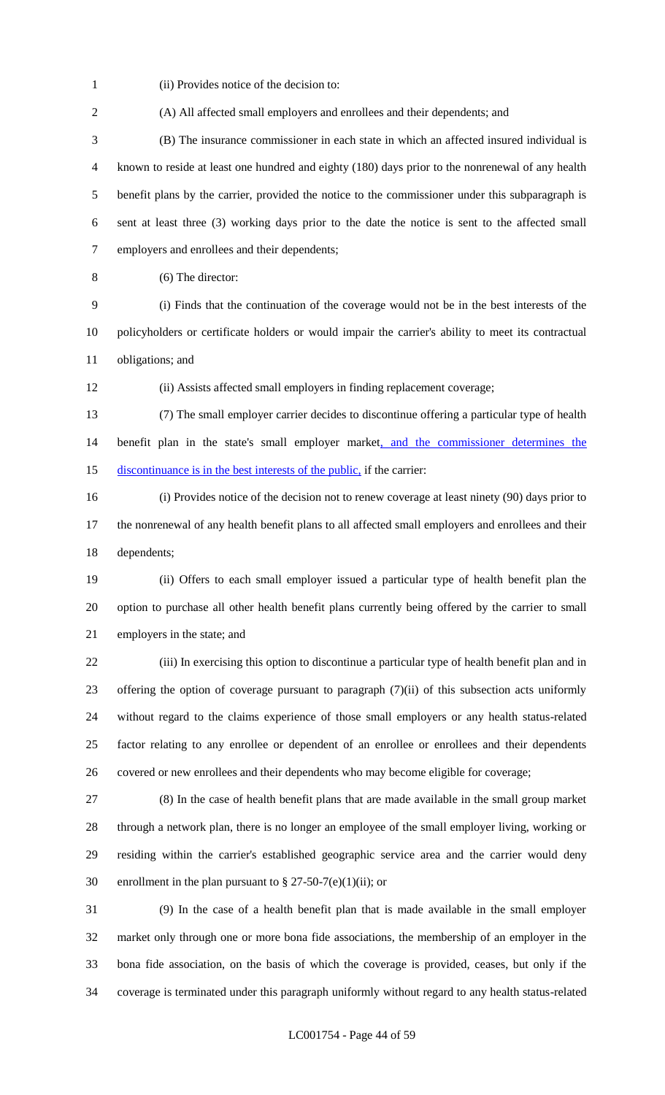(ii) Provides notice of the decision to:

 (B) The insurance commissioner in each state in which an affected insured individual is known to reside at least one hundred and eighty (180) days prior to the nonrenewal of any health benefit plans by the carrier, provided the notice to the commissioner under this subparagraph is sent at least three (3) working days prior to the date the notice is sent to the affected small employers and enrollees and their dependents;

(A) All affected small employers and enrollees and their dependents; and

(6) The director:

 (i) Finds that the continuation of the coverage would not be in the best interests of the policyholders or certificate holders or would impair the carrier's ability to meet its contractual obligations; and

(ii) Assists affected small employers in finding replacement coverage;

 (7) The small employer carrier decides to discontinue offering a particular type of health 14 benefit plan in the state's small employer market, and the commissioner determines the 15 discontinuance is in the best interests of the public, if the carrier:

 (i) Provides notice of the decision not to renew coverage at least ninety (90) days prior to the nonrenewal of any health benefit plans to all affected small employers and enrollees and their dependents;

 (ii) Offers to each small employer issued a particular type of health benefit plan the option to purchase all other health benefit plans currently being offered by the carrier to small employers in the state; and

 (iii) In exercising this option to discontinue a particular type of health benefit plan and in offering the option of coverage pursuant to paragraph (7)(ii) of this subsection acts uniformly without regard to the claims experience of those small employers or any health status-related factor relating to any enrollee or dependent of an enrollee or enrollees and their dependents covered or new enrollees and their dependents who may become eligible for coverage;

 (8) In the case of health benefit plans that are made available in the small group market through a network plan, there is no longer an employee of the small employer living, working or residing within the carrier's established geographic service area and the carrier would deny 30 enrollment in the plan pursuant to  $\S 27-50-7(e)(1)(ii)$ ; or

 (9) In the case of a health benefit plan that is made available in the small employer market only through one or more bona fide associations, the membership of an employer in the bona fide association, on the basis of which the coverage is provided, ceases, but only if the coverage is terminated under this paragraph uniformly without regard to any health status-related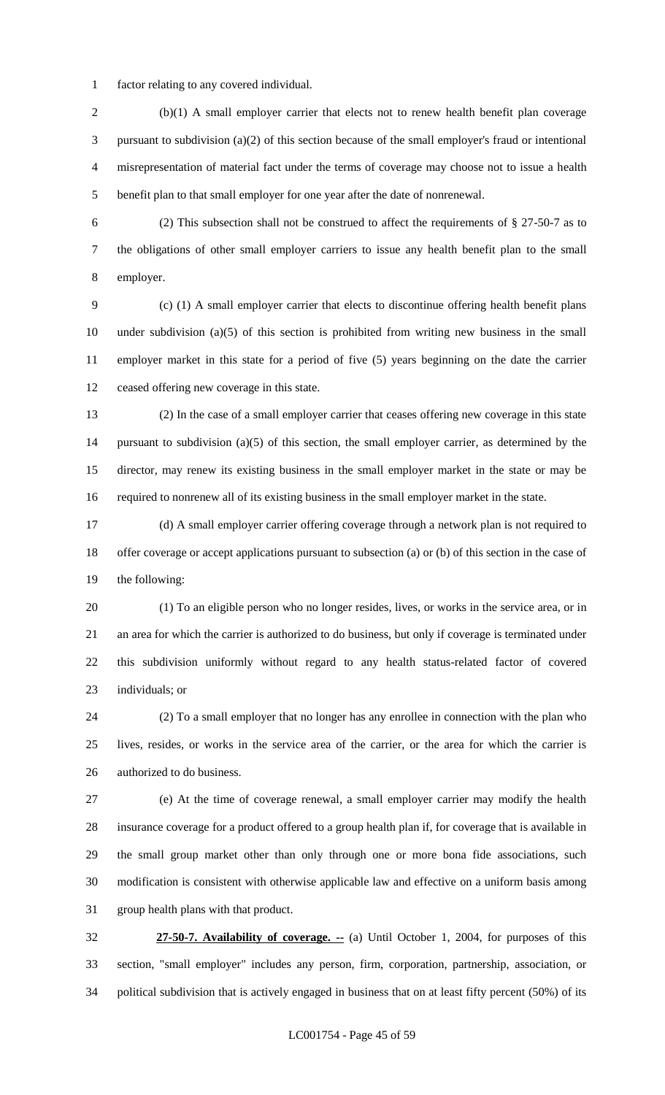factor relating to any covered individual.

 (b)(1) A small employer carrier that elects not to renew health benefit plan coverage pursuant to subdivision (a)(2) of this section because of the small employer's fraud or intentional misrepresentation of material fact under the terms of coverage may choose not to issue a health benefit plan to that small employer for one year after the date of nonrenewal.

 (2) This subsection shall not be construed to affect the requirements of § 27-50-7 as to the obligations of other small employer carriers to issue any health benefit plan to the small employer.

 (c) (1) A small employer carrier that elects to discontinue offering health benefit plans under subdivision (a)(5) of this section is prohibited from writing new business in the small employer market in this state for a period of five (5) years beginning on the date the carrier ceased offering new coverage in this state.

 (2) In the case of a small employer carrier that ceases offering new coverage in this state pursuant to subdivision (a)(5) of this section, the small employer carrier, as determined by the director, may renew its existing business in the small employer market in the state or may be required to nonrenew all of its existing business in the small employer market in the state.

 (d) A small employer carrier offering coverage through a network plan is not required to offer coverage or accept applications pursuant to subsection (a) or (b) of this section in the case of the following:

 (1) To an eligible person who no longer resides, lives, or works in the service area, or in an area for which the carrier is authorized to do business, but only if coverage is terminated under this subdivision uniformly without regard to any health status-related factor of covered individuals; or

 (2) To a small employer that no longer has any enrollee in connection with the plan who lives, resides, or works in the service area of the carrier, or the area for which the carrier is authorized to do business.

 (e) At the time of coverage renewal, a small employer carrier may modify the health insurance coverage for a product offered to a group health plan if, for coverage that is available in the small group market other than only through one or more bona fide associations, such modification is consistent with otherwise applicable law and effective on a uniform basis among group health plans with that product.

 **27-50-7. Availability of coverage. --** (a) Until October 1, 2004, for purposes of this section, "small employer" includes any person, firm, corporation, partnership, association, or political subdivision that is actively engaged in business that on at least fifty percent (50%) of its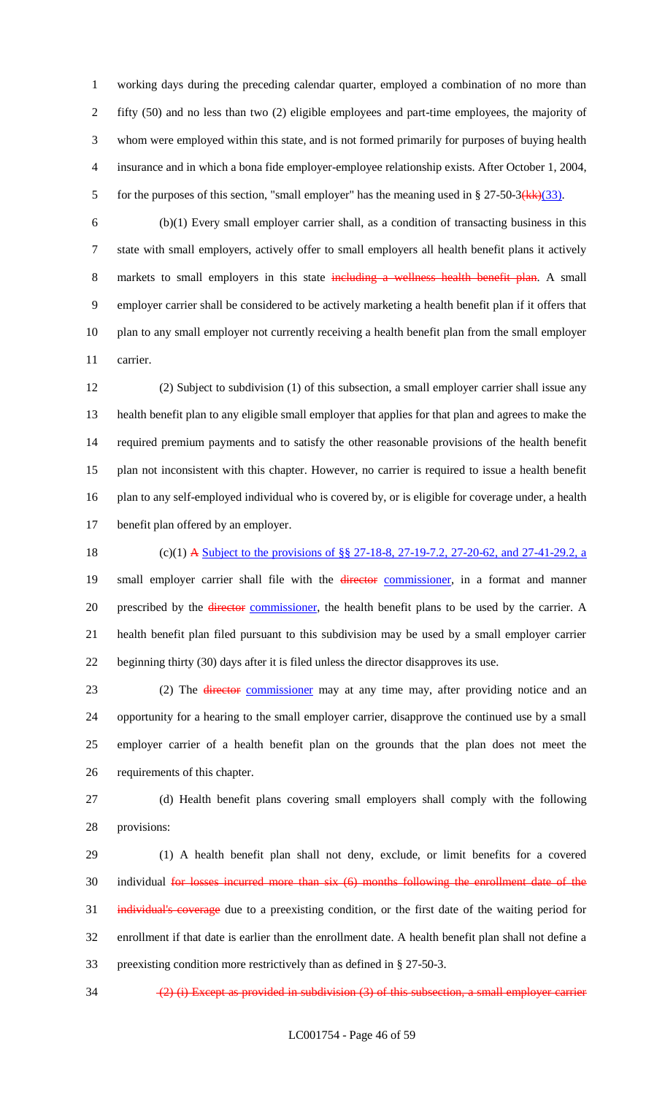working days during the preceding calendar quarter, employed a combination of no more than fifty (50) and no less than two (2) eligible employees and part-time employees, the majority of whom were employed within this state, and is not formed primarily for purposes of buying health insurance and in which a bona fide employer-employee relationship exists. After October 1, 2004, 5 for the purposes of this section, "small employer" has the meaning used in  $\S 27-50-3(kk)(33)$ .

 (b)(1) Every small employer carrier shall, as a condition of transacting business in this state with small employers, actively offer to small employers all health benefit plans it actively 8 markets to small employers in this state including a wellness health benefit plan. A small employer carrier shall be considered to be actively marketing a health benefit plan if it offers that plan to any small employer not currently receiving a health benefit plan from the small employer carrier.

 (2) Subject to subdivision (1) of this subsection, a small employer carrier shall issue any health benefit plan to any eligible small employer that applies for that plan and agrees to make the required premium payments and to satisfy the other reasonable provisions of the health benefit plan not inconsistent with this chapter. However, no carrier is required to issue a health benefit plan to any self-employed individual who is covered by, or is eligible for coverage under, a health benefit plan offered by an employer.

18 (c)(1) A <u>Subject to the provisions of §§ 27-18-8, 27-19-7.2, 27-20-62, and 27-41-29.2, a</u> 19 small employer carrier shall file with the *director* commissioner, in a format and manner 20 prescribed by the *director* commissioner, the health benefit plans to be used by the carrier. A health benefit plan filed pursuant to this subdivision may be used by a small employer carrier beginning thirty (30) days after it is filed unless the director disapproves its use.

23 (2) The director commissioner may at any time may, after providing notice and an opportunity for a hearing to the small employer carrier, disapprove the continued use by a small employer carrier of a health benefit plan on the grounds that the plan does not meet the requirements of this chapter.

 (d) Health benefit plans covering small employers shall comply with the following provisions:

 (1) A health benefit plan shall not deny, exclude, or limit benefits for a covered 30 individual for losses incurred more than six (6) months following the enrollment date of the individual's coverage due to a preexisting condition, or the first date of the waiting period for enrollment if that date is earlier than the enrollment date. A health benefit plan shall not define a preexisting condition more restrictively than as defined in § 27-50-3.

34  $(2)$  (i) Except as provided in subdivision (3) of this subsection, a small employer carrier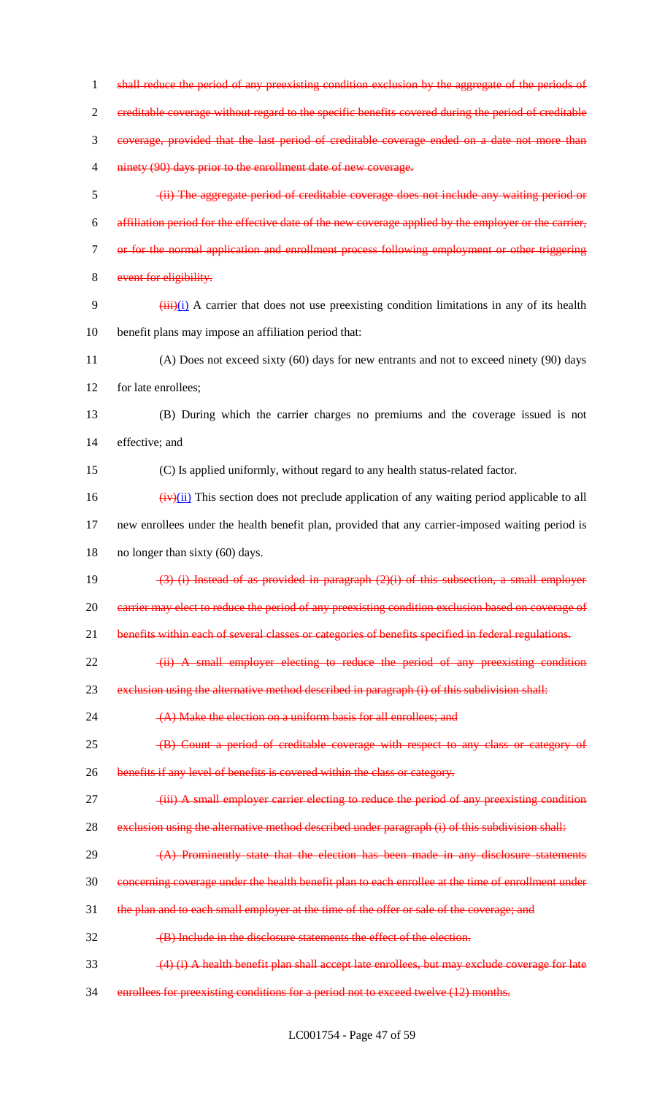1 shall reduce the period of any preexisting condition exclusion by the aggregate of the periods of 2 creditable coverage without regard to the specific benefits covered during the period of creditable 3 coverage, provided that the last period of creditable coverage ended on a date not more than 4 ninety (90) days prior to the enrollment date of new coverage. 5 (ii) The aggregate period of creditable coverage does not include any waiting period or 6 affiliation period for the effective date of the new coverage applied by the employer or the carrier, 7 or for the normal application and enrollment process following employment or other triggering 8 event for eligibility. 9  $(iii)(i)$  A carrier that does not use preexisting condition limitations in any of its health 10 benefit plans may impose an affiliation period that: 11 (A) Does not exceed sixty (60) days for new entrants and not to exceed ninety (90) days 12 for late enrollees; 13 (B) During which the carrier charges no premiums and the coverage issued is not 14 effective; and 15 (C) Is applied uniformly, without regard to any health status-related factor.  $\frac{16}{(iv)(ii)}$  This section does not preclude application of any waiting period applicable to all 17 new enrollees under the health benefit plan, provided that any carrier-imposed waiting period is 18 no longer than sixty (60) days. 19 (3) (i) Instead of as provided in paragraph (2)(i) of this subsection, a small employer 20 carrier may elect to reduce the period of any preexisting condition exclusion based on coverage of 21 benefits within each of several classes or categories of benefits specified in federal regulations. 22 (ii) A small employer electing to reduce the period of any preexisting condition 23 exclusion using the alternative method described in paragraph (i) of this subdivision shall: 24 (A) Make the election on a uniform basis for all enrollees; and 25 (B) Count a period of creditable coverage with respect to any class or category of 26 benefits if any level of benefits is covered within the class or category. 27 (iii) A small employer carrier electing to reduce the period of any preexisting condition 28 exclusion using the alternative method described under paragraph (i) of this subdivision shall: 29 (A) Prominently state that the election has been made in any disclosure statements 30 concerning coverage under the health benefit plan to each enrollee at the time of enrollment under 31 the plan and to each small employer at the time of the offer or sale of the coverage; and 32 (B) Include in the disclosure statements the effect of the election. 33 (4) (i) A health benefit plan shall accept late enrollees, but may exclude coverage for late 34 enrollees for preexisting conditions for a period not to exceed twelve (12) months.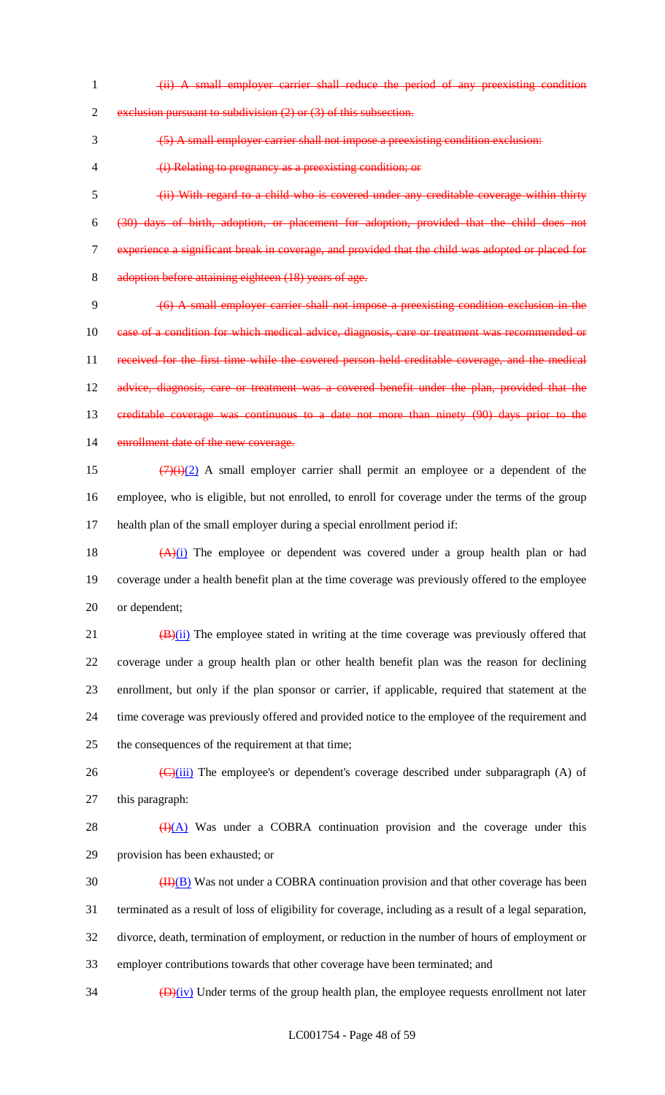(ii) A small employer carrier shall reduce the period of any preexisting condition

2 exclusion pursuant to subdivision (2) or (3) of this subsection.

(5) A small employer carrier shall not impose a preexisting condition exclusion:

(i) Relating to pregnancy as a preexisting condition; or

 (ii) With regard to a child who is covered under any creditable coverage within thirty (30) days of birth, adoption, or placement for adoption, provided that the child does not experience a significant break in coverage, and provided that the child was adopted or placed for adoption before attaining eighteen (18) years of age.

 (6) A small employer carrier shall not impose a preexisting condition exclusion in the 10 case of a condition for which medical advice, diagnosis, care or treatment was recommended or received for the first time while the covered person held creditable coverage, and the medical 12 advice, diagnosis, care or treatment was a covered benefit under the plan, provided that the creditable coverage was continuous to a date not more than ninety (90) days prior to the 14 enrollment date of the new coverage.

15  $(7)(i)(2)$  A small employer carrier shall permit an employee or a dependent of the employee, who is eligible, but not enrolled, to enroll for coverage under the terms of the group health plan of the small employer during a special enrollment period if:

18  $(A)(i)$  The employee or dependent was covered under a group health plan or had coverage under a health benefit plan at the time coverage was previously offered to the employee or dependent;

 $(B)(ii)$  The employee stated in writing at the time coverage was previously offered that coverage under a group health plan or other health benefit plan was the reason for declining enrollment, but only if the plan sponsor or carrier, if applicable, required that statement at the time coverage was previously offered and provided notice to the employee of the requirement and the consequences of the requirement at that time;

26  $\left(\frac{C}{\text{(iii)}}\right)$  The employee's or dependent's coverage described under subparagraph (A) of this paragraph:

28  $\bigoplus$  (A) Was under a COBRA continuation provision and the coverage under this provision has been exhausted; or

 $\frac{(\text{II})(\text{B})}{(\text{II})(\text{B})}$  Was not under a COBRA continuation provision and that other coverage has been terminated as a result of loss of eligibility for coverage, including as a result of a legal separation, divorce, death, termination of employment, or reduction in the number of hours of employment or employer contributions towards that other coverage have been terminated; and

 $\frac{1}{2}$   $\frac{1}{2}$   $\frac{1}{2}$  Under terms of the group health plan, the employee requests enrollment not later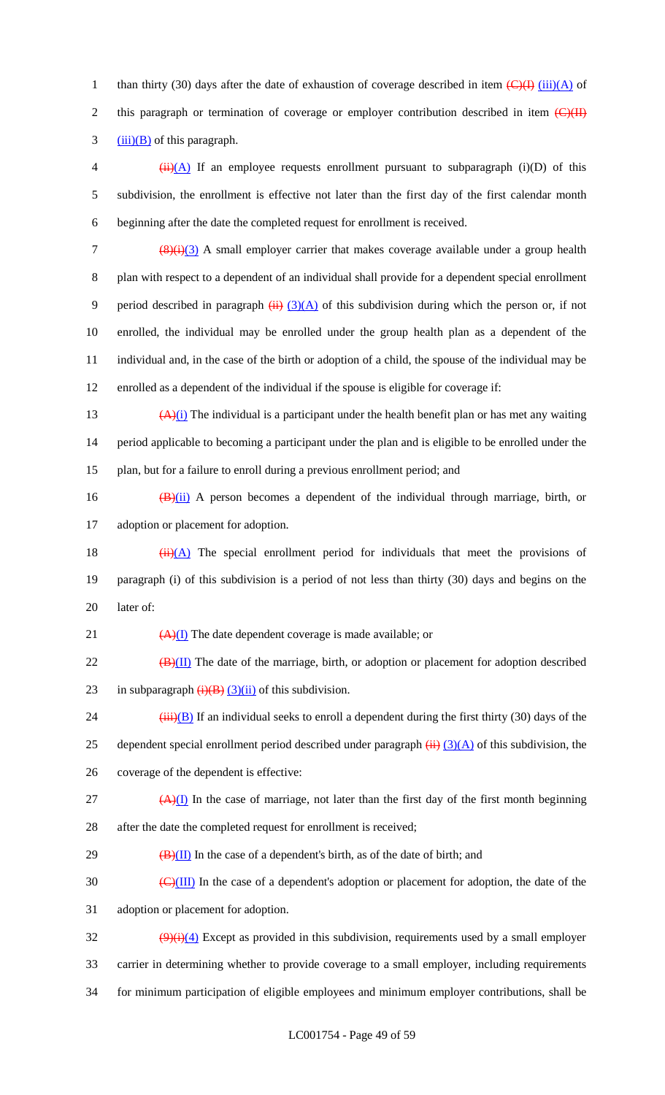1 than thirty (30) days after the date of exhaustion of coverage described in item  $\left(\frac{C}{H}\right)$  (iii)(A) of 2 this paragraph or termination of coverage or employer contribution described in item  $\left(\frac{C}{H}\right)$  $3 \frac{(iii)(B)}{c}$  of this paragraph.

4  $(iii)(A)$  If an employee requests enrollment pursuant to subparagraph (i)(D) of this 5 subdivision, the enrollment is effective not later than the first day of the first calendar month 6 beginning after the date the completed request for enrollment is received.

 $\frac{(8)(i)(3)}{2}$  A small employer carrier that makes coverage available under a group health plan with respect to a dependent of an individual shall provide for a dependent special enrollment 9 period described in paragraph  $(ii)$   $(3)(A)$  of this subdivision during which the person or, if not enrolled, the individual may be enrolled under the group health plan as a dependent of the individual and, in the case of the birth or adoption of a child, the spouse of the individual may be enrolled as a dependent of the individual if the spouse is eligible for coverage if:

13  $(A)(i)$  The individual is a participant under the health benefit plan or has met any waiting 14 period applicable to becoming a participant under the plan and is eligible to be enrolled under the 15 plan, but for a failure to enroll during a previous enrollment period; and

16  $(B)(ii)$  A person becomes a dependent of the individual through marriage, birth, or 17 adoption or placement for adoption.

18  $(ii)(A)$  The special enrollment period for individuals that meet the provisions of 19 paragraph (i) of this subdivision is a period of not less than thirty (30) days and begins on the 20 later of:

21  $\left(\frac{A}{I}\right)$  The date dependent coverage is made available; or

 $22$  (B)(II) The date of the marriage, birth, or adoption or placement for adoption described 23 in subparagraph  $\overline{(i)(B)}$  (3)(ii) of this subdivision.

24  $(iii)(B)$  If an individual seeks to enroll a dependent during the first thirty (30) days of the 25 dependent special enrollment period described under paragraph  $\overline{(ii)}$   $\overline{(3)(A)}$  of this subdivision, the 26 coverage of the dependent is effective:

 $(4)$ (I) In the case of marriage, not later than the first day of the first month beginning 28 after the date the completed request for enrollment is received;

 $29 \left( \frac{B}{II} \right)$  In the case of a dependent's birth, as of the date of birth; and

 $\frac{1}{20}$  (C)(III) In the case of a dependent's adoption or placement for adoption, the date of the 31 adoption or placement for adoption.

 $\frac{(9)(i)(4)}{2}$  Except as provided in this subdivision, requirements used by a small employer 33 carrier in determining whether to provide coverage to a small employer, including requirements 34 for minimum participation of eligible employees and minimum employer contributions, shall be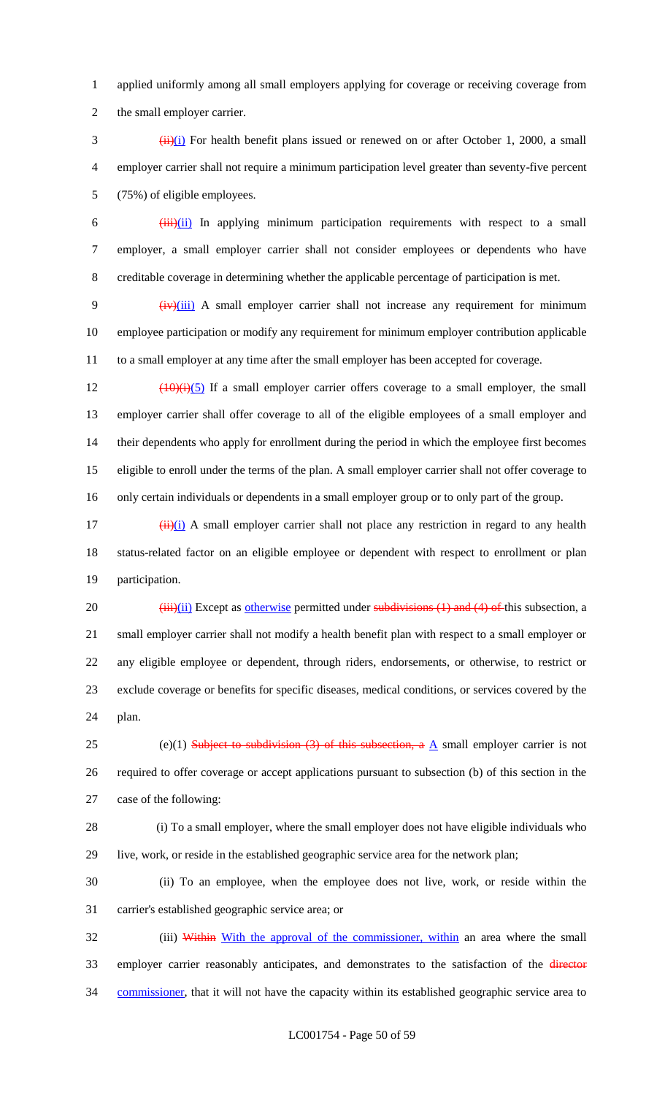applied uniformly among all small employers applying for coverage or receiving coverage from the small employer carrier.

 $\frac{(\mathbf{i} \cdot \mathbf{i}) (\mathbf{i})}{(\mathbf{i} \cdot \mathbf{j})}$  For health benefit plans issued or renewed on or after October 1, 2000, a small employer carrier shall not require a minimum participation level greater than seventy-five percent (75%) of eligible employees.

 $\frac{1}{1}$   $\frac{1}{1}$   $\frac{1}{1}$  In applying minimum participation requirements with respect to a small employer, a small employer carrier shall not consider employees or dependents who have creditable coverage in determining whether the applicable percentage of participation is met.

9 (iv)(iii) A small employer carrier shall not increase any requirement for minimum employee participation or modify any requirement for minimum employer contribution applicable to a small employer at any time after the small employer has been accepted for coverage.

 $\left(\frac{10}{10}\right)$  (10)(i)(5) If a small employer carrier offers coverage to a small employer, the small employer carrier shall offer coverage to all of the eligible employees of a small employer and their dependents who apply for enrollment during the period in which the employee first becomes eligible to enroll under the terms of the plan. A small employer carrier shall not offer coverage to only certain individuals or dependents in a small employer group or to only part of the group.

 $\frac{17}{17}$  (ii)(i) A small employer carrier shall not place any restriction in regard to any health status-related factor on an eligible employee or dependent with respect to enrollment or plan participation.

 $(iii)(ii)$  Except as otherwise permitted under subdivisions (1) and (4) of this subsection, a small employer carrier shall not modify a health benefit plan with respect to a small employer or any eligible employee or dependent, through riders, endorsements, or otherwise, to restrict or exclude coverage or benefits for specific diseases, medical conditions, or services covered by the plan.

25 (e)(1) Subject to subdivision (3) of this subsection, a  $\underline{A}$  small employer carrier is not required to offer coverage or accept applications pursuant to subsection (b) of this section in the case of the following:

 (i) To a small employer, where the small employer does not have eligible individuals who live, work, or reside in the established geographic service area for the network plan;

 (ii) To an employee, when the employee does not live, work, or reside within the carrier's established geographic service area; or

32 (iii) Within With the approval of the commissioner, within an area where the small 33 employer carrier reasonably anticipates, and demonstrates to the satisfaction of the director 34 commissioner, that it will not have the capacity within its established geographic service area to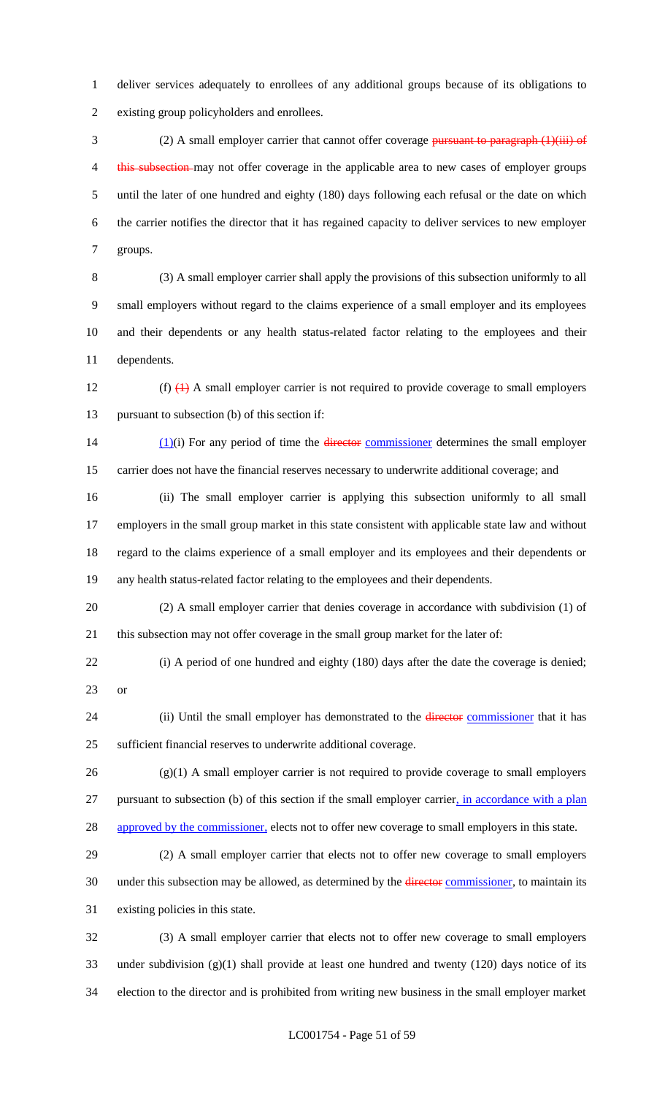deliver services adequately to enrollees of any additional groups because of its obligations to existing group policyholders and enrollees.

3 (2) A small employer carrier that cannot offer coverage pursuant to paragraph (1)(iii) of 4 this subsection may not offer coverage in the applicable area to new cases of employer groups until the later of one hundred and eighty (180) days following each refusal or the date on which the carrier notifies the director that it has regained capacity to deliver services to new employer groups.

 (3) A small employer carrier shall apply the provisions of this subsection uniformly to all small employers without regard to the claims experience of a small employer and its employees and their dependents or any health status-related factor relating to the employees and their dependents.

12 (f)  $\left(1\right)$  A small employer carrier is not required to provide coverage to small employers pursuant to subsection (b) of this section if:

14  $(1)(i)$  For any period of time the director commissioner determines the small employer carrier does not have the financial reserves necessary to underwrite additional coverage; and

 (ii) The small employer carrier is applying this subsection uniformly to all small employers in the small group market in this state consistent with applicable state law and without regard to the claims experience of a small employer and its employees and their dependents or any health status-related factor relating to the employees and their dependents.

 (2) A small employer carrier that denies coverage in accordance with subdivision (1) of this subsection may not offer coverage in the small group market for the later of:

 (i) A period of one hundred and eighty (180) days after the date the coverage is denied; or

24 (ii) Until the small employer has demonstrated to the *director* commissioner that it has sufficient financial reserves to underwrite additional coverage.

 (g)(1) A small employer carrier is not required to provide coverage to small employers pursuant to subsection (b) of this section if the small employer carrier, in accordance with a plan 28 approved by the commissioner, elects not to offer new coverage to small employers in this state.

 (2) A small employer carrier that elects not to offer new coverage to small employers 30 under this subsection may be allowed, as determined by the director commissioner, to maintain its existing policies in this state.

 (3) A small employer carrier that elects not to offer new coverage to small employers under subdivision (g)(1) shall provide at least one hundred and twenty (120) days notice of its election to the director and is prohibited from writing new business in the small employer market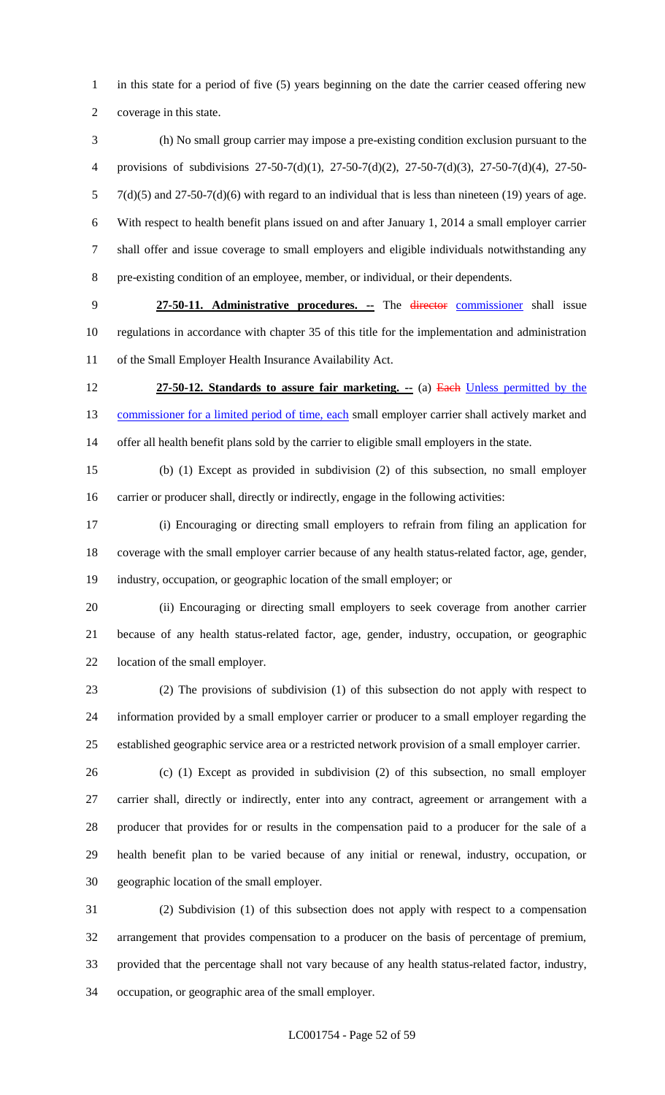1 in this state for a period of five (5) years beginning on the date the carrier ceased offering new coverage in this state.

 (h) No small group carrier may impose a pre-existing condition exclusion pursuant to the provisions of subdivisions 27-50-7(d)(1), 27-50-7(d)(2), 27-50-7(d)(3), 27-50-7(d)(4), 27-50- 7(d)(5) and 27-50-7(d)(6) with regard to an individual that is less than nineteen (19) years of age. With respect to health benefit plans issued on and after January 1, 2014 a small employer carrier shall offer and issue coverage to small employers and eligible individuals notwithstanding any pre-existing condition of an employee, member, or individual, or their dependents.

 **27-50-11. Administrative procedures. --** The director commissioner shall issue regulations in accordance with chapter 35 of this title for the implementation and administration of the Small Employer Health Insurance Availability Act.

 **27-50-12. Standards to assure fair marketing. --** (a) Each Unless permitted by the 13 commissioner for a limited period of time, each small employer carrier shall actively market and offer all health benefit plans sold by the carrier to eligible small employers in the state.

 (b) (1) Except as provided in subdivision (2) of this subsection, no small employer carrier or producer shall, directly or indirectly, engage in the following activities:

 (i) Encouraging or directing small employers to refrain from filing an application for coverage with the small employer carrier because of any health status-related factor, age, gender, industry, occupation, or geographic location of the small employer; or

 (ii) Encouraging or directing small employers to seek coverage from another carrier because of any health status-related factor, age, gender, industry, occupation, or geographic location of the small employer.

 (2) The provisions of subdivision (1) of this subsection do not apply with respect to information provided by a small employer carrier or producer to a small employer regarding the established geographic service area or a restricted network provision of a small employer carrier.

 (c) (1) Except as provided in subdivision (2) of this subsection, no small employer carrier shall, directly or indirectly, enter into any contract, agreement or arrangement with a producer that provides for or results in the compensation paid to a producer for the sale of a health benefit plan to be varied because of any initial or renewal, industry, occupation, or geographic location of the small employer.

 (2) Subdivision (1) of this subsection does not apply with respect to a compensation arrangement that provides compensation to a producer on the basis of percentage of premium, provided that the percentage shall not vary because of any health status-related factor, industry, occupation, or geographic area of the small employer.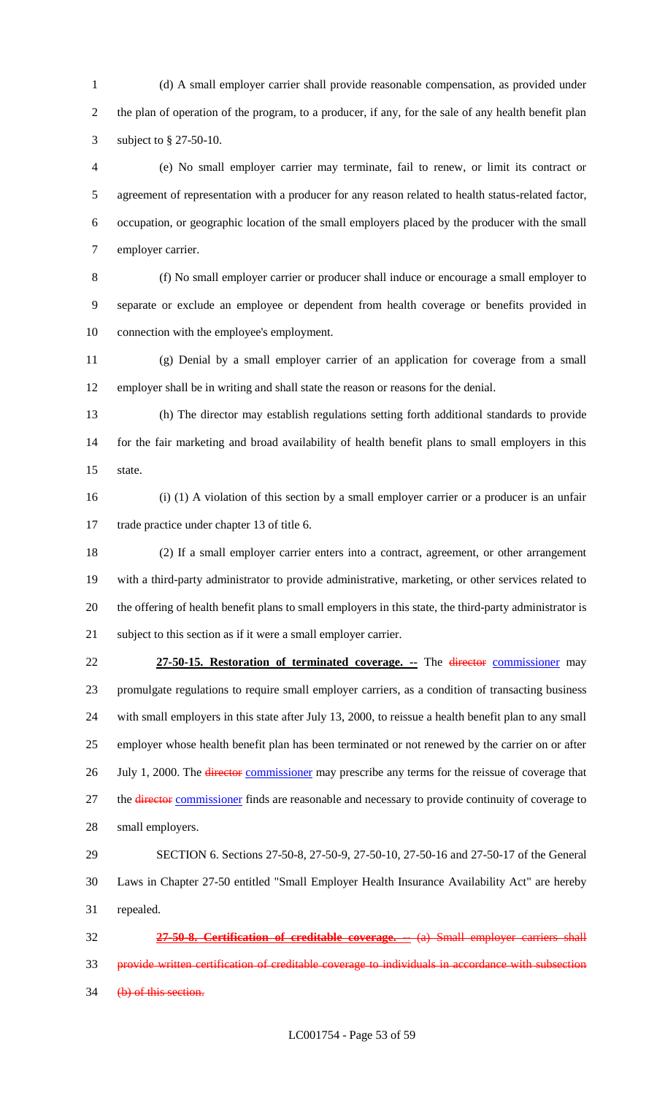(d) A small employer carrier shall provide reasonable compensation, as provided under the plan of operation of the program, to a producer, if any, for the sale of any health benefit plan subject to § 27-50-10.

 (e) No small employer carrier may terminate, fail to renew, or limit its contract or agreement of representation with a producer for any reason related to health status-related factor, occupation, or geographic location of the small employers placed by the producer with the small employer carrier.

 (f) No small employer carrier or producer shall induce or encourage a small employer to separate or exclude an employee or dependent from health coverage or benefits provided in 10 connection with the employee's employment.

 (g) Denial by a small employer carrier of an application for coverage from a small employer shall be in writing and shall state the reason or reasons for the denial.

 (h) The director may establish regulations setting forth additional standards to provide for the fair marketing and broad availability of health benefit plans to small employers in this state.

 (i) (1) A violation of this section by a small employer carrier or a producer is an unfair trade practice under chapter 13 of title 6.

 (2) If a small employer carrier enters into a contract, agreement, or other arrangement with a third-party administrator to provide administrative, marketing, or other services related to the offering of health benefit plans to small employers in this state, the third-party administrator is subject to this section as if it were a small employer carrier.

 **27-50-15. Restoration of terminated coverage. --** The director commissioner may promulgate regulations to require small employer carriers, as a condition of transacting business with small employers in this state after July 13, 2000, to reissue a health benefit plan to any small employer whose health benefit plan has been terminated or not renewed by the carrier on or after 26 July 1, 2000. The director commissioner may prescribe any terms for the reissue of coverage that 27 the director commissioner finds are reasonable and necessary to provide continuity of coverage to small employers.

 SECTION 6. Sections 27-50-8, 27-50-9, 27-50-10, 27-50-16 and 27-50-17 of the General Laws in Chapter 27-50 entitled "Small Employer Health Insurance Availability Act" are hereby repealed.

 **27-50-8. Certification of creditable coverage. --** (a) Small employer carriers shall provide written certification of creditable coverage to individuals in accordance with subsection 34 (b) of this section.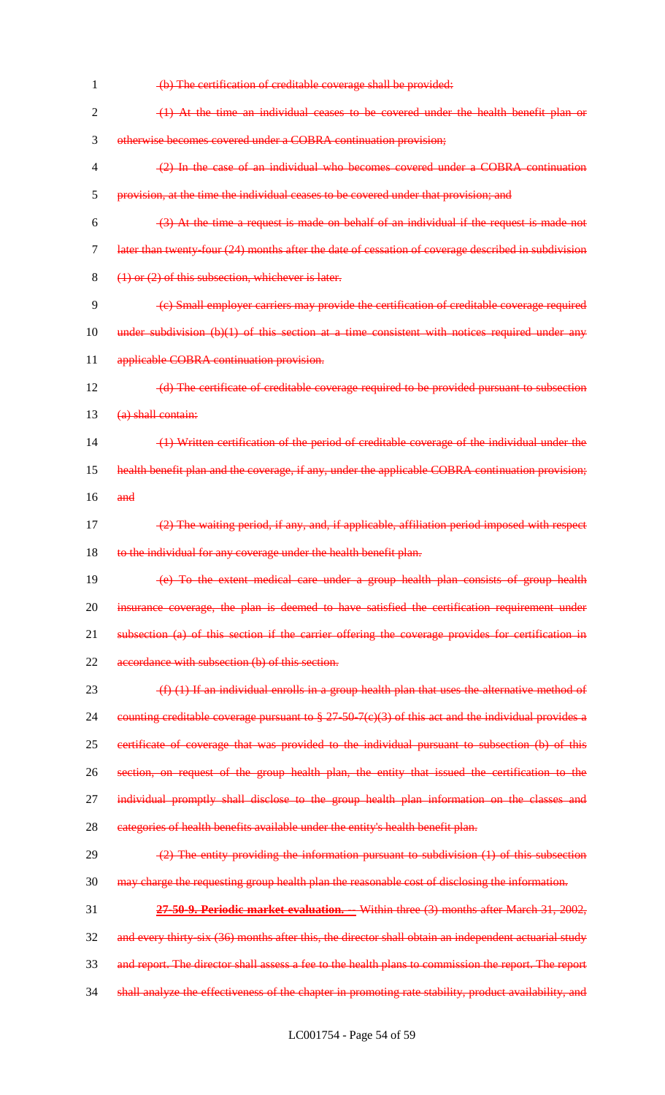(b) The certification of creditable coverage shall be provided: (1) At the time an individual ceases to be covered under the health benefit plan or otherwise becomes covered under a COBRA continuation provision; (2) In the case of an individual who becomes covered under a COBRA continuation provision, at the time the individual ceases to be covered under that provision; and  $(3)$  At the time a request is made on behalf of an individual if the request is made not later than twenty-four (24) months after the date of cessation of coverage described in subdivision (1) or (2) of this subsection, whichever is later. (c) Small employer carriers may provide the certification of creditable coverage required 10 under subdivision (b)(1) of this section at a time consistent with notices required under any 11 applicable COBRA continuation provision. 12 (d) The certificate of creditable coverage required to be provided pursuant to subsection 13 (a) shall contain: (1) Written certification of the period of creditable coverage of the individual under the health benefit plan and the coverage, if any, under the applicable COBRA continuation provision;  $16$  and (2) The waiting period, if any, and, if applicable, affiliation period imposed with respect 18 to the individual for any coverage under the health benefit plan. (e) To the extent medical care under a group health plan consists of group health 20 insurance coverage, the plan is deemed to have satisfied the certification requirement under 21 subsection (a) of this section if the carrier offering the coverage provides for certification in accordance with subsection (b) of this section.  $(f)$  (1) If an individual enrolls in a group health plan that uses the alternative method of counting creditable coverage pursuant to § 27-50-7(c)(3) of this act and the individual provides a certificate of coverage that was provided to the individual pursuant to subsection (b) of this section, on request of the group health plan, the entity that issued the certification to the 27 individual promptly shall disclose to the group health plan information on the classes and 28 categories of health benefits available under the entity's health benefit plan.  $(2)$  The entity providing the information pursuant to subdivision  $(1)$  of this subsection may charge the requesting group health plan the reasonable cost of disclosing the information. **27-50-9. Periodic market evaluation. --** Within three (3) months after March 31, 2002, 32 and every thirty-six (36) months after this, the director shall obtain an independent actuarial study and report. The director shall assess a fee to the health plans to commission the report. The report 34 shall analyze the effectiveness of the chapter in promoting rate stability, product availability, and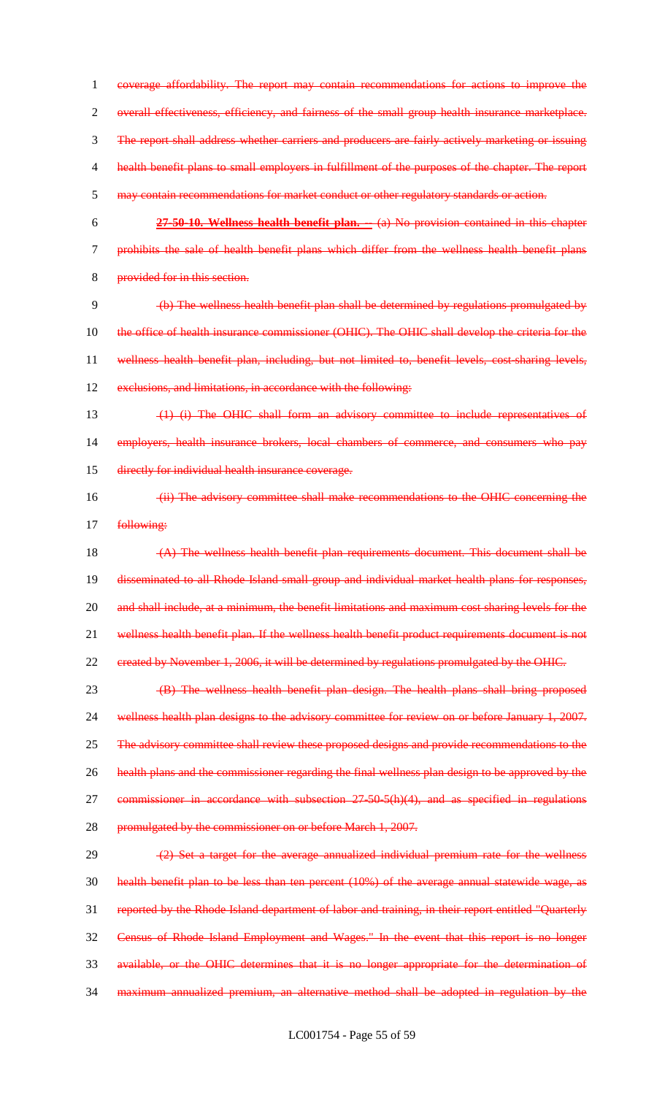coverage affordability. The report may contain recommendations for actions to improve the overall effectiveness, efficiency, and fairness of the small group health insurance marketplace. The report shall address whether carriers and producers are fairly actively marketing or issuing health benefit plans to small employers in fulfillment of the purposes of the chapter. The report may contain recommendations for market conduct or other regulatory standards or action. **27-50-10. Wellness health benefit plan. --** (a) No provision contained in this chapter prohibits the sale of health benefit plans which differ from the wellness health benefit plans provided for in this section. (b) The wellness health benefit plan shall be determined by regulations promulgated by 10 the office of health insurance commissioner (OHIC). The OHIC shall develop the criteria for the wellness health benefit plan, including, but not limited to, benefit levels, cost-sharing levels, 12 exclusions, and limitations, in accordance with the following: (1) (i) The OHIC shall form an advisory committee to include representatives of employers, health insurance brokers, local chambers of commerce, and consumers who pay directly for individual health insurance coverage. (ii) The advisory committee shall make recommendations to the OHIC concerning the 17 following: (A) The wellness health benefit plan requirements document. This document shall be 19 disseminated to all Rhode Island small group and individual market health plans for responses, 20 and shall include, at a minimum, the benefit limitations and maximum cost sharing levels for the 21 wellness health benefit plan. If the wellness health benefit product requirements document is not created by November 1, 2006, it will be determined by regulations promulgated by the OHIC. (B) The wellness health benefit plan design. The health plans shall bring proposed 24 wellness health plan designs to the advisory committee for review on or before January 1, 2007. 25 The advisory committee shall review these proposed designs and provide recommendations to the

- health plans and the commissioner regarding the final wellness plan design to be approved by the
- 27 commissioner in accordance with subsection 27-50-5(h)(4), and as specified in regulations
- 28 promulgated by the commissioner on or before March 1, 2007.

29 (2) Set a target for the average annualized individual premium rate for the wellness health benefit plan to be less than ten percent (10%) of the average annual statewide wage, as reported by the Rhode Island department of labor and training, in their report entitled "Quarterly Census of Rhode Island Employment and Wages." In the event that this report is no longer available, or the OHIC determines that it is no longer appropriate for the determination of maximum annualized premium, an alternative method shall be adopted in regulation by the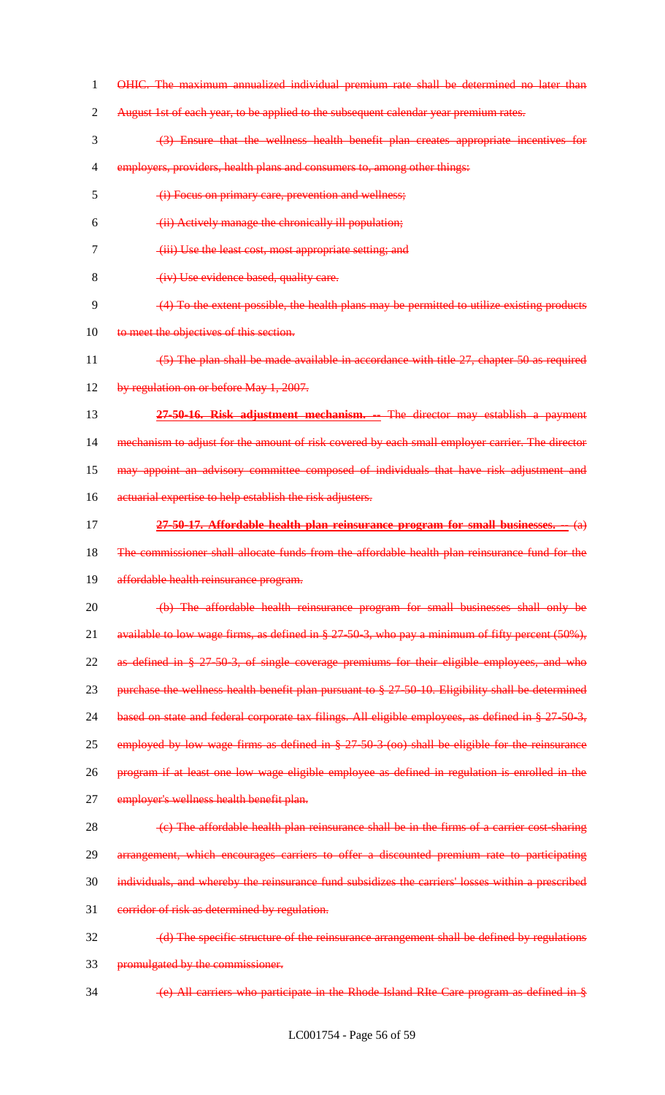OHIC. The maximum annualized individual premium rate shall be determined no later than 2 August 1st of each year, to be applied to the subsequent calendar year premium rates. (3) Ensure that the wellness health benefit plan creates appropriate incentives for 4 employers, providers, health plans and consumers to, among other things: (i) Focus on primary care, prevention and wellness; (ii) Actively manage the chronically ill population; (iii) Use the least cost, most appropriate setting; and 8 (iv) Use evidence based, quality care. (4) To the extent possible, the health plans may be permitted to utilize existing products 10 to meet the objectives of this section. (5) The plan shall be made available in accordance with title 27, chapter 50 as required 12 by regulation on or before May 1, 2007. **27-50-16. Risk adjustment mechanism. --** The director may establish a payment 14 mechanism to adjust for the amount of risk covered by each small employer carrier. The director may appoint an advisory committee composed of individuals that have risk adjustment and 16 actuarial expertise to help establish the risk adjusters. **27-50-17. Affordable health plan reinsurance program for small businesses. --** (a) The commissioner shall allocate funds from the affordable health plan reinsurance fund for the 19 affordable health reinsurance program. (b) The affordable health reinsurance program for small businesses shall only be available to low wage firms, as defined in § 27-50-3, who pay a minimum of fifty percent (50%), as defined in § 27-50-3, of single coverage premiums for their eligible employees, and who 23 purchase the wellness health benefit plan pursuant to § 27-50-10. Eligibility shall be determined 24 based on state and federal corporate tax filings. All eligible employees, as defined in § 27-50-3, 25 employed by low wage firms as defined in § 27-50-3 (oo) shall be eligible for the reinsurance program if at least one low wage eligible employee as defined in regulation is enrolled in the 27 employer's wellness health benefit plan.  $\left\langle \epsilon \right\rangle$  The affordable health plan reinsurance shall be in the firms of a carrier cost-sharing arrangement, which encourages carriers to offer a discounted premium rate to participating individuals, and whereby the reinsurance fund subsidizes the carriers' losses within a prescribed 31 corridor of risk as determined by regulation. (d) The specific structure of the reinsurance arrangement shall be defined by regulations promulgated by the commissioner. (e) All carriers who participate in the Rhode Island RIte Care program as defined in §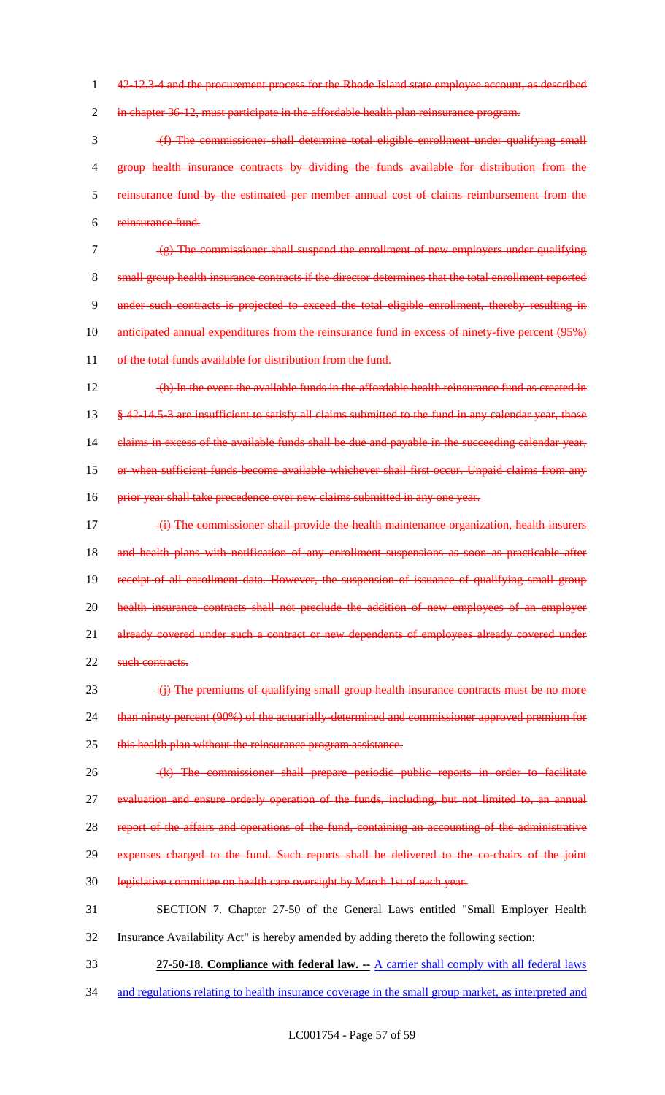1 42-12.3-4 and the procurement process for the Rhode Island state employee account, as described

2 in chapter 36-12, must participate in the affordable health plan reinsurance program.

 (f) The commissioner shall determine total eligible enrollment under qualifying small 4 group health insurance contracts by dividing the funds available for distribution from the reinsurance fund by the estimated per member annual cost of claims reimbursement from the reinsurance fund.

7 (g) The commissioner shall suspend the enrollment of new employers under qualifying 8 small group health insurance contracts if the director determines that the total enrollment reported 9 under such contracts is projected to exceed the total eligible enrollment, thereby resulting in 10 anticipated annual expenditures from the reinsurance fund in excess of ninety-five percent (95%) 11 of the total funds available for distribution from the fund.

12 (h) In the event the available funds in the affordable health reinsurance fund as created in 13 § 42-14.5-3 are insufficient to satisfy all claims submitted to the fund in any calendar year, those 14 claims in excess of the available funds shall be due and payable in the succeeding calendar year, 15 or when sufficient funds become available whichever shall first occur. Unpaid claims from any 16 prior year shall take precedence over new claims submitted in any one year.

- 17 (i) The commissioner shall provide the health maintenance organization, health insurers 18 and health plans with notification of any enrollment suspensions as soon as practicable after 19 receipt of all enrollment data. However, the suspension of issuance of qualifying small group 20 health insurance contracts shall not preclude the addition of new employees of an employer 21 already covered under such a contract or new dependents of employees already covered under 22 such contracts.
- 23 (i) The premiums of qualifying small group health insurance contracts must be no more 24 than ninety percent (90%) of the actuarially-determined and commissioner approved premium for 25 this health plan without the reinsurance program assistance.
- 26 (k) The commissioner shall prepare periodic public reports in order to facilitate 27 evaluation and ensure orderly operation of the funds, including, but not limited to, an annual 28 report of the affairs and operations of the fund, containing an accounting of the administrative

29 expenses charged to the fund. Such reports shall be delivered to the co-chairs of the joint

30 legislative committee on health care oversight by March 1st of each year.

31 SECTION 7. Chapter 27-50 of the General Laws entitled "Small Employer Health

- 32 Insurance Availability Act" is hereby amended by adding thereto the following section:
- 33 **27-50-18. Compliance with federal law. --** A carrier shall comply with all federal laws
- 34 and regulations relating to health insurance coverage in the small group market, as interpreted and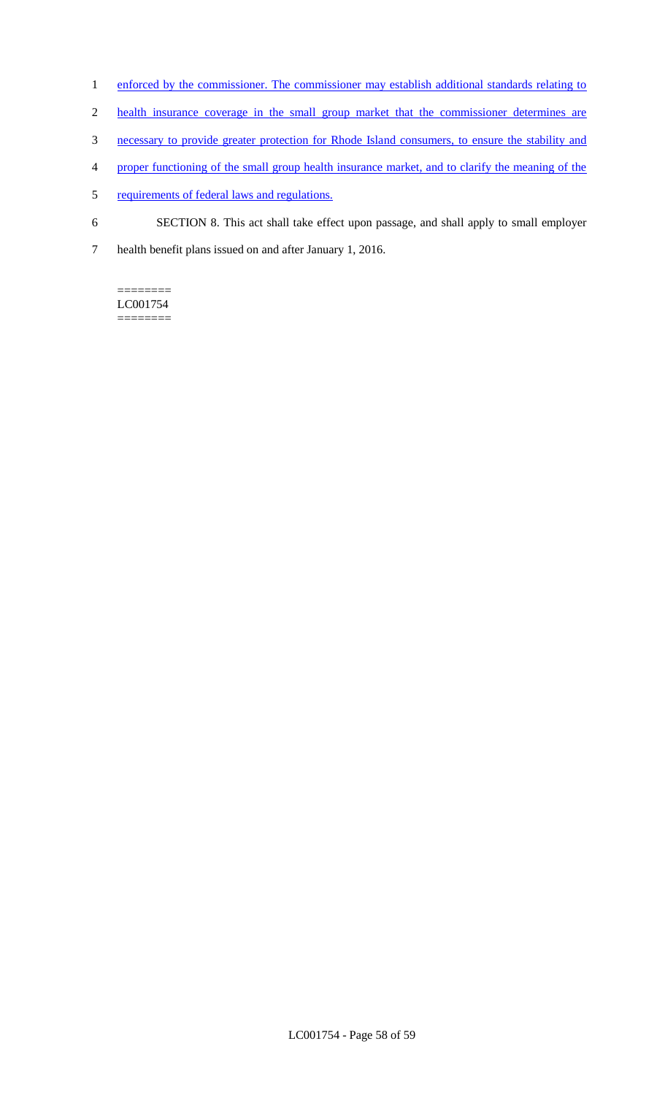- 1 enforced by the commissioner. The commissioner may establish additional standards relating to
- 2 health insurance coverage in the small group market that the commissioner determines are
- 3 necessary to provide greater protection for Rhode Island consumers, to ensure the stability and
- 4 proper functioning of the small group health insurance market, and to clarify the meaning of the
- 5 requirements of federal laws and regulations.
- 6 SECTION 8. This act shall take effect upon passage, and shall apply to small employer
- 7 health benefit plans issued on and after January 1, 2016.

======== LC001754 ========